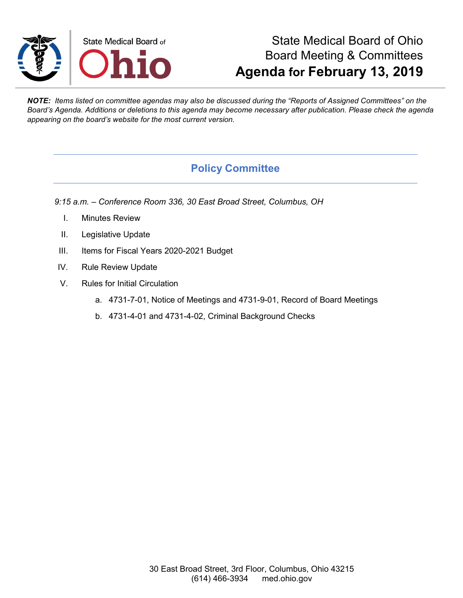

# State Medical Board of Ohio Board Meeting & Committees **Agenda for February 13, 2019**

*NOTE: Items listed on committee agendas may also be discussed during the "Reports of Assigned Committees" on the Board's Agenda. Additions or deletions to this agenda may become necessary after publication. Please check the agenda appearing on the board's website for the most current version.*

## **Policy Committee**

*9:15 a.m. – Conference Room 336, 30 East Broad Street, Columbus, OH*

- I. Minutes Review
- II. Legislative Update
- III. Items for Fiscal Years 2020-2021 Budget
- IV. Rule Review Update
- V. Rules for Initial Circulation
	- a. 4731-7-01, Notice of Meetings and 4731-9-01, Record of Board Meetings
	- b. 4731-4-01 and 4731-4-02, Criminal Background Checks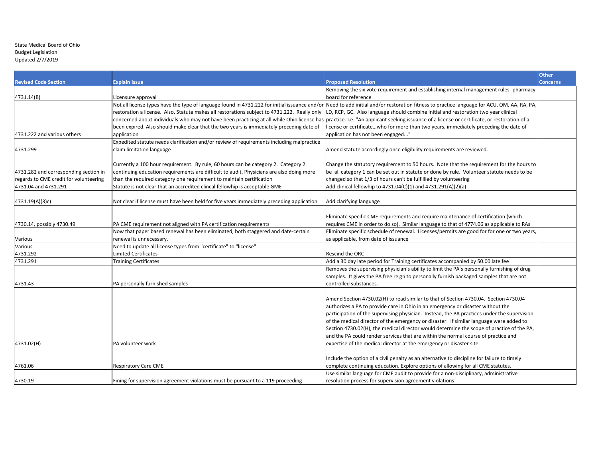#### State Medical Board of Ohio Budget Legislation Updated 2/7/2019

|                                        |                                                                                              |                                                                                                                                                                                            | <b>Other</b>    |
|----------------------------------------|----------------------------------------------------------------------------------------------|--------------------------------------------------------------------------------------------------------------------------------------------------------------------------------------------|-----------------|
| <b>Revised Code Section</b>            | <b>Explain Issue</b>                                                                         | <b>Proposed Resolution</b>                                                                                                                                                                 | <b>Concerns</b> |
|                                        |                                                                                              | Removing the six vote requirement and establishing internal management rules-pharmacy                                                                                                      |                 |
| 4731.14(B)                             | Licensure approval                                                                           | board for reference                                                                                                                                                                        |                 |
|                                        |                                                                                              | Not all license types have the type of language found in 4731.222 for initial issuance and/or Need to add initial and/or restoration fitness to practice language for ACU, OM, AA, RA, PA, |                 |
|                                        | restoration a license. Also, Statute makes all restorations subject to 4731.222. Really only | LD, RCP, GC. Also language should combine initial and restoration two year clinical                                                                                                        |                 |
|                                        | concerned about individuals who may not have been practicing at all while Ohio license has   | practice. I.e. "An applicant seeking issuance of a license or certificate, or restoration of a                                                                                             |                 |
|                                        | been expired. Also should make clear that the two years is immediately preceding date of     | license or certificatewho for more than two years, immediately preceding the date of                                                                                                       |                 |
| 4731.222 and various others            | application                                                                                  | application has not been engaged"                                                                                                                                                          |                 |
|                                        | Expedited statute needs clarification and/or review of requirements including malpractice    |                                                                                                                                                                                            |                 |
| 4731.299                               | claim limitation language                                                                    | Amend statute accordingly once eligibility requirements are reviewed.                                                                                                                      |                 |
|                                        |                                                                                              |                                                                                                                                                                                            |                 |
|                                        | Currently a 100 hour requirement. By rule, 60 hours can be category 2. Category 2            | Change the statutory requirement to 50 hours. Note that the requirement for the hours to                                                                                                   |                 |
| 4731.282 and corresponding section in  | continuing education requirements are difficult to audit. Physicians are also doing more     | be all category 1 can be set out in statute or done by rule. Volunteer statute needs to be                                                                                                 |                 |
| regards to CME credit for volunteering | than the required category one requirement to maintain certification                         | changed so that 1/3 of hours can't be fulfillled by volunteering                                                                                                                           |                 |
| 4731.04 and 4731.291                   | Statute is not clear that an accredited clincal fellowhip is acceptable GME                  | Add clinical fellowhip to 4731.04(C)(1) and 4731.291(A)(2)(a)                                                                                                                              |                 |
|                                        |                                                                                              |                                                                                                                                                                                            |                 |
| 4731.19(A)(3)c)                        | Not clear if license must have been held for five years immediately preceding application    | Add clarifying language                                                                                                                                                                    |                 |
|                                        |                                                                                              |                                                                                                                                                                                            |                 |
|                                        |                                                                                              | Eliminate specific CME requirements and require maintenance of certification (which                                                                                                        |                 |
| 4730.14, possibly 4730.49              | PA CME requirement not aligned with PA certification requirements                            | requires CME in order to do so). Similar language to that of 4774.06 as applicable to RAs                                                                                                  |                 |
|                                        | Now that paper based renewal has been eliminated, both staggered and date-certain            | Eliminate specific schedule of renewal. Licenses/permits are good for for one or two years,                                                                                                |                 |
| Various                                | renewal is unnecessary.                                                                      | as applicable, from date of issuance                                                                                                                                                       |                 |
| Various                                | Need to update all license types from "certificate" to "license"                             |                                                                                                                                                                                            |                 |
| 4731.292                               | <b>Limited Certificates</b>                                                                  | <b>Rescind the ORC</b>                                                                                                                                                                     |                 |
| 4731.291                               | Training Certificates                                                                        | Add a 30 day late period for Training certificates accompanied by 50.00 late fee                                                                                                           |                 |
|                                        |                                                                                              | Removes the supervising physician's ability to limit the PA's personally furnishing of drug                                                                                                |                 |
|                                        |                                                                                              | samples. It gives the PA free reign to personally furnish packaged samples that are not                                                                                                    |                 |
| 4731.43                                | PA personally furnished samples                                                              | controlled substances.                                                                                                                                                                     |                 |
|                                        |                                                                                              |                                                                                                                                                                                            |                 |
|                                        |                                                                                              | Amend Section 4730.02(H) to read similar to that of Section 4730.04. Section 4730.04                                                                                                       |                 |
|                                        |                                                                                              | authorizes a PA to provide care in Ohio in an emergency or disaster without the                                                                                                            |                 |
|                                        |                                                                                              | participation of the supervising physician. Instead, the PA practices under the supervision                                                                                                |                 |
|                                        |                                                                                              | of the medical director of the emergency or disaster. If similar language were added to                                                                                                    |                 |
|                                        |                                                                                              | Section 4730.02(H), the medical director would determine the scope of practice of the PA,                                                                                                  |                 |
|                                        |                                                                                              | and the PA could render services that are within the normal course of practice and                                                                                                         |                 |
| 4731.02(H)                             | PA volunteer work                                                                            | expertise of the medical director at the emergency or disaster site.                                                                                                                       |                 |
|                                        |                                                                                              |                                                                                                                                                                                            |                 |
|                                        |                                                                                              | Include the option of a civil penalty as an alternative to discipline for failure to timely                                                                                                |                 |
| 4761.06                                | <b>Respiratory Care CME</b>                                                                  | complete continuing education. Explore options of allowing for all CME statutes.                                                                                                           |                 |
|                                        |                                                                                              | Use similar language for CME audit to provide for a non-disciplinary, administrative                                                                                                       |                 |
| 4730.19                                | Fining for supervision agreement violations must be pursuant to a 119 proceeding             | resolution process for supervision agreement violations                                                                                                                                    |                 |
|                                        |                                                                                              |                                                                                                                                                                                            |                 |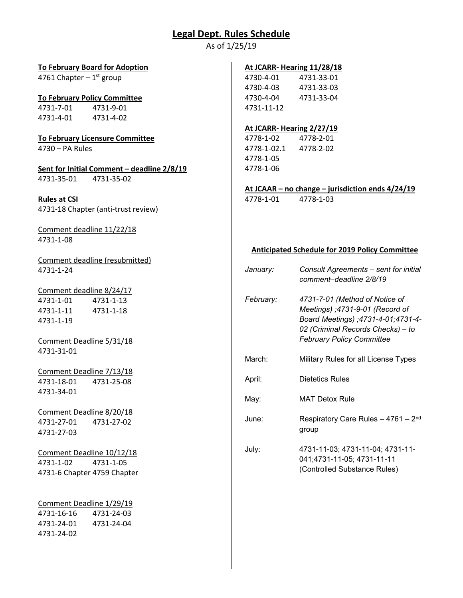# **Legal Dept. Rules Schedule**

As of 1/25/19

| <b>To February Board for Adoption</b>      |             | At JCARR- Hearing 11/28/18                            |
|--------------------------------------------|-------------|-------------------------------------------------------|
| 4761 Chapter $-1$ <sup>st</sup> group      | 4730-4-01   | 4731-33-01                                            |
|                                            | 4730-4-03   | 4731-33-03                                            |
| <b>To February Policy Committee</b>        | 4730-4-04   | 4731-33-04                                            |
| 4731-7-01<br>4731-9-01                     | 4731-11-12  |                                                       |
| 4731-4-01<br>4731-4-02                     |             |                                                       |
|                                            |             | At JCARR-Hearing 2/27/19                              |
| <b>To February Licensure Committee</b>     | 4778-1-02   | 4778-2-01                                             |
| 4730 - PA Rules                            | 4778-1-02.1 | 4778-2-02                                             |
|                                            | 4778-1-05   |                                                       |
| Sent for Initial Comment - deadline 2/8/19 | 4778-1-06   |                                                       |
| 4731-35-01<br>4731-35-02                   |             |                                                       |
|                                            |             | At JCAAR – no change – jurisdiction ends $4/24/19$    |
| <b>Rules at CSI</b>                        | 4778-1-01   | 4778-1-03                                             |
| 4731-18 Chapter (anti-trust review)        |             |                                                       |
| Comment deadline 11/22/18                  |             |                                                       |
| 4731-1-08                                  |             |                                                       |
|                                            |             | <b>Anticipated Schedule for 2019 Policy Committee</b> |
| Comment deadline (resubmitted)             |             |                                                       |
| 4731-1-24                                  | January:    | Consult Agreements - sent for initial                 |
|                                            |             | comment-deadline 2/8/19                               |
| Comment deadline 8/24/17                   |             |                                                       |
| 4731-1-01<br>4731-1-13                     | February:   | 4731-7-01 (Method of Notice of                        |
| 4731-1-18<br>4731-1-11                     |             | Meetings) ;4731-9-01 (Record of                       |
| 4731-1-19                                  |             | Board Meetings) ;4731-4-01;4731-4-                    |
|                                            |             | 02 (Criminal Records Checks) - to                     |
| Comment Deadline 5/31/18                   |             | <b>February Policy Committee</b>                      |
| 4731-31-01                                 |             |                                                       |
|                                            | March:      | Military Rules for all License Types                  |
| Comment Deadline 7/13/18                   |             |                                                       |
| 4731-18-01<br>4731-25-08                   | April:      | <b>Dietetics Rules</b>                                |
| 4731-34-01                                 |             |                                                       |
|                                            | May:        | <b>MAT Detox Rule</b>                                 |
| Comment Deadline 8/20/18                   |             |                                                       |
| 4731-27-02<br>4731-27-01                   | June:       | Respiratory Care Rules - 4761 - 2 <sup>nd</sup>       |
| 4731-27-03                                 |             | group                                                 |
|                                            |             |                                                       |
| Comment Deadline 10/12/18                  | July:       | 4731-11-03; 4731-11-04; 4731-11-                      |
| 4731-1-02<br>4731-1-05                     |             | 041;4731-11-05; 4731-11-11                            |
| 4731-6 Chapter 4759 Chapter                |             | (Controlled Substance Rules)                          |
|                                            |             |                                                       |
|                                            |             |                                                       |
| Comment Deadline 1/29/19                   |             |                                                       |
| 4731-16-16<br>4731-24-03                   |             |                                                       |
| 4731-24-01<br>4731-24-04                   |             |                                                       |
| 4731-24-02                                 |             |                                                       |
|                                            |             |                                                       |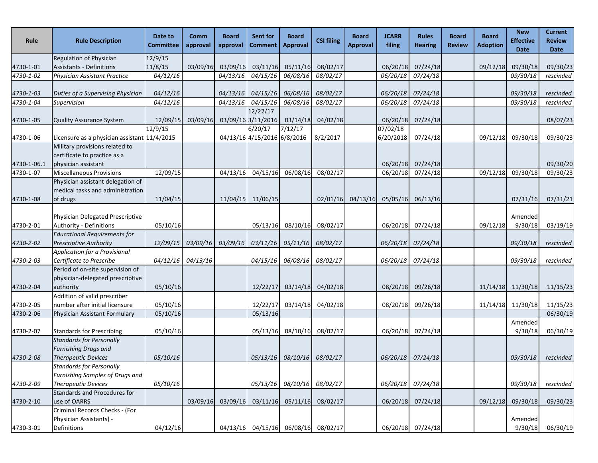| Rule        | <b>Rule Description</b>                                                                      | Date to<br><b>Committee</b> | Comm<br>approval | Board<br>approval | Sent for<br><b>Comment</b>     | <b>Board</b><br><b>Approval</b>     | <b>CSI filing</b> | <b>Board</b><br><b>Approval</b> | <b>JCARR</b><br>filing | <b>Rules</b><br><b>Hearing</b> | <b>Board</b><br><b>Review</b> | <b>Board</b><br><b>Adoption</b> | <b>New</b><br><b>Effective</b><br><b>Date</b> | <b>Current</b><br><b>Review</b><br><b>Date</b> |
|-------------|----------------------------------------------------------------------------------------------|-----------------------------|------------------|-------------------|--------------------------------|-------------------------------------|-------------------|---------------------------------|------------------------|--------------------------------|-------------------------------|---------------------------------|-----------------------------------------------|------------------------------------------------|
|             | Regulation of Physician                                                                      | 12/9/15                     |                  |                   |                                |                                     |                   |                                 |                        |                                |                               |                                 |                                               |                                                |
| 4730-1-01   | <b>Assistants - Definitions</b>                                                              | 11/8/15                     | 03/09/16         | 03/09/16          | 03/11/16                       | 05/11/16                            | 08/02/17          |                                 | 06/20/18               | 07/24/18                       |                               | 09/12/18                        | 09/30/18                                      | 09/30/23                                       |
| 4730-1-02   | Physician Assistant Practice                                                                 | 04/12/16                    |                  | 04/13/16          | 04/15/16                       | 06/08/16                            | 08/02/17          |                                 | 06/20/18               | 07/24/18                       |                               |                                 | 09/30/18                                      | rescinded                                      |
| 4730-1-03   | Duties of a Supervising Physician                                                            | 04/12/16                    |                  |                   |                                | 04/13/16 04/15/16 06/08/16          | 08/02/17          |                                 | 06/20/18               | 07/24/18                       |                               |                                 | 09/30/18                                      | rescinded                                      |
| 4730-1-04   | Supervision                                                                                  | 04/12/16                    |                  | 04/13/16          | 04/15/16                       | 06/08/16                            | 08/02/17          |                                 | 06/20/18               | 07/24/18                       |                               |                                 | 09/30/18                                      | rescinded                                      |
| 4730-1-05   | Quality Assurance System                                                                     | 12/09/15                    | 03/09/16         |                   | 12/22/17<br>03/09/16 3/11/2016 | 03/14/18                            | 04/02/18          |                                 | 06/20/18               | 07/24/18                       |                               |                                 |                                               | 08/07/23                                       |
|             |                                                                                              | 12/9/15                     |                  |                   | 6/20/17                        | 7/12/17                             |                   |                                 | 07/02/18               |                                |                               |                                 |                                               |                                                |
| 4730-1-06   | Licensure as a physician assistant 11/4/2015                                                 |                             |                  |                   | 04/13/16 4/15/2016 6/8/2016    |                                     | 8/2/2017          |                                 | 6/20/2018              | 07/24/18                       |                               | 09/12/18                        | 09/30/18                                      | 09/30/23                                       |
| 4730-1-06.1 | Military provisions related to<br>certificate to practice as a<br>physician assistant        |                             |                  |                   |                                |                                     |                   |                                 | 06/20/18               | 07/24/18                       |                               |                                 |                                               | 09/30/20                                       |
| 4730-1-07   | <b>Miscellaneous Provisions</b>                                                              | 12/09/15                    |                  | 04/13/16          | 04/15/16                       | 06/08/16                            | 08/02/17          |                                 | 06/20/18               | 07/24/18                       |                               | 09/12/18                        | 09/30/18                                      | 09/30/23                                       |
|             | Physician assistant delegation of<br>medical tasks and administration                        |                             |                  |                   |                                |                                     |                   |                                 |                        |                                |                               |                                 |                                               |                                                |
| 4730-1-08   | of drugs                                                                                     | 11/04/15                    |                  |                   | 11/04/15 11/06/15              |                                     | 02/01/16          | 04/13/16                        | 05/05/16               | 06/13/16                       |                               |                                 | 07/31/16                                      | 07/31/21                                       |
| 4730-2-01   | Physician Delegated Prescriptive<br>Authority - Definitions                                  | 05/10/16                    |                  |                   | 05/13/16                       | 08/10/16                            | 08/02/17          |                                 | 06/20/18               | 07/24/18                       |                               | 09/12/18                        | Amended<br>9/30/18                            | 03/19/19                                       |
| 4730-2-02   | <b>Educational Requirements for</b><br><b>Prescriptive Authority</b>                         | 12/09/15                    | 03/09/16         | 03/09/16          |                                | 03/11/16 05/11/16                   | 08/02/17          |                                 | 06/20/18               | 07/24/18                       |                               |                                 | 09/30/18                                      | rescinded                                      |
| 4730-2-03   | Application for a Provisional<br>Certificate to Prescribe                                    | 04/12/16                    | 04/13/16         |                   | 04/15/16                       | 06/08/16                            | 08/02/17          |                                 | 06/20/18               | 07/24/18                       |                               |                                 | 09/30/18                                      | rescinded                                      |
| 4730-2-04   | Period of on-site supervision of<br>physician-delegated prescriptive<br>authority            | 05/10/16                    |                  |                   | 12/22/17                       | 03/14/18                            | 04/02/18          |                                 | 08/20/18               | 09/26/18                       |                               |                                 | 11/14/18 11/30/18                             | 11/15/23                                       |
| 4730-2-05   | Addition of valid prescriber<br>number after initial licensure                               | 05/10/16                    |                  |                   | 12/22/17                       | 03/14/18                            | 04/02/18          |                                 | 08/20/18               | 09/26/18                       |                               | 11/14/18                        | 11/30/18                                      | 11/15/23                                       |
| 4730-2-06   | Physician Assistant Formulary                                                                | 05/10/16                    |                  |                   | 05/13/16                       |                                     |                   |                                 |                        |                                |                               |                                 |                                               | 06/30/19                                       |
| 4730-2-07   | <b>Standards for Prescribing</b>                                                             | 05/10/16                    |                  |                   | 05/13/16                       | 08/10/16                            | 08/02/17          |                                 | 06/20/18               | 07/24/18                       |                               |                                 | Amended<br>9/30/18                            | 06/30/19                                       |
| 4730-2-08   | <b>Standards for Personally</b><br><b>Furnishing Drugs and</b><br><b>Therapeutic Devices</b> | 05/10/16                    |                  |                   |                                | 05/13/16 08/10/16 08/02/17          |                   |                                 | 06/20/18               | 07/24/18                       |                               |                                 | 09/30/18                                      | rescinded                                      |
|             | <b>Standards for Personally</b><br>Furnishing Samples of Drugs and                           |                             |                  |                   |                                |                                     |                   |                                 |                        |                                |                               |                                 |                                               |                                                |
| 4730-2-09   | <b>Therapeutic Devices</b>                                                                   | 05/10/16                    |                  |                   |                                | 05/13/16 08/10/16 08/02/17          |                   |                                 |                        | 06/20/18 07/24/18              |                               |                                 | 09/30/18                                      | rescinded                                      |
| 4730-2-10   | Standards and Procedures for<br>use of OARRS                                                 |                             | 03/09/16         | 03/09/16          |                                | 03/11/16 05/11/16 08/02/17          |                   |                                 | 06/20/18               | 07/24/18                       |                               | 09/12/18                        | 09/30/18                                      | 09/30/23                                       |
|             | Criminal Records Checks - (For<br>Physician Assistants) -                                    |                             |                  |                   |                                |                                     |                   |                                 |                        |                                |                               |                                 | Amended                                       |                                                |
| 4730-3-01   | Definitions                                                                                  | 04/12/16                    |                  |                   |                                | 04/13/16 04/15/16 06/08/16 08/02/17 |                   |                                 |                        | 06/20/18 07/24/18              |                               |                                 | 9/30/18                                       | 06/30/19                                       |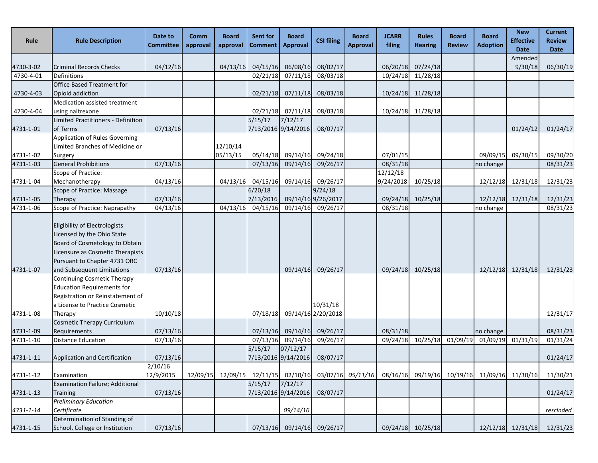| Rule      | <b>Rule Description</b>                                                                                                                                                                         | Date to<br><b>Committee</b> | Comm<br>approval | <b>Board</b><br>approval | <b>Sent for</b><br><b>Comment</b> | <b>Board</b><br><b>Approval</b> | <b>CSI filing</b>              | <b>Board</b><br><b>Approval</b> | <b>JCARR</b><br>filing | <b>Rules</b><br><b>Hearing</b> | <b>Board</b><br><b>Review</b> | <b>Board</b><br><b>Adoption</b>              | <b>New</b><br><b>Effective</b><br><b>Date</b> | <b>Current</b><br><b>Review</b><br><b>Date</b> |
|-----------|-------------------------------------------------------------------------------------------------------------------------------------------------------------------------------------------------|-----------------------------|------------------|--------------------------|-----------------------------------|---------------------------------|--------------------------------|---------------------------------|------------------------|--------------------------------|-------------------------------|----------------------------------------------|-----------------------------------------------|------------------------------------------------|
|           |                                                                                                                                                                                                 |                             |                  |                          |                                   |                                 |                                |                                 |                        |                                |                               |                                              | Amended                                       |                                                |
| 4730-3-02 | <b>Criminal Records Checks</b>                                                                                                                                                                  | 04/12/16                    |                  | 04/13/16                 | 04/15/16                          | 06/08/16                        | 08/02/17                       |                                 | 06/20/18               | 07/24/18                       |                               |                                              | 9/30/18                                       | 06/30/19                                       |
| 4730-4-01 | Definitions                                                                                                                                                                                     |                             |                  |                          | 02/21/18                          | 07/11/18                        | 08/03/18                       |                                 |                        | 10/24/18 11/28/18              |                               |                                              |                                               |                                                |
| 4730-4-03 | Office Based Treatment for<br>Opioid addiction                                                                                                                                                  |                             |                  |                          | 02/21/18                          | 07/11/18                        | 08/03/18                       |                                 |                        | 10/24/18 11/28/18              |                               |                                              |                                               |                                                |
| 4730-4-04 | Medication assisted treatment<br>using naltrexone                                                                                                                                               |                             |                  |                          |                                   | $02/21/18$ 07/11/18             | 08/03/18                       |                                 |                        | 10/24/18 11/28/18              |                               |                                              |                                               |                                                |
| 4731-1-01 | Limited Practitioners - Definition<br>of Terms                                                                                                                                                  | 07/13/16                    |                  |                          | 5/15/17                           | 7/12/17<br>7/13/2016 9/14/2016  | 08/07/17                       |                                 |                        |                                |                               |                                              | 01/24/12                                      | 01/24/17                                       |
|           | Application of Rules Governing<br>Limited Branches of Medicine or                                                                                                                               |                             |                  | 12/10/14                 |                                   |                                 |                                |                                 |                        |                                |                               |                                              |                                               |                                                |
| 4731-1-02 | Surgery                                                                                                                                                                                         |                             |                  | 05/13/15                 |                                   |                                 | 05/14/18 09/14/16 09/24/18     |                                 | 07/01/15               |                                |                               | 09/09/15                                     | 09/30/15                                      | 09/30/20                                       |
| 4731-1-03 | <b>General Prohibitions</b>                                                                                                                                                                     | 07/13/16                    |                  |                          | 07/13/16                          | 09/14/16                        | 09/26/17                       |                                 | 08/31/18               |                                |                               | no change                                    |                                               | 08/31/23                                       |
|           | Scope of Practice:                                                                                                                                                                              |                             |                  |                          |                                   |                                 |                                |                                 | 12/12/18               |                                |                               |                                              |                                               |                                                |
| 4731-1-04 | Mechanotherapy                                                                                                                                                                                  | 04/13/16                    |                  | 04/13/16                 | 04/15/16                          | 09/14/16                        | 09/26/17                       |                                 | 9/24/2018              | 10/25/18                       |                               | 12/12/18                                     | 12/31/18                                      | 12/31/23                                       |
|           | Scope of Practice: Massage                                                                                                                                                                      |                             |                  |                          | 6/20/18                           |                                 | 9/24/18                        |                                 |                        |                                |                               |                                              |                                               |                                                |
| 4731-1-05 | Therapy                                                                                                                                                                                         | 07/13/16                    |                  |                          | 7/13/2016                         |                                 | 09/14/16 9/26/2017             |                                 |                        | 09/24/18 10/25/18              |                               | 12/12/18                                     | 12/31/18                                      | 12/31/23                                       |
| 4731-1-06 | Scope of Practice: Naprapathy                                                                                                                                                                   | 04/13/16                    |                  | 04/13/16                 | 04/15/16                          |                                 | 09/14/16 09/26/17              |                                 | 08/31/18               |                                |                               | no change                                    |                                               | 08/31/23                                       |
| 4731-1-07 | Eligibility of Electrologists<br>Licensed by the Ohio State<br>Board of Cosmetology to Obtain<br>Licensure as Cosmetic Therapists<br>Pursuant to Chapter 4731 ORC<br>and Subsequent Limitations | 07/13/16                    |                  |                          |                                   | 09/14/16                        | 09/26/17                       |                                 | 09/24/18               | 10/25/18                       |                               | 12/12/18                                     | 12/31/18                                      | 12/31/23                                       |
| 4731-1-08 | <b>Continuing Cosmetic Therapy</b><br><b>Education Requirements for</b><br>Registration or Reinstatement of<br>a License to Practice Cosmetic<br>Therapy                                        | 10/10/18                    |                  |                          | 07/18/18                          |                                 | 10/31/18<br>09/14/16 2/20/2018 |                                 |                        |                                |                               |                                              |                                               | 12/31/17                                       |
| 4731-1-09 | <b>Cosmetic Therapy Curriculum</b><br>Requirements                                                                                                                                              | 07/13/16                    |                  |                          | 07/13/16                          |                                 | 09/14/16 09/26/17              |                                 | 08/31/18               |                                |                               | no change                                    |                                               | 08/31/23                                       |
| 4731-1-10 | <b>Distance Education</b>                                                                                                                                                                       | 07/13/16                    |                  |                          |                                   |                                 | 07/13/16 09/14/16 09/26/17     |                                 |                        |                                |                               | 09/24/18 10/25/18 01/09/19 01/09/19 01/31/19 |                                               | 01/31/24                                       |
| 4731-1-11 | Application and Certification                                                                                                                                                                   | 07/13/16                    |                  |                          | 5/15/17                           | 07/12/17<br>7/13/2016 9/14/2016 | 08/07/17                       |                                 |                        |                                |                               |                                              |                                               | 01/24/17                                       |
|           |                                                                                                                                                                                                 | $\frac{1}{2}$ /10/16        |                  |                          |                                   |                                 |                                |                                 |                        |                                |                               |                                              |                                               |                                                |
| 4731-1-12 | Examination                                                                                                                                                                                     | 12/9/2015                   |                  | 12/09/15 12/09/15        | 12/11/15                          | 02/10/16                        |                                | 03/07/16 05/11/16               | 08/16/16               | 09/19/16                       |                               | 10/19/16 11/09/16                            | 11/30/16                                      | 11/30/21                                       |
|           | Examination Failure; Additional                                                                                                                                                                 |                             |                  |                          | 5/15/17                           | 7/12/17                         |                                |                                 |                        |                                |                               |                                              |                                               |                                                |
| 4731-1-13 | <b>Training</b>                                                                                                                                                                                 | 07/13/16                    |                  |                          |                                   | 7/13/2016 9/14/2016             | 08/07/17                       |                                 |                        |                                |                               |                                              |                                               | 01/24/17                                       |
| 4731-1-14 | <b>Preliminary Education</b><br>Certificate                                                                                                                                                     |                             |                  |                          |                                   | 09/14/16                        |                                |                                 |                        |                                |                               |                                              |                                               | rescinded                                      |
| 4731-1-15 | Determination of Standing of<br>School, College or Institution                                                                                                                                  | 07/13/16                    |                  |                          | 07/13/16                          |                                 | 09/14/16 09/26/17              |                                 |                        | 09/24/18 10/25/18              |                               |                                              | 12/12/18 12/31/18                             | 12/31/23                                       |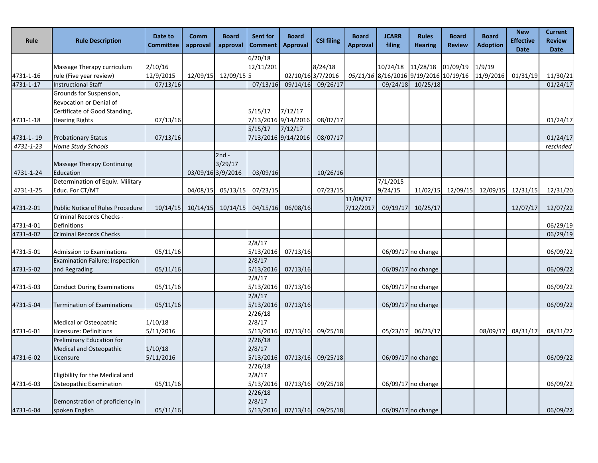| Rule      | <b>Rule Description</b>                            | Date to<br><b>Committee</b> | Comm<br>approval | <b>Board</b><br>approval | <b>Sent for</b><br><b>Comment</b> | <b>Board</b><br><b>Approval</b> | <b>CSI filing</b> | <b>Board</b><br><b>Approval</b> | <b>JCARR</b><br>filing | <b>Rules</b><br><b>Hearing</b>        | <b>Board</b><br><b>Review</b> | <b>Board</b><br><b>Adoption</b> | <b>New</b><br><b>Effective</b><br><b>Date</b> | <b>Current</b><br><b>Review</b><br><b>Date</b> |
|-----------|----------------------------------------------------|-----------------------------|------------------|--------------------------|-----------------------------------|---------------------------------|-------------------|---------------------------------|------------------------|---------------------------------------|-------------------------------|---------------------------------|-----------------------------------------------|------------------------------------------------|
|           |                                                    |                             |                  |                          | 6/20/18                           |                                 |                   |                                 |                        |                                       |                               |                                 |                                               |                                                |
|           | Massage Therapy curriculum                         | 2/10/16                     |                  |                          | 12/11/201                         |                                 | 8/24/18           |                                 | 10/24/18               | 11/28/18                              | 01/09/19                      | 1/9/19                          |                                               |                                                |
| 4731-1-16 | rule (Five year review)                            | 12/9/2015                   |                  | 12/09/15 12/09/15 5      |                                   |                                 | 02/10/16 3/7/2016 |                                 |                        | 05/11/16 8/16/2016 9/19/2016 10/19/16 |                               | 11/9/2016                       | 01/31/19                                      | 11/30/21                                       |
| 4731-1-17 | <b>Instructional Staff</b>                         | 07/13/16                    |                  |                          | 07/13/16                          | 09/14/16                        | 09/26/17          |                                 | 09/24/18               | 10/25/18                              |                               |                                 |                                               | 01/24/17                                       |
|           | Grounds for Suspension,<br>Revocation or Denial of |                             |                  |                          |                                   |                                 |                   |                                 |                        |                                       |                               |                                 |                                               |                                                |
|           | Certificate of Good Standing,                      |                             |                  |                          | 5/15/17                           | 7/12/17                         |                   |                                 |                        |                                       |                               |                                 |                                               |                                                |
| 4731-1-18 | <b>Hearing Rights</b>                              | 07/13/16                    |                  |                          |                                   | 7/13/2016 9/14/2016             | 08/07/17          |                                 |                        |                                       |                               |                                 |                                               | 01/24/17                                       |
|           |                                                    |                             |                  |                          | 5/15/17                           | 7/12/17                         |                   |                                 |                        |                                       |                               |                                 |                                               |                                                |
| 4731-1-19 | <b>Probationary Status</b>                         | 07/13/16                    |                  |                          |                                   | 7/13/2016 9/14/2016             | 08/07/17          |                                 |                        |                                       |                               |                                 |                                               | 01/24/17                                       |
| 4731-1-23 | Home Study Schools                                 |                             |                  |                          |                                   |                                 |                   |                                 |                        |                                       |                               |                                 |                                               | rescinded                                      |
|           |                                                    |                             |                  | $2nd -$                  |                                   |                                 |                   |                                 |                        |                                       |                               |                                 |                                               |                                                |
| 4731-1-24 | Massage Therapy Continuing<br>Education            |                             |                  | 3/29/17                  |                                   |                                 |                   |                                 |                        |                                       |                               |                                 |                                               |                                                |
|           | Determination of Equiv. Military                   |                             |                  | 03/09/16 3/9/2016        | 03/09/16                          |                                 | 10/26/16          |                                 | 7/1/2015               |                                       |                               |                                 |                                               |                                                |
| 4731-1-25 | Educ. For CT/MT                                    |                             | 04/08/15         | 05/13/15                 | 07/23/15                          |                                 | 07/23/15          |                                 | 9/24/15                |                                       |                               | 11/02/15 12/09/15 12/09/15      | 12/31/15                                      | 12/31/20                                       |
|           |                                                    |                             |                  |                          |                                   |                                 |                   | 11/08/17                        |                        |                                       |                               |                                 |                                               |                                                |
| 4731-2-01 | Public Notice of Rules Procedure                   | 10/14/15                    | 10/14/15         | 10/14/15                 | 04/15/16                          | 06/08/16                        |                   | 7/12/2017                       | 09/19/17               | 10/25/17                              |                               |                                 | 12/07/17                                      | 12/07/22                                       |
|           | Criminal Records Checks -                          |                             |                  |                          |                                   |                                 |                   |                                 |                        |                                       |                               |                                 |                                               |                                                |
| 4731-4-01 | Definitions                                        |                             |                  |                          |                                   |                                 |                   |                                 |                        |                                       |                               |                                 |                                               | 06/29/19                                       |
| 4731-4-02 | <b>Criminal Records Checks</b>                     |                             |                  |                          |                                   |                                 |                   |                                 |                        |                                       |                               |                                 |                                               | 06/29/19                                       |
|           |                                                    |                             |                  |                          | 2/8/17                            |                                 |                   |                                 |                        |                                       |                               |                                 |                                               |                                                |
| 4731-5-01 | <b>Admission to Examinations</b>                   | 05/11/16                    |                  |                          | 5/13/2016                         | 07/13/16                        |                   |                                 |                        | 06/09/17 no change                    |                               |                                 |                                               | 06/09/22                                       |
|           | Examination Failure; Inspection                    |                             |                  |                          | 2/8/17                            |                                 |                   |                                 |                        |                                       |                               |                                 |                                               |                                                |
| 4731-5-02 | and Regrading                                      | 05/11/16                    |                  |                          | 5/13/2016                         | 07/13/16                        |                   |                                 |                        | $06/09/17$ no change                  |                               |                                 |                                               | 06/09/22                                       |
|           |                                                    |                             |                  |                          | 2/8/17                            |                                 |                   |                                 |                        |                                       |                               |                                 |                                               |                                                |
| 4731-5-03 | <b>Conduct During Examinations</b>                 | 05/11/16                    |                  |                          | 5/13/2016<br>2/8/17               | 07/13/16                        |                   |                                 |                        | 06/09/17 no change                    |                               |                                 |                                               | 06/09/22                                       |
| 4731-5-04 | <b>Termination of Examinations</b>                 | 05/11/16                    |                  |                          | 5/13/2016                         | 07/13/16                        |                   |                                 |                        | 06/09/17 no change                    |                               |                                 |                                               | 06/09/22                                       |
|           |                                                    |                             |                  |                          | 2/26/18                           |                                 |                   |                                 |                        |                                       |                               |                                 |                                               |                                                |
|           | Medical or Osteopathic                             | 1/10/18                     |                  |                          | 2/8/17                            |                                 |                   |                                 |                        |                                       |                               |                                 |                                               |                                                |
| 4731-6-01 | Licensure: Definitions                             | 5/11/2016                   |                  |                          | 5/13/2016                         | 07/13/16                        | 09/25/18          |                                 | 05/23/17               | 06/23/17                              |                               | 08/09/17                        | 08/31/17                                      | 08/31/22                                       |
|           | Preliminary Education for                          |                             |                  |                          | 2/26/18                           |                                 |                   |                                 |                        |                                       |                               |                                 |                                               |                                                |
|           | Medical and Osteopathic                            | 1/10/18                     |                  |                          | 2/8/17                            |                                 |                   |                                 |                        |                                       |                               |                                 |                                               |                                                |
| 4731-6-02 | Licensure                                          | 5/11/2016                   |                  |                          | 5/13/2016                         |                                 | 07/13/16 09/25/18 |                                 |                        | $06/09/17$ no change                  |                               |                                 |                                               | 06/09/22                                       |
|           |                                                    |                             |                  |                          | 2/26/18                           |                                 |                   |                                 |                        |                                       |                               |                                 |                                               |                                                |
|           | Eligibility for the Medical and                    |                             |                  |                          | 2/8/17                            |                                 |                   |                                 |                        |                                       |                               |                                 |                                               |                                                |
| 4731-6-03 | Osteopathic Examination                            | 05/11/16                    |                  |                          | 5/13/2016                         |                                 | 07/13/16 09/25/18 |                                 |                        | 06/09/17 no change                    |                               |                                 |                                               | 06/09/22                                       |
|           |                                                    |                             |                  |                          | 2/26/18                           |                                 |                   |                                 |                        |                                       |                               |                                 |                                               |                                                |
|           | Demonstration of proficiency in                    |                             |                  |                          | 2/8/17                            |                                 |                   |                                 |                        |                                       |                               |                                 |                                               |                                                |
| 4731-6-04 | spoken English                                     | 05/11/16                    |                  |                          | 5/13/2016                         |                                 | 07/13/16 09/25/18 |                                 |                        | 06/09/17 no change                    |                               |                                 |                                               | 06/09/22                                       |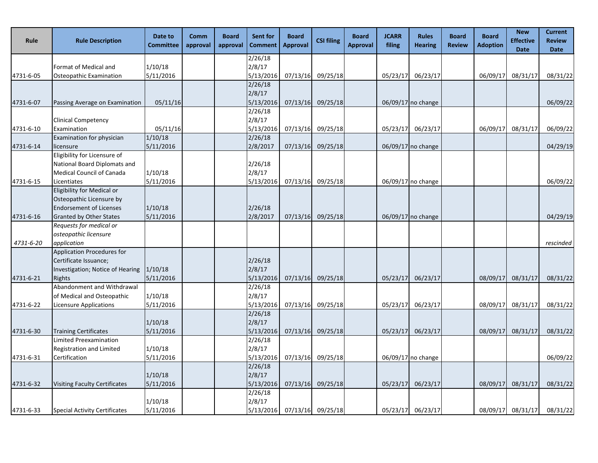| Rule      | <b>Rule Description</b>                                   | Date to<br><b>Committee</b> | Comm<br>approval | <b>Board</b><br>approval | Sent for<br><b>Comment</b> | <b>Board</b><br><b>Approval</b> | <b>CSI filing</b> | <b>Board</b><br><b>Approval</b> | <b>JCARR</b><br>filing | <b>Rules</b><br><b>Hearing</b> | <b>Board</b><br><b>Review</b> | <b>Board</b><br><b>Adoption</b> | <b>New</b><br><b>Effective</b><br><b>Date</b> | <b>Current</b><br><b>Review</b><br><b>Date</b> |
|-----------|-----------------------------------------------------------|-----------------------------|------------------|--------------------------|----------------------------|---------------------------------|-------------------|---------------------------------|------------------------|--------------------------------|-------------------------------|---------------------------------|-----------------------------------------------|------------------------------------------------|
|           |                                                           |                             |                  |                          | 2/26/18                    |                                 |                   |                                 |                        |                                |                               |                                 |                                               |                                                |
|           | Format of Medical and                                     | 1/10/18                     |                  |                          | 2/8/17                     |                                 |                   |                                 |                        |                                |                               |                                 |                                               |                                                |
| 4731-6-05 | Osteopathic Examination                                   | 5/11/2016                   |                  |                          | 5/13/2016                  | 07/13/16                        | 09/25/18          |                                 | 05/23/17               | 06/23/17                       |                               | 06/09/17                        | 08/31/17                                      | 08/31/22                                       |
|           |                                                           |                             |                  |                          | 2/26/18                    |                                 |                   |                                 |                        |                                |                               |                                 |                                               |                                                |
|           |                                                           |                             |                  |                          | 2/8/17                     |                                 |                   |                                 |                        |                                |                               |                                 |                                               |                                                |
| 4731-6-07 | Passing Average on Examination                            | 05/11/16                    |                  |                          | 5/13/2016                  | 07/13/16                        | 09/25/18          |                                 |                        | 06/09/17 no change             |                               |                                 |                                               | 06/09/22                                       |
|           |                                                           |                             |                  |                          | 2/26/18                    |                                 |                   |                                 |                        |                                |                               |                                 |                                               |                                                |
|           | <b>Clinical Competency</b>                                |                             |                  |                          | 2/8/17                     |                                 |                   |                                 |                        |                                |                               |                                 |                                               |                                                |
| 4731-6-10 | Examination                                               | 05/11/16                    |                  |                          | 5/13/2016                  | 07/13/16                        | 09/25/18          |                                 | 05/23/17               | 06/23/17                       |                               | 06/09/17                        | 08/31/17                                      | 06/09/22                                       |
|           | Examination for physician                                 | 1/10/18                     |                  |                          | 2/26/18                    |                                 |                   |                                 |                        |                                |                               |                                 |                                               |                                                |
| 4731-6-14 | licensure                                                 | 5/11/2016                   |                  |                          | 2/8/2017                   | 07/13/16                        | 09/25/18          |                                 |                        | 06/09/17 no change             |                               |                                 |                                               | 04/29/19                                       |
|           | Eligibility for Licensure of                              |                             |                  |                          |                            |                                 |                   |                                 |                        |                                |                               |                                 |                                               |                                                |
|           | National Board Diplomats and                              |                             |                  |                          | 2/26/18                    |                                 |                   |                                 |                        |                                |                               |                                 |                                               |                                                |
|           | <b>Medical Council of Canada</b>                          | 1/10/18                     |                  |                          | 2/8/17                     |                                 |                   |                                 |                        |                                |                               |                                 |                                               |                                                |
| 4731-6-15 | Licentiates                                               | 5/11/2016                   |                  |                          | 5/13/2016                  | 07/13/16                        | 09/25/18          |                                 |                        | 06/09/17 no change             |                               |                                 |                                               | 06/09/22                                       |
|           | Eligibility for Medical or                                |                             |                  |                          |                            |                                 |                   |                                 |                        |                                |                               |                                 |                                               |                                                |
|           | Osteopathic Licensure by                                  |                             |                  |                          |                            |                                 |                   |                                 |                        |                                |                               |                                 |                                               |                                                |
|           | <b>Endorsement of Licenses</b>                            | 1/10/18                     |                  |                          | 2/26/18                    |                                 |                   |                                 |                        |                                |                               |                                 |                                               |                                                |
| 4731-6-16 | <b>Granted by Other States</b>                            | 5/11/2016                   |                  |                          | 2/8/2017                   | 07/13/16                        | 09/25/18          |                                 |                        | 06/09/17 no change             |                               |                                 |                                               | 04/29/19                                       |
|           | Requests for medical or                                   |                             |                  |                          |                            |                                 |                   |                                 |                        |                                |                               |                                 |                                               |                                                |
|           | osteopathic licensure                                     |                             |                  |                          |                            |                                 |                   |                                 |                        |                                |                               |                                 |                                               |                                                |
| 4731-6-20 | application<br><b>Application Procedures for</b>          |                             |                  |                          |                            |                                 |                   |                                 |                        |                                |                               |                                 |                                               | rescinded                                      |
|           |                                                           |                             |                  |                          |                            |                                 |                   |                                 |                        |                                |                               |                                 |                                               |                                                |
|           | Certificate Issuance;<br>Investigation; Notice of Hearing | 1/10/18                     |                  |                          | 2/26/18<br>2/8/17          |                                 |                   |                                 |                        |                                |                               |                                 |                                               |                                                |
| 4731-6-21 | Rights                                                    | 5/11/2016                   |                  |                          | 5/13/2016                  | 07/13/16                        | 09/25/18          |                                 | 05/23/17               | 06/23/17                       |                               | 08/09/17                        | 08/31/17                                      | 08/31/22                                       |
|           | Abandonment and Withdrawal                                |                             |                  |                          | 2/26/18                    |                                 |                   |                                 |                        |                                |                               |                                 |                                               |                                                |
|           | of Medical and Osteopathic                                | 1/10/18                     |                  |                          | 2/8/17                     |                                 |                   |                                 |                        |                                |                               |                                 |                                               |                                                |
| 4731-6-22 | Licensure Applications                                    | 5/11/2016                   |                  |                          | 5/13/2016                  | 07/13/16                        | 09/25/18          |                                 | 05/23/17               | 06/23/17                       |                               | 08/09/17                        | 08/31/17                                      | 08/31/22                                       |
|           |                                                           |                             |                  |                          | 2/26/18                    |                                 |                   |                                 |                        |                                |                               |                                 |                                               |                                                |
|           |                                                           | 1/10/18                     |                  |                          | 2/8/17                     |                                 |                   |                                 |                        |                                |                               |                                 |                                               |                                                |
| 4731-6-30 | <b>Training Certificates</b>                              | 5/11/2016                   |                  |                          | 5/13/2016                  | 07/13/16                        | 09/25/18          |                                 | 05/23/17               | 06/23/17                       |                               | 08/09/17                        | 08/31/17                                      | 08/31/22                                       |
|           | <b>Limited Preexamination</b>                             |                             |                  |                          | 2/26/18                    |                                 |                   |                                 |                        |                                |                               |                                 |                                               |                                                |
|           | Registration and Limited                                  | 1/10/18                     |                  |                          | 2/8/17                     |                                 |                   |                                 |                        |                                |                               |                                 |                                               |                                                |
| 4731-6-31 | Certification                                             | 5/11/2016                   |                  |                          | 5/13/2016                  | 07/13/16                        | 09/25/18          |                                 |                        | 06/09/17 no change             |                               |                                 |                                               | 06/09/22                                       |
|           |                                                           |                             |                  |                          | 2/26/18                    |                                 |                   |                                 |                        |                                |                               |                                 |                                               |                                                |
|           |                                                           | 1/10/18                     |                  |                          | 2/8/17                     |                                 |                   |                                 |                        |                                |                               |                                 |                                               |                                                |
| 4731-6-32 | <b>Visiting Faculty Certificates</b>                      | 5/11/2016                   |                  |                          | 5/13/2016                  | 07/13/16                        | 09/25/18          |                                 | 05/23/17               | 06/23/17                       |                               | 08/09/17                        | 08/31/17                                      | 08/31/22                                       |
|           |                                                           |                             |                  |                          | 2/26/18                    |                                 |                   |                                 |                        |                                |                               |                                 |                                               |                                                |
|           |                                                           | 1/10/18                     |                  |                          | 2/8/17                     |                                 |                   |                                 |                        |                                |                               |                                 |                                               |                                                |
| 4731-6-33 | <b>Special Activity Certificates</b>                      | 5/11/2016                   |                  |                          | 5/13/2016                  |                                 | 07/13/16 09/25/18 |                                 | 05/23/17               | 06/23/17                       |                               |                                 | 08/09/17 08/31/17                             | 08/31/22                                       |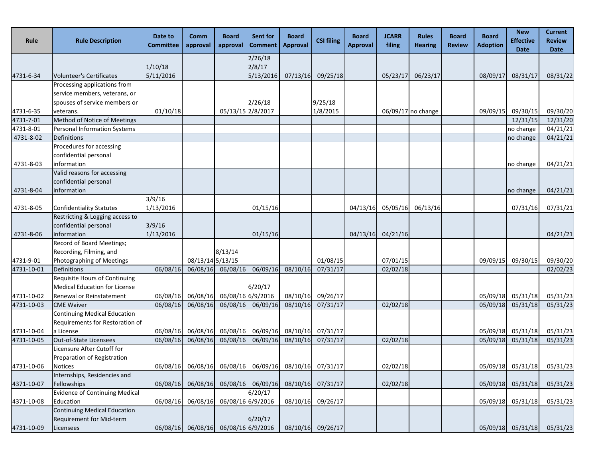| Rule       | <b>Rule Description</b>                                         | Date to<br><b>Committee</b> | Comm<br>approval  | <b>Board</b><br>approval                     | Sent for<br><b>Comment</b> | <b>Board</b><br><b>Approval</b> | <b>CSI filing</b>                                     | <b>Board</b><br><b>Approval</b> | <b>JCARR</b><br>filing | <b>Rules</b><br><b>Hearing</b> | <b>Board</b><br><b>Review</b> | <b>Board</b><br><b>Adoption</b> | <b>New</b><br><b>Effective</b><br><b>Date</b> | <b>Current</b><br><b>Review</b><br><b>Date</b> |
|------------|-----------------------------------------------------------------|-----------------------------|-------------------|----------------------------------------------|----------------------------|---------------------------------|-------------------------------------------------------|---------------------------------|------------------------|--------------------------------|-------------------------------|---------------------------------|-----------------------------------------------|------------------------------------------------|
|            |                                                                 |                             |                   |                                              | 2/26/18                    |                                 |                                                       |                                 |                        |                                |                               |                                 |                                               |                                                |
|            |                                                                 | 1/10/18                     |                   |                                              | 2/8/17                     |                                 |                                                       |                                 |                        |                                |                               |                                 |                                               |                                                |
| 4731-6-34  | <b>Volunteer's Certificates</b><br>Processing applications from | 5/11/2016                   |                   |                                              | 5/13/2016                  | 07/13/16                        | 09/25/18                                              |                                 | 05/23/17               | 06/23/17                       |                               | 08/09/17                        | 08/31/17                                      | 08/31/22                                       |
|            | service members, veterans, or                                   |                             |                   |                                              |                            |                                 |                                                       |                                 |                        |                                |                               |                                 |                                               |                                                |
|            | spouses of service members or                                   |                             |                   |                                              | 2/26/18                    |                                 | 9/25/18                                               |                                 |                        |                                |                               |                                 |                                               |                                                |
| 4731-6-35  | veterans.                                                       | 01/10/18                    |                   | 05/13/15 2/8/2017                            |                            |                                 | 1/8/2015                                              |                                 |                        | 06/09/17 no change             |                               | 09/09/15                        | 09/30/15                                      | 09/30/20                                       |
| 4731-7-01  | Method of Notice of Meetings                                    |                             |                   |                                              |                            |                                 |                                                       |                                 |                        |                                |                               |                                 | 12/31/15                                      | 12/31/20                                       |
| 4731-8-01  | Personal Information Systems                                    |                             |                   |                                              |                            |                                 |                                                       |                                 |                        |                                |                               |                                 | no change                                     | 04/21/21                                       |
| 4731-8-02  | <b>Definitions</b>                                              |                             |                   |                                              |                            |                                 |                                                       |                                 |                        |                                |                               |                                 | no change                                     | 04/21/21                                       |
|            | Procedures for accessing                                        |                             |                   |                                              |                            |                                 |                                                       |                                 |                        |                                |                               |                                 |                                               |                                                |
|            | confidential personal                                           |                             |                   |                                              |                            |                                 |                                                       |                                 |                        |                                |                               |                                 |                                               |                                                |
| 4731-8-03  | information                                                     |                             |                   |                                              |                            |                                 |                                                       |                                 |                        |                                |                               |                                 | no change                                     | 04/21/21                                       |
|            | Valid reasons for accessing                                     |                             |                   |                                              |                            |                                 |                                                       |                                 |                        |                                |                               |                                 |                                               |                                                |
|            | confidential personal                                           |                             |                   |                                              |                            |                                 |                                                       |                                 |                        |                                |                               |                                 |                                               |                                                |
| 4731-8-04  | information                                                     |                             |                   |                                              |                            |                                 |                                                       |                                 |                        |                                |                               |                                 | no change                                     | 04/21/21                                       |
|            |                                                                 | 3/9/16                      |                   |                                              |                            |                                 |                                                       |                                 |                        |                                |                               |                                 |                                               |                                                |
| 4731-8-05  | <b>Confidentiality Statutes</b>                                 | 1/13/2016                   |                   |                                              | 01/15/16                   |                                 |                                                       | 04/13/16                        | 05/05/16               | 06/13/16                       |                               |                                 | 07/31/16                                      | 07/31/21                                       |
|            | Restricting & Logging access to<br>confidential personal        | 3/9/16                      |                   |                                              |                            |                                 |                                                       |                                 |                        |                                |                               |                                 |                                               |                                                |
| 4731-8-06  | information                                                     | 1/13/2016                   |                   |                                              | 01/15/16                   |                                 |                                                       | 04/13/16                        | 04/21/16               |                                |                               |                                 |                                               | 04/21/21                                       |
|            | Record of Board Meetings;                                       |                             |                   |                                              |                            |                                 |                                                       |                                 |                        |                                |                               |                                 |                                               |                                                |
|            | Recording, Filming, and                                         |                             |                   | 8/13/14                                      |                            |                                 |                                                       |                                 |                        |                                |                               |                                 |                                               |                                                |
| 4731-9-01  | Photographing of Meetings                                       |                             | 08/13/14 5/13/15  |                                              |                            |                                 | 01/08/15                                              |                                 | 07/01/15               |                                |                               | 09/09/15                        | 09/30/15                                      | 09/30/20                                       |
| 4731-10-01 | Definitions                                                     | 06/08/16                    | 06/08/16          | 06/08/16                                     | 06/09/16                   | 08/10/16                        | 07/31/17                                              |                                 | 02/02/18               |                                |                               |                                 |                                               | 02/02/23                                       |
|            | Requisite Hours of Continuing                                   |                             |                   |                                              |                            |                                 |                                                       |                                 |                        |                                |                               |                                 |                                               |                                                |
|            | <b>Medical Education for License</b>                            |                             |                   |                                              | 6/20/17                    |                                 |                                                       |                                 |                        |                                |                               |                                 |                                               |                                                |
| 4731-10-02 | Renewal or Reinstatement                                        |                             | 06/08/16 06/08/16 | 06/08/16 6/9/2016                            |                            | 08/10/16                        | 09/26/17                                              |                                 |                        |                                |                               |                                 | 05/09/18 05/31/18                             | 05/31/23                                       |
| 4731-10-03 | <b>CME Waiver</b>                                               | 06/08/16                    | 06/08/16          | 06/08/16                                     | 06/09/16                   | 08/10/16                        | 07/31/17                                              |                                 | $\overline{02}/02/18$  |                                |                               | 05/09/18                        | 05/31/18                                      | 05/31/23                                       |
|            | <b>Continuing Medical Education</b>                             |                             |                   |                                              |                            |                                 |                                                       |                                 |                        |                                |                               |                                 |                                               |                                                |
|            | Requirements for Restoration of                                 |                             |                   |                                              |                            |                                 |                                                       |                                 |                        |                                |                               |                                 |                                               |                                                |
| 4731-10-04 | a License                                                       | 06/08/16                    |                   | 06/08/16 06/08/16 06/09/16 08/10/16 07/31/17 |                            |                                 |                                                       |                                 |                        |                                |                               |                                 | 05/09/18 05/31/18                             | 05/31/23                                       |
| 4731-10-05 | Out-of-State Licensees                                          |                             |                   |                                              |                            |                                 | 06/08/16 06/08/16 06/08/16 06/09/16 08/10/16 07/31/17 |                                 | 02/02/18               |                                |                               |                                 |                                               | 05/09/18 05/31/18 05/31/23                     |
|            | Licensure After Cutoff for                                      |                             |                   |                                              |                            |                                 |                                                       |                                 |                        |                                |                               |                                 |                                               |                                                |
|            | Preparation of Registration                                     |                             |                   |                                              |                            |                                 |                                                       |                                 |                        |                                |                               |                                 |                                               |                                                |
| 4731-10-06 | Notices                                                         | 06/08/16                    | 06/08/16          | 06/08/16                                     | 06/09/16                   | 08/10/16                        | 07/31/17                                              |                                 | 02/02/18               |                                |                               | 05/09/18                        | 05/31/18                                      | 05/31/23                                       |
| 4371-10-07 | Internships, Residencies and<br>Fellowships                     | 06/08/16                    | 06/08/16          | 06/08/16                                     | 06/09/16                   | 08/10/16                        | 07/31/17                                              |                                 | 02/02/18               |                                |                               | 05/09/18                        | 05/31/18                                      | 05/31/23                                       |
|            | <b>Evidence of Continuing Medical</b>                           |                             |                   |                                              | 6/20/17                    |                                 |                                                       |                                 |                        |                                |                               |                                 |                                               |                                                |
| 4371-10-08 | Education                                                       | 06/08/16                    | 06/08/16          | 06/08/16 6/9/2016                            |                            | 08/10/16                        | 09/26/17                                              |                                 |                        |                                |                               | 05/09/18                        | 05/31/18                                      | 05/31/23                                       |
|            | <b>Continuing Medical Education</b>                             |                             |                   |                                              |                            |                                 |                                                       |                                 |                        |                                |                               |                                 |                                               |                                                |
|            | Requirement for Mid-term                                        |                             |                   |                                              | 6/20/17                    |                                 |                                                       |                                 |                        |                                |                               |                                 |                                               |                                                |
| 4731-10-09 | Licensees                                                       | 06/08/16                    | 06/08/16          | 06/08/16 6/9/2016                            |                            | 08/10/16                        | 09/26/17                                              |                                 |                        |                                |                               | 05/09/18                        | 05/31/18                                      | 05/31/23                                       |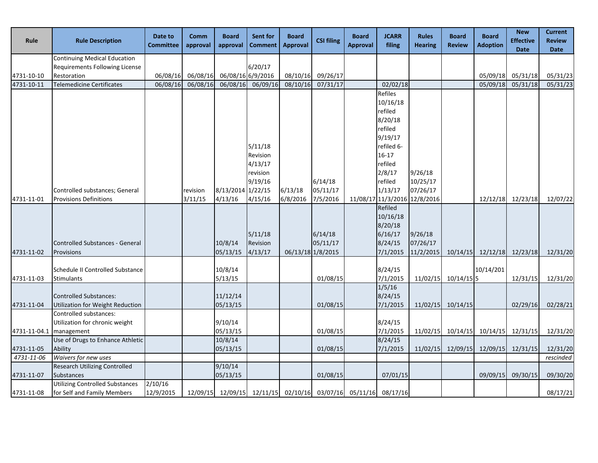| Rule         | <b>Rule Description</b>              | Date to<br><b>Committee</b> | Comm<br>approval | <b>Board</b><br>approval   | <b>Sent for</b><br><b>Comment</b> | <b>Board</b><br><b>Approval</b>     | <b>CSI filing</b> | <b>Board</b><br><b>Approval</b> | <b>JCARR</b><br>filing       | <b>Rules</b><br><b>Hearing</b> | <b>Board</b><br><b>Review</b> | <b>Board</b><br><b>Adoption</b> | <b>New</b><br><b>Effective</b><br><b>Date</b> | <b>Current</b><br><b>Review</b><br><b>Date</b> |
|--------------|--------------------------------------|-----------------------------|------------------|----------------------------|-----------------------------------|-------------------------------------|-------------------|---------------------------------|------------------------------|--------------------------------|-------------------------------|---------------------------------|-----------------------------------------------|------------------------------------------------|
|              | <b>Continuing Medical Education</b>  |                             |                  |                            |                                   |                                     |                   |                                 |                              |                                |                               |                                 |                                               |                                                |
|              | Requirements Following License       |                             |                  |                            | 6/20/17                           |                                     |                   |                                 |                              |                                |                               |                                 |                                               |                                                |
| 4731-10-10   | Restoration                          | 06/08/16                    |                  | 06/08/16 06/08/16 6/9/2016 |                                   | 08/10/16                            | 09/26/17          |                                 |                              |                                |                               | 05/09/18                        | 05/31/18                                      | 05/31/23                                       |
| 4731-10-11   | <b>Telemedicine Certificates</b>     | 06/08/16                    | 06/08/16         | 06/08/16                   | 06/09/16                          | 08/10/16                            | 07/31/17          |                                 | 02/02/18                     |                                |                               | 05/09/18                        | 05/31/18                                      | 05/31/23                                       |
|              |                                      |                             |                  |                            |                                   |                                     |                   |                                 | Refiles                      |                                |                               |                                 |                                               |                                                |
|              |                                      |                             |                  |                            |                                   |                                     |                   |                                 | 10/16/18                     |                                |                               |                                 |                                               |                                                |
|              |                                      |                             |                  |                            |                                   |                                     |                   |                                 | refiled                      |                                |                               |                                 |                                               |                                                |
|              |                                      |                             |                  |                            |                                   |                                     |                   |                                 | 8/20/18                      |                                |                               |                                 |                                               |                                                |
|              |                                      |                             |                  |                            |                                   |                                     |                   |                                 | refiled                      |                                |                               |                                 |                                               |                                                |
|              |                                      |                             |                  |                            |                                   |                                     |                   |                                 | 9/19/17                      |                                |                               |                                 |                                               |                                                |
|              |                                      |                             |                  |                            | 5/11/18                           |                                     |                   |                                 | refiled 6-                   |                                |                               |                                 |                                               |                                                |
|              |                                      |                             |                  |                            | Revision                          |                                     |                   |                                 | $16 - 17$                    |                                |                               |                                 |                                               |                                                |
|              |                                      |                             |                  |                            | 4/13/17                           |                                     |                   |                                 | refiled                      |                                |                               |                                 |                                               |                                                |
|              |                                      |                             |                  |                            | revision                          |                                     |                   |                                 | 2/8/17                       | 9/26/18                        |                               |                                 |                                               |                                                |
|              |                                      |                             |                  |                            | 9/19/16                           |                                     | 6/14/18           |                                 | refiled                      | 10/25/17                       |                               |                                 |                                               |                                                |
|              | Controlled substances; General       |                             | revision         | 8/13/2014 1/22/15          |                                   | 6/13/18                             | 05/11/17          |                                 | 1/13/17                      | 07/26/17                       |                               |                                 |                                               |                                                |
| 4731-11-01   | <b>Provisions Definitions</b>        |                             | 3/11/15          | 4/13/16                    | 4/15/16                           | 6/8/2016                            | 7/5/2016          |                                 | 11/08/17 11/3/2016 12/8/2016 |                                |                               |                                 | 12/12/18 12/23/18                             | 12/07/22                                       |
|              |                                      |                             |                  |                            |                                   |                                     |                   |                                 | Refiled                      |                                |                               |                                 |                                               |                                                |
|              |                                      |                             |                  |                            |                                   |                                     |                   |                                 | 10/16/18                     |                                |                               |                                 |                                               |                                                |
|              |                                      |                             |                  |                            |                                   |                                     | 6/14/18           |                                 | 8/20/18                      |                                |                               |                                 |                                               |                                                |
|              | Controlled Substances - General      |                             |                  | 10/8/14                    | 5/11/18<br>Revision               |                                     | 05/11/17          |                                 | 6/16/17<br>8/24/15           | 9/26/18<br>07/26/17            |                               |                                 |                                               |                                                |
| 4731-11-02   | Provisions                           |                             |                  | 05/13/15                   | 4/13/17                           |                                     | 06/13/18 1/8/2015 |                                 | 7/1/2015                     | 11/2/2015                      |                               | 10/14/15 12/12/18 12/23/18      |                                               | 12/31/20                                       |
|              |                                      |                             |                  |                            |                                   |                                     |                   |                                 |                              |                                |                               |                                 |                                               |                                                |
|              | Schedule II Controlled Substance     |                             |                  | 10/8/14                    |                                   |                                     |                   |                                 | 8/24/15                      |                                |                               | 10/14/201                       |                                               |                                                |
| 4731-11-03   | Stimulants                           |                             |                  | 5/13/15                    |                                   |                                     | 01/08/15          |                                 | 7/1/2015                     |                                | 11/02/15 10/14/15 5           |                                 | 12/31/15                                      | 12/31/20                                       |
|              |                                      |                             |                  |                            |                                   |                                     |                   |                                 | 1/5/16                       |                                |                               |                                 |                                               |                                                |
|              | Controlled Substances:               |                             |                  | 11/12/14                   |                                   |                                     |                   |                                 | 8/24/15                      |                                |                               |                                 |                                               |                                                |
| 4731-11-04   | Utilization for Weight Reduction     |                             |                  | 05/13/15                   |                                   |                                     | 01/08/15          |                                 | 7/1/2015                     |                                | 11/02/15 10/14/15             |                                 | 02/29/16                                      | 02/28/21                                       |
|              | Controlled substances:               |                             |                  |                            |                                   |                                     |                   |                                 |                              |                                |                               |                                 |                                               |                                                |
|              | Utilization for chronic weight       |                             |                  | 9/10/14                    |                                   |                                     |                   |                                 | 8/24/15                      |                                |                               |                                 |                                               |                                                |
| 4731-11-04.1 | management                           |                             |                  | 05/13/15                   |                                   |                                     | 01/08/15          |                                 | 7/1/2015                     | 11/02/15                       |                               | 10/14/15 10/14/15 12/31/15      |                                               | 12/31/20                                       |
|              | Use of Drugs to Enhance Athletic     |                             |                  | 10/8/14                    |                                   |                                     |                   |                                 | 8/24/15                      |                                |                               |                                 |                                               |                                                |
| 4731-11-05   | Ability                              |                             |                  | 05/13/15                   |                                   |                                     | 01/08/15          |                                 | 7/1/2015                     | 11/02/15                       |                               | 12/09/15 12/09/15               | 12/31/15                                      | 12/31/20                                       |
| 4731-11-06   | Waivers for new uses                 |                             |                  |                            |                                   |                                     |                   |                                 |                              |                                |                               |                                 |                                               | rescinded                                      |
|              | <b>Research Utilizing Controlled</b> |                             |                  | 9/10/14                    |                                   |                                     |                   |                                 |                              |                                |                               |                                 |                                               |                                                |
| 4731-11-07   | Substances                           |                             |                  | 05/13/15                   |                                   |                                     | 01/08/15          |                                 | 07/01/15                     |                                |                               | 09/09/15                        | 09/30/15                                      | 09/30/20                                       |
|              | Utilizing Controlled Substances      | 2/10/16                     |                  |                            |                                   |                                     |                   |                                 |                              |                                |                               |                                 |                                               |                                                |
| 4731-11-08   | for Self and Family Members          | 12/9/2015                   |                  |                            |                                   | 12/09/15 12/09/15 12/11/15 02/10/16 |                   | 03/07/16 05/11/16 08/17/16      |                              |                                |                               |                                 |                                               | 08/17/21                                       |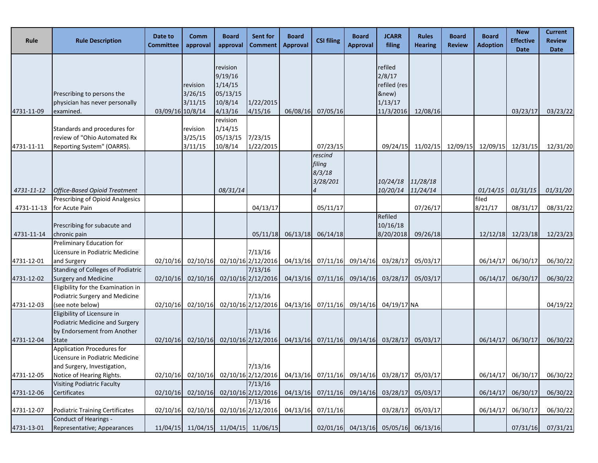| Rule                     | <b>Rule Description</b>                                                                                                   | Date to<br><b>Committee</b> | Comm<br>approval               | <b>Board</b><br>approval                                         | Sent for<br><b>Comment</b>                                                                   | <b>Board</b><br><b>Approval</b> | <b>CSI filing</b>                       | <b>Board</b><br><b>Approval</b> | <b>JCARR</b><br>filing                                             | <b>Rules</b><br><b>Hearing</b> | <b>Board</b><br><b>Review</b> | <b>Board</b><br><b>Adoption</b> | <b>New</b><br><b>Effective</b><br><b>Date</b> | <b>Current</b><br><b>Review</b><br><b>Date</b> |
|--------------------------|---------------------------------------------------------------------------------------------------------------------------|-----------------------------|--------------------------------|------------------------------------------------------------------|----------------------------------------------------------------------------------------------|---------------------------------|-----------------------------------------|---------------------------------|--------------------------------------------------------------------|--------------------------------|-------------------------------|---------------------------------|-----------------------------------------------|------------------------------------------------|
| 4731-11-09               | Prescribing to persons the<br>physician has never personally<br>examined.                                                 | 03/09/16 10/8/14            | revision<br>3/26/15<br>3/11/15 | revision<br>9/19/16<br>1/14/15<br>05/13/15<br>10/8/14<br>4/13/16 | 1/22/2015<br>4/15/16                                                                         | 06/08/16                        | 07/05/16                                |                                 | refiled<br>2/8/17<br>refiled (res<br>&new)<br>1/13/17<br>11/3/2016 | 12/08/16                       |                               |                                 | 03/23/17                                      | 03/23/22                                       |
| 4731-11-11               | Standards and procedures for<br>review of "Ohio Automated Rx<br>Reporting System" (OARRS).                                |                             | revision<br>3/25/15<br>3/11/15 | revision<br>1/14/15<br>05/13/15<br>10/8/14                       | 7/23/15<br>1/22/2015                                                                         |                                 | 07/23/15                                |                                 | 09/24/15                                                           |                                |                               | 11/02/15 12/09/15 12/09/15      | 12/31/15                                      | 12/31/20                                       |
|                          |                                                                                                                           |                             |                                |                                                                  |                                                                                              |                                 | rescind<br>filing<br>8/3/18<br>3/28/201 |                                 | 10/24/18                                                           | 11/28/18                       |                               |                                 |                                               |                                                |
| 4731-11-12<br>4731-11-13 | <b>Office-Based Opioid Treatment</b><br>Prescribing of Opioid Analgesics<br>for Acute Pain                                |                             |                                | 08/31/14                                                         | 04/13/17                                                                                     |                                 | 05/11/17                                |                                 | 10/20/14                                                           | 11/24/14<br>07/26/17           |                               | 01/14/15<br>filed<br>8/21/17    | 01/31/15<br>08/31/17                          | 01/31/20<br>08/31/22                           |
| 4731-11-14               | Prescribing for subacute and<br>chronic pain                                                                              |                             |                                |                                                                  | 05/11/18                                                                                     |                                 | 06/13/18 06/14/18                       |                                 | Refiled<br>10/16/18<br>8/20/2018                                   | 09/26/18                       |                               |                                 | 12/12/18 12/23/18                             | 12/23/23                                       |
| 4731-12-01               | Preliminary Education for<br>Licensure in Podiatric Medicine<br>and Surgery                                               | 02/10/16                    |                                |                                                                  | 7/13/16<br>02/10/16 02/10/16 2/12/2016                                                       |                                 | 04/13/16 07/11/16                       | 09/14/16                        | 03/28/17                                                           | 05/03/17                       |                               | 06/14/17                        | 06/30/17                                      | 06/30/22                                       |
| 4731-12-02               | Standing of Colleges of Podiatric<br><b>Surgery and Medicine</b>                                                          | 02/10/16                    | 02/10/16                       |                                                                  | 7/13/16<br>02/10/16 2/12/2016                                                                |                                 | $04/13/16$ $07/11/16$                   | 09/14/16                        | 03/28/17                                                           | 05/03/17                       |                               | 06/14/17                        | 06/30/17                                      | 06/30/22                                       |
| 4731-12-03               | Eligibility for the Examination in<br>Podiatric Surgery and Medicine<br>(see note below)                                  | 02/10/16                    |                                |                                                                  | 7/13/16<br>02/10/16 02/10/16 2/12/2016                                                       |                                 | 04/13/16 07/11/16 09/14/16 04/19/17 NA  |                                 |                                                                    |                                |                               |                                 |                                               | 04/19/22                                       |
| 4731-12-04               | Eligibility of Licensure in<br>Podiatric Medicine and Surgery<br>by Endorsement from Another<br>State                     |                             |                                |                                                                  | 7/13/16<br>02/10/16 02/10/16 02/10/16 2/12/2016 04/13/16 07/11/16 09/14/16 03/28/17 05/03/17 |                                 |                                         |                                 |                                                                    |                                |                               |                                 | 06/14/17 06/30/17                             | 06/30/22                                       |
| 4731-12-05               | Application Procedures for<br>Licensure in Podiatric Medicine<br>and Surgery, Investigation,<br>Notice of Hearing Rights. | 02/10/16                    |                                | 02/10/16 02/10/16 2/12/2016                                      | 7/13/16                                                                                      |                                 | 04/13/16 07/11/16                       | 09/14/16                        | 03/28/17                                                           | 05/03/17                       |                               | 06/14/17                        | 06/30/17                                      | 06/30/22                                       |
| 4731-12-06               | <b>Visiting Podiatric Faculty</b><br>Certificates                                                                         | 02/10/16                    | 02/10/16                       |                                                                  | 7/13/16<br>02/10/16 2/12/2016                                                                | 04/13/16                        | 07/11/16                                | 09/14/16                        | 03/28/17                                                           | 05/03/17                       |                               | 06/14/17                        | 06/30/17                                      | 06/30/22                                       |
| 4731-12-07               | Podiatric Training Certificates                                                                                           | 02/10/16                    |                                |                                                                  | 7/13/16<br>02/10/16 02/10/16 2/12/2016                                                       |                                 | 04/13/16 07/11/16                       |                                 | 03/28/17                                                           | 05/03/17                       |                               | 06/14/17                        | 06/30/17                                      | 06/30/22                                       |
| 4731-13-01               | Conduct of Hearings -<br>Representative; Appearances                                                                      | 11/04/15                    | 11/04/15                       |                                                                  | 11/04/15 11/06/15                                                                            |                                 | 02/01/16                                | 04/13/16                        | 05/05/16                                                           | 06/13/16                       |                               |                                 | 07/31/16                                      | 07/31/21                                       |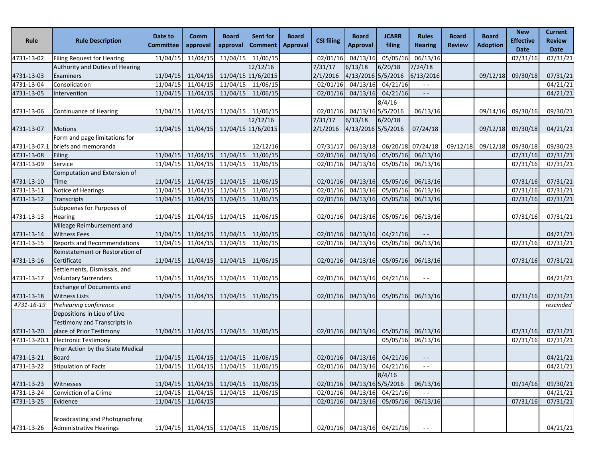| Rule         | <b>Rule Description</b>                                                                 | Date to<br><b>Committee</b> | Comm<br>approval           | <b>Board</b><br>approval | Sent for<br><b>Comment</b>          | <b>Board</b><br><b>Approval</b> | <b>CSI filing</b>   | <b>Board</b><br><b>Approval</b> | <b>JCARR</b><br>filing     | <b>Rules</b><br><b>Hearing</b> | <b>Board</b><br><b>Review</b> | <b>Board</b><br><b>Adoption</b> | <b>New</b><br><b>Effective</b><br><b>Date</b> | <b>Current</b><br><b>Review</b><br>Date |
|--------------|-----------------------------------------------------------------------------------------|-----------------------------|----------------------------|--------------------------|-------------------------------------|---------------------------------|---------------------|---------------------------------|----------------------------|--------------------------------|-------------------------------|---------------------------------|-----------------------------------------------|-----------------------------------------|
| 4731-13-02   | <b>Filing Request for Hearing</b>                                                       | 11/04/15                    | 11/04/15                   | 11/04/15                 | 11/06/15                            |                                 | 02/01/16            | 04/13/16                        | 05/05/16                   | 06/13/16                       |                               |                                 | 07/31/16                                      | 07/31/21                                |
|              | Authority and Duties of Hearing                                                         |                             |                            |                          | 12/12/16                            |                                 | 7/31/17             | 6/13/18                         | 6/20/18                    | 7/24/18                        |                               |                                 |                                               |                                         |
| 4731-13-03   | Examiners                                                                               | 11/04/15                    | 11/04/15                   |                          | 11/04/15 11/6/2015                  |                                 | 2/1/2016            | 4/13/2016 5/5/2016              |                            | 6/13/2016                      |                               | 09/12/18                        | 09/30/18                                      | 07/31/21                                |
| 4731-13-04   | Consolidation                                                                           | 11/04/15                    | 11/04/15                   | 11/04/15                 | 11/06/15                            |                                 | 02/01/16            | 04/13/16                        | 04/21/16                   | $- -$                          |                               |                                 |                                               | 04/21/21                                |
| 4731-13-05   | Intervention                                                                            | 11/04/15                    | 11/04/15                   | 11/04/15                 | 11/06/15                            |                                 | 02/01/16            | 04/13/16                        | 04/21/16                   | $\sim$ $\sim$                  |                               |                                 |                                               | 04/21/21                                |
| 4731-13-06   | <b>Continuance of Hearing</b>                                                           | 11/04/15                    | 11/04/15                   | 11/04/15                 | 11/06/15                            |                                 | 02/01/16            | 04/13/16 5/5/2016               | 8/4/16                     | 06/13/16                       |                               | 09/14/16                        | 09/30/16                                      | 09/30/21                                |
| 4731-13-07   | <b>Motions</b>                                                                          | 11/04/15                    | 11/04/15                   |                          | 12/12/16<br>11/04/15 11/6/2015      |                                 | 7/31/17<br>2/1/2016 | 6/13/18<br>4/13/2016 5/5/2016   | 6/20/18                    | 07/24/18                       |                               | 09/12/18                        | 09/30/18                                      | 04/21/21                                |
|              | Form and page limitations for                                                           |                             |                            |                          |                                     |                                 |                     |                                 |                            |                                |                               |                                 |                                               |                                         |
| 4731-13-07.1 | briefs and memoranda                                                                    |                             |                            |                          | 12/12/16                            |                                 | 07/31/17            | 06/13/18                        |                            | 06/20/18 07/24/18              | 09/12/18                      | 09/12/18                        | 09/30/18                                      | 09/30/23                                |
| 4731-13-08   | Filing                                                                                  | 11/04/15                    | 11/04/15                   | 11/04/15                 | 11/06/15                            |                                 | 02/01/16            | 04/13/16                        | 05/05/16                   | 06/13/16                       |                               |                                 | 07/31/16                                      | 07/31/21                                |
| 4731-13-09   | Service                                                                                 | 11/04/15                    | 11/04/15                   | 11/04/15                 | 11/06/15                            |                                 | 02/01/16            | 04/13/16                        | 05/05/16                   | 06/13/16                       |                               |                                 | 07/31/16                                      | 07/31/21                                |
| 4731-13-10   | Computation and Extension of<br>Time                                                    | 11/04/15                    | 11/04/15                   | 11/04/15                 | 11/06/15                            |                                 | 02/01/16            | 04/13/16                        | 05/05/16                   | 06/13/16                       |                               |                                 | 07/31/16                                      | 07/31/21                                |
| 4731-13-11   | Notice of Hearings                                                                      | 11/04/15                    | 11/04/15                   | 11/04/15                 | 11/06/15                            |                                 | 02/01/16            | 04/13/16                        | 05/05/16                   | 06/13/16                       |                               |                                 | 07/31/16                                      | 07/31/21                                |
| 4731-13-12   | Transcripts                                                                             | 11/04/15                    | 11/04/15                   | 11/04/15                 | 11/06/15                            |                                 | 02/01/16            | 04/13/16                        | 05/05/16                   | 06/13/16                       |                               |                                 | 07/31/16                                      | 07/31/21                                |
|              | Subpoenas for Purposes of                                                               |                             |                            |                          |                                     |                                 |                     |                                 |                            |                                |                               |                                 |                                               |                                         |
| 4731-13-13   | Hearing                                                                                 | 11/04/15                    | 11/04/15                   | 11/04/15                 | 11/06/15                            |                                 | 02/01/16            | 04/13/16                        | 05/05/16                   | 06/13/16                       |                               |                                 | 07/31/16                                      | 07/31/21                                |
|              | Mileage Reimbursement and                                                               |                             |                            |                          |                                     |                                 |                     |                                 |                            |                                |                               |                                 |                                               |                                         |
| 4731-13-14   | <b>Witness Fees</b>                                                                     | 11/04/15                    |                            | 11/04/15 11/04/15        | 11/06/15                            |                                 | 02/01/16            |                                 | 04/13/16 04/21/16          |                                |                               |                                 |                                               | 04/21/21                                |
| 4731-13-15   | <b>Reports and Recommendations</b>                                                      | 11/04/15                    | 11/04/15                   | 11/04/15                 | 11/06/15                            |                                 | 02/01/16            | 04/13/16                        | 05/05/16                   | 06/13/16                       |                               |                                 | 07/31/16                                      | 07/31/21                                |
| 4731-13-16   | Reinstatement or Restoration of<br>Certificate                                          | 11/04/15                    |                            | $11/04/15$ $11/04/15$    | 11/06/15                            |                                 | 02/01/16            | 04/13/16                        | 05/05/16                   | 06/13/16                       |                               |                                 | 07/31/16                                      | 07/31/21                                |
| 4731-13-17   | Settlements, Dismissals, and<br><b>Voluntary Surrenders</b>                             | 11/04/15                    |                            | 11/04/15 11/04/15        | 11/06/15                            |                                 | 02/01/16            |                                 | 04/13/16 04/21/16          | $\sim$ $-$                     |                               |                                 |                                               | 04/21/21                                |
| 4731-13-18   | <b>Exchange of Documents and</b><br><b>Witness Lists</b>                                | 11/04/15                    | 11/04/15                   | 11/04/15                 | 11/06/15                            |                                 |                     | 02/01/16 04/13/16               | 05/05/16                   | 06/13/16                       |                               |                                 | 07/31/16                                      | 07/31/21                                |
| 4731-16-19   | Prehearing conference                                                                   |                             |                            |                          |                                     |                                 |                     |                                 |                            |                                |                               |                                 |                                               | rescinded                               |
| 4731-13-20   | Depositions in Lieu of Live<br>Testimony and Transcripts in<br>place of Prior Testimony | 11/04/15                    |                            | 11/04/15 11/04/15        | 11/06/15                            |                                 | 02/01/16            | 04/13/16                        | 05/05/16                   | 06/13/16                       |                               |                                 | 07/31/16                                      | 07/31/21                                |
| 4731-13-20.1 | <b>Electronic Testimony</b>                                                             |                             |                            |                          |                                     |                                 |                     |                                 |                            | 05/05/16 06/13/16              |                               |                                 | 07/31/16                                      | 07/31/21                                |
|              | Prior Action by the State Medical                                                       |                             |                            |                          |                                     |                                 |                     |                                 |                            |                                |                               |                                 |                                               |                                         |
| 4731-13-21   | <b>Board</b>                                                                            |                             | 11/04/15 11/04/15 11/04/15 |                          | 11/06/15                            |                                 |                     |                                 | 02/01/16 04/13/16 04/21/16 | $- -$                          |                               |                                 |                                               | 04/21/21                                |
| 4731-13-22   | <b>Stipulation of Facts</b>                                                             | 11/04/15                    | 11/04/15 11/04/15          |                          | 11/06/15                            |                                 | 02/01/16            |                                 | 04/13/16 04/21/16          | $\sim$ $-$                     |                               |                                 |                                               | 04/21/21                                |
|              |                                                                                         |                             |                            |                          |                                     |                                 |                     |                                 | 8/4/16                     |                                |                               |                                 |                                               |                                         |
| 4731-13-23   | Witnesses                                                                               |                             |                            |                          | 11/04/15 11/04/15 11/04/15 11/06/15 |                                 |                     | 02/01/16 04/13/16 5/5/2016      |                            | 06/13/16                       |                               |                                 | 09/14/16                                      | 09/30/21                                |
| 4731-13-24   | Conviction of a Crime                                                                   | 11/04/15                    | 11/04/15 11/04/15          |                          | 11/06/15                            |                                 | 02/01/16            |                                 | 04/13/16 04/21/16          |                                |                               |                                 |                                               | 04/21/21                                |
| 4731-13-25   | Evidence                                                                                |                             | 11/04/15 11/04/15          |                          |                                     |                                 | 02/01/16            |                                 | 04/13/16 05/05/16          | 06/13/16                       |                               |                                 | 07/31/16                                      | 07/31/21                                |
| 4731-13-26   | Broadcasting and Photographing<br><b>Administrative Hearings</b>                        |                             |                            |                          | 11/04/15 11/04/15 11/04/15 11/06/15 |                                 |                     |                                 | 02/01/16 04/13/16 04/21/16 |                                |                               |                                 |                                               | 04/21/21                                |
|              |                                                                                         |                             |                            |                          |                                     |                                 |                     |                                 |                            |                                |                               |                                 |                                               |                                         |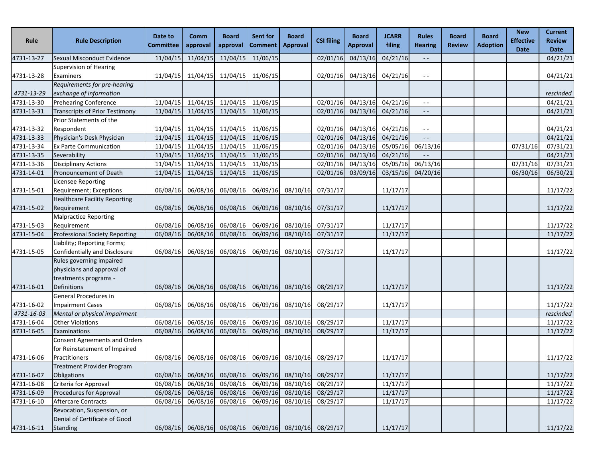| Rule       | <b>Rule Description</b>                                | Date to<br><b>Committee</b> | Comm<br>approval | <b>Board</b><br>approval | Sent for<br>Comment | <b>Board</b><br><b>Approval</b>                       | <b>CSI filing</b> | <b>Board</b><br><b>Approval</b> | <b>JCARR</b><br>filing | <b>Rules</b><br><b>Hearing</b> | <b>Board</b><br><b>Review</b> | <b>Board</b><br><b>Adoption</b> | <b>New</b><br><b>Effective</b> | <b>Current</b><br><b>Review</b> |
|------------|--------------------------------------------------------|-----------------------------|------------------|--------------------------|---------------------|-------------------------------------------------------|-------------------|---------------------------------|------------------------|--------------------------------|-------------------------------|---------------------------------|--------------------------------|---------------------------------|
| 4731-13-27 | Sexual Misconduct Evidence                             | 11/04/15                    | 11/04/15         | 11/04/15                 | 11/06/15            |                                                       | 02/01/16          | 04/13/16                        | 04/21/16               | $\sim$ $\sim$                  |                               |                                 | <b>Date</b>                    | <b>Date</b><br>04/21/21         |
|            | <b>Supervision of Hearing</b>                          |                             |                  |                          |                     |                                                       |                   |                                 |                        |                                |                               |                                 |                                |                                 |
| 4731-13-28 | Examiners                                              | 11/04/15                    | 11/04/15         | 11/04/15                 | 11/06/15            |                                                       | 02/01/16          | 04/13/16                        | 04/21/16               | $ -$                           |                               |                                 |                                | 04/21/21                        |
|            | Requirements for pre-hearing                           |                             |                  |                          |                     |                                                       |                   |                                 |                        |                                |                               |                                 |                                |                                 |
| 4731-13-29 | exchange of information                                |                             |                  |                          |                     |                                                       |                   |                                 |                        |                                |                               |                                 |                                | rescinded                       |
| 4731-13-30 | <b>Prehearing Conference</b>                           | 11/04/15                    | 11/04/15         | 11/04/15                 | 11/06/15            |                                                       | 02/01/16          | 04/13/16                        | 04/21/16               | $-$                            |                               |                                 |                                | 04/21/21                        |
| 4731-13-31 | <b>Transcripts of Prior Testimony</b>                  | 11/04/15                    | 11/04/15         | 11/04/15                 | 11/06/15            |                                                       | 02/01/16          | 04/13/16                        | 04/21/16               | $-$                            |                               |                                 |                                | 04/21/21                        |
|            | Prior Statements of the                                |                             |                  |                          |                     |                                                       |                   |                                 |                        |                                |                               |                                 |                                |                                 |
| 4731-13-32 | Respondent                                             | 11/04/15                    | 11/04/15         | 11/04/15                 | 11/06/15            |                                                       | 02/01/16          | 04/13/16                        | 04/21/16               | $ -$                           |                               |                                 |                                | 04/21/21                        |
| 4731-13-33 | Physician's Desk Physician                             | 11/04/15                    | 11/04/15         | 11/04/15                 | 11/06/15            |                                                       | 02/01/16          | 04/13/16                        | 04/21/16               | $ -$                           |                               |                                 |                                | 04/21/21                        |
| 4731-13-34 | <b>Ex Parte Communication</b>                          | 11/04/15                    | 11/04/15         | 11/04/15                 | 11/06/15            |                                                       | 02/01/16          | 04/13/16                        | 05/05/16               | 06/13/16                       |                               |                                 | 07/31/16                       | 07/31/21                        |
| 4731-13-35 | Severability                                           | 11/04/15                    | 11/04/15         | 11/04/15                 | 11/06/15            |                                                       | 02/01/16          | 04/13/16                        | 04/21/16               |                                |                               |                                 |                                | 04/21/21                        |
| 4731-13-36 | <b>Disciplinary Actions</b>                            | 11/04/15                    | 11/04/15         | 11/04/15                 | 11/06/15            |                                                       | 02/01/16          | 04/13/16                        | 05/05/16               | 06/13/16                       |                               |                                 | 07/31/16                       | 07/31/21                        |
| 4731-14-01 | Pronouncement of Death                                 | 11/04/15                    | 11/04/15         | 11/04/15                 | 11/06/15            |                                                       | 02/01/16          | 03/09/16                        | 03/15/16               | 04/20/16                       |                               |                                 | 06/30/16                       | 06/30/21                        |
|            | Licensee Reporting                                     |                             |                  |                          |                     |                                                       |                   |                                 |                        |                                |                               |                                 |                                |                                 |
| 4731-15-01 | Requirement; Exceptions                                | 06/08/16                    | 06/08/16         | 06/08/16                 | 06/09/16            | 08/10/16                                              | 07/31/17          |                                 | 11/17/17               |                                |                               |                                 |                                | 11/17/22                        |
|            | <b>Healthcare Facility Reporting</b>                   |                             |                  |                          |                     |                                                       |                   |                                 |                        |                                |                               |                                 |                                |                                 |
| 4731-15-02 | Requirement                                            | 06/08/16                    | 06/08/16         | 06/08/16                 |                     | 06/09/16 08/10/16                                     | 07/31/17          |                                 | 11/17/17               |                                |                               |                                 |                                | 11/17/22                        |
|            | <b>Malpractice Reporting</b>                           |                             |                  |                          |                     |                                                       |                   |                                 |                        |                                |                               |                                 |                                |                                 |
| 4731-15-03 | Requirement                                            | 06/08/16                    | 06/08/16         | 06/08/16                 | 06/09/16            | 08/10/16                                              | 07/31/17          |                                 | 11/17/17               |                                |                               |                                 |                                | 11/17/22                        |
| 4731-15-04 | Professional Society Reporting                         | 06/08/16                    | 06/08/16         | 06/08/16                 | 06/09/16            | 08/10/16                                              | 07/31/17          |                                 | 11/17/17               |                                |                               |                                 |                                | 11/17/22                        |
|            | Liability; Reporting Forms;                            |                             |                  |                          |                     |                                                       |                   |                                 |                        |                                |                               |                                 |                                |                                 |
| 4731-15-05 | Confidentially and Disclosure                          | 06/08/16                    | 06/08/16         | 06/08/16                 | 06/09/16            | 08/10/16                                              | 07/31/17          |                                 | 11/17/17               |                                |                               |                                 |                                | 11/17/22                        |
|            | Rules governing impaired<br>physicians and approval of |                             |                  |                          |                     |                                                       |                   |                                 |                        |                                |                               |                                 |                                |                                 |
|            | treatments programs -                                  |                             |                  |                          |                     |                                                       |                   |                                 |                        |                                |                               |                                 |                                |                                 |
| 4731-16-01 | Definitions                                            | 06/08/16                    | 06/08/16         | 06/08/16                 |                     | 06/09/16 08/10/16                                     | 08/29/17          |                                 | 11/17/17               |                                |                               |                                 |                                | 11/17/22                        |
|            | General Procedures in                                  |                             |                  |                          |                     |                                                       |                   |                                 |                        |                                |                               |                                 |                                |                                 |
| 4731-16-02 | <b>Impairment Cases</b>                                | 06/08/16                    | 06/08/16         | 06/08/16                 | 06/09/16            | 08/10/16                                              | 08/29/17          |                                 | 11/17/17               |                                |                               |                                 |                                | 11/17/22                        |
| 4731-16-03 | Mental or physical impairment                          |                             |                  |                          |                     |                                                       |                   |                                 |                        |                                |                               |                                 |                                | rescinded                       |
| 4731-16-04 | <b>Other Violations</b>                                | 06/08/16                    | 06/08/16         | 06/08/16                 | 06/09/16            | 08/10/16                                              | 08/29/17          |                                 | 11/17/17               |                                |                               |                                 |                                | 11/17/22                        |
| 4731-16-05 | Examinations                                           | 06/08/16                    | 06/08/16         | 06/08/16                 | 06/09/16            | 08/10/16                                              | 08/29/17          |                                 | 11/17/17               |                                |                               |                                 |                                | 11/17/22                        |
|            | Consent Agreements and Orders                          |                             |                  |                          |                     |                                                       |                   |                                 |                        |                                |                               |                                 |                                |                                 |
|            | for Reinstatement of Impaired                          |                             |                  |                          |                     |                                                       |                   |                                 |                        |                                |                               |                                 |                                |                                 |
| 4731-16-06 | Practitioners                                          | 06/08/16                    | 06/08/16         | 06/08/16                 |                     | 06/09/16 08/10/16                                     | 08/29/17          |                                 | 11/17/17               |                                |                               |                                 |                                | 11/17/22                        |
|            | Treatment Provider Program                             |                             |                  |                          |                     |                                                       |                   |                                 |                        |                                |                               |                                 |                                |                                 |
| 4731-16-07 | Obligations                                            | 06/08/16                    | 06/08/16         | 06/08/16                 | 06/09/16            | 08/10/16                                              | 08/29/17          |                                 | 11/17/17               |                                |                               |                                 |                                | 11/17/22                        |
| 4731-16-08 | Criteria for Approval                                  | 06/08/16                    | 06/08/16         | 06/08/16                 | 06/09/16            | 08/10/16                                              | 08/29/17          |                                 | 11/17/17               |                                |                               |                                 |                                | 11/17/22                        |
| 4731-16-09 | Procedures for Approval                                | 06/08/16                    | 06/08/16         | 06/08/16                 |                     | 06/09/16 08/10/16                                     | 08/29/17          |                                 | 11/17/17               |                                |                               |                                 |                                | 11/17/22                        |
| 4731-16-10 | Aftercare Contracts                                    | 06/08/16                    | 06/08/16         | 06/08/16                 | 06/09/16            | 08/10/16                                              | 08/29/17          |                                 | 11/17/17               |                                |                               |                                 |                                | 11/17/22                        |
|            | Revocation, Suspension, or                             |                             |                  |                          |                     |                                                       |                   |                                 |                        |                                |                               |                                 |                                |                                 |
|            | Denial of Certificate of Good                          |                             |                  |                          |                     |                                                       |                   |                                 |                        |                                |                               |                                 |                                |                                 |
| 4731-16-11 | Standing                                               |                             |                  |                          |                     | 06/08/16 06/08/16 06/08/16 06/09/16 08/10/16 08/29/17 |                   |                                 | 11/17/17               |                                |                               |                                 |                                | 11/17/22                        |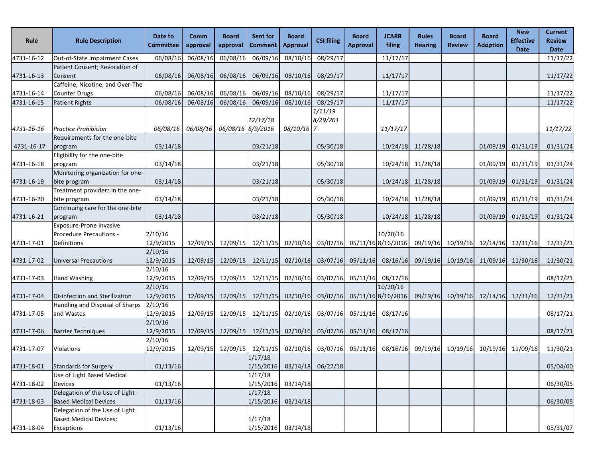| Rule                     | <b>Rule Description</b>                                                                         | Date to<br><b>Committee</b>     | <b>Comm</b><br>approval                         | <b>Board</b><br>approval | Sent for<br>Comment                                                                     | <b>Board</b><br><b>Approval</b> | <b>CSI filing</b>               | <b>Board</b><br><b>Approval</b> | <b>JCARR</b><br>filing                  | <b>Rules</b><br><b>Hearing</b> | <b>Board</b><br><b>Review</b>       | <b>Board</b><br><b>Adoption</b> | <b>New</b><br><b>Effective</b><br><b>Date</b> | <b>Current</b><br><b>Review</b><br><b>Date</b> |
|--------------------------|-------------------------------------------------------------------------------------------------|---------------------------------|-------------------------------------------------|--------------------------|-----------------------------------------------------------------------------------------|---------------------------------|---------------------------------|---------------------------------|-----------------------------------------|--------------------------------|-------------------------------------|---------------------------------|-----------------------------------------------|------------------------------------------------|
| 4731-16-12               | Out-of-State Impairment Cases                                                                   | 06/08/16                        | 06/08/16                                        | 06/08/16                 | 06/09/16                                                                                | 08/10/16                        | 08/29/17                        |                                 | 11/17/17                                |                                |                                     |                                 |                                               | 11/17/22                                       |
| 4731-16-13               | Patient Consent; Revocation of<br>Consent                                                       | 06/08/16                        | 06/08/16                                        | 06/08/16                 | 06/09/16                                                                                | 08/10/16                        | 08/29/17                        |                                 | 11/17/17                                |                                |                                     |                                 |                                               | 11/17/22                                       |
| 4731-16-14               | Caffeine, Nicotine, and Over-The<br><b>Counter Drugs</b>                                        | 06/08/16                        | 06/08/16                                        | 06/08/16                 | 06/09/16<br>06/09/16                                                                    | 08/10/16                        | 08/29/17                        |                                 | 11/17/17                                |                                |                                     |                                 |                                               | 11/17/22                                       |
| 4731-16-15<br>4731-16-16 | <b>Patient Rights</b><br><b>Practice Prohibition</b>                                            | 06/08/16                        | 06/08/16<br>06/08/16 06/08/16 06/08/16 6/9/2016 | 06/08/16                 | 12/17/18                                                                                | 08/10/16<br>08/10/16 7          | 08/29/17<br>1/11/19<br>8/29/201 |                                 | 11/17/17<br>11/17/17                    |                                |                                     |                                 |                                               | 11/17/22<br>11/17/22                           |
| 4731-16-17               | Requirements for the one-bite<br>program                                                        | 03/14/18                        |                                                 |                          | 03/21/18                                                                                |                                 | 05/30/18                        |                                 |                                         | 10/24/18 11/28/18              |                                     | 01/09/19                        | 01/31/19                                      | 01/31/24                                       |
| 4731-16-18               | Eligibility for the one-bite<br>program<br>Monitoring organization for one-                     | 03/14/18                        |                                                 |                          | 03/21/18                                                                                |                                 | 05/30/18                        |                                 | 10/24/18                                | 11/28/18                       |                                     | 01/09/19                        | 01/31/19                                      | 01/31/24                                       |
| 4731-16-19               | bite program<br>Treatment providers in the one-                                                 | 03/14/18                        |                                                 |                          | 03/21/18                                                                                |                                 | 05/30/18                        |                                 |                                         | 10/24/18 11/28/18              |                                     | 01/09/19                        | 01/31/19                                      | 01/31/24                                       |
| 4731-16-20               | bite program<br>Continuing care for the one-bite                                                | 03/14/18                        |                                                 |                          | 03/21/18                                                                                |                                 | 05/30/18                        |                                 |                                         | 10/24/18 11/28/18              |                                     | 01/09/19                        | 01/31/19                                      | 01/31/24                                       |
| 4731-16-21               | program<br>Exposure-Prone Invasive                                                              | 03/14/18                        |                                                 |                          | 03/21/18                                                                                |                                 | 05/30/18                        |                                 |                                         | 10/24/18 11/28/18              |                                     | 01/09/19                        | 01/31/19                                      | 01/31/24                                       |
| 4731-17-01               | Procedure Precautions -<br>Definitions                                                          | 2/10/16<br>12/9/2015            |                                                 |                          | 12/09/15 12/09/15 12/11/15 02/10/16                                                     |                                 |                                 |                                 | 10/20/16<br>03/07/16 05/11/16 8/16/2016 |                                | 09/19/16 10/19/16 12/14/16 12/31/16 |                                 |                                               | 12/31/21                                       |
| 4731-17-02               | <b>Universal Precautions</b>                                                                    | 2/10/16<br>12/9/2015            |                                                 |                          | 12/09/15 12/09/15 12/11/15 02/10/16                                                     |                                 |                                 |                                 | 03/07/16 05/11/16 08/16/16              |                                | 09/19/16 10/19/16 11/09/16 11/30/16 |                                 |                                               | 11/30/21                                       |
| 4731-17-03               | Hand Washing                                                                                    | 2/10/16<br>12/9/2015<br>2/10/16 | 12/09/15                                        |                          | 12/09/15 12/11/15                                                                       | 02/10/16                        | 03/07/16                        |                                 | 05/11/16 08/17/16<br>10/20/16           |                                |                                     |                                 |                                               | 08/17/21                                       |
| 4731-17-04               | Disinfection and Sterilization<br>Handling and Disposal of Sharps                               | 12/9/2015<br>2/10/16            | 12/09/15                                        |                          | $12/09/15$ $12/11/15$                                                                   | 02/10/16                        | 03/07/16                        |                                 | 05/11/16 8/16/2016                      |                                | 09/19/16 10/19/16 12/14/16 12/31/16 |                                 |                                               | 12/31/21                                       |
| 4731-17-05               | and Wastes                                                                                      | 12/9/2015<br>2/10/16            | 12/09/15                                        |                          | 12/09/15 12/11/15 02/10/16                                                              |                                 | 03/07/16                        | 05/11/16                        | 08/17/16                                |                                |                                     |                                 |                                               | 08/17/21                                       |
| 4731-17-06               | <b>Barrier Techniques</b>                                                                       | 12/9/2015<br>2/10/16            | 12/09/15                                        |                          | $12/09/15$ $12/11/15$                                                                   | 02/10/16                        | 03/07/16                        | 05/11/16                        | 08/17/16                                |                                |                                     |                                 |                                               | 08/17/21                                       |
| 4731-17-07               | Violations                                                                                      | 12/9/2015                       |                                                 |                          | $12/09/15$ $12/09/15$ $12/11/15$ $02/10/16$ $03/07/16$ $05/11/16$ $08/16/16$<br>1/17/18 |                                 |                                 |                                 |                                         |                                | 09/19/16 10/19/16 10/19/16 11/09/16 |                                 |                                               | 11/30/21                                       |
| 4731-18-01               | <b>Standards for Surgery</b><br>Use of Light Based Medical                                      | 01/13/16                        |                                                 |                          | 1/15/2016<br>1/17/18                                                                    | 03/14/18                        | 06/27/18                        |                                 |                                         |                                |                                     |                                 |                                               | 05/04/00                                       |
| 4731-18-02               | Devices<br>Delegation of the Use of Light                                                       | 01/13/16                        |                                                 |                          | 1/15/2016<br>1/17/18                                                                    | 03/14/18                        |                                 |                                 |                                         |                                |                                     |                                 |                                               | 06/30/05                                       |
| 4731-18-03               | <b>Based Medical Devices</b><br>Delegation of the Use of Light<br><b>Based Medical Devices;</b> | 01/13/16                        |                                                 |                          | 1/15/2016<br>1/17/18                                                                    | 03/14/18                        |                                 |                                 |                                         |                                |                                     |                                 |                                               | 06/30/05                                       |
| 4731-18-04               | Exceptions                                                                                      | 01/13/16                        |                                                 |                          | 1/15/2016 03/14/18                                                                      |                                 |                                 |                                 |                                         |                                |                                     |                                 |                                               | 05/31/07                                       |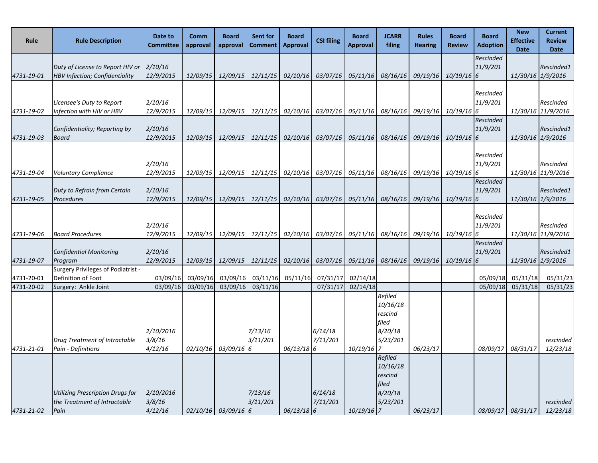| Rule       | <b>Rule Description</b>                                                   | Date to<br><b>Committee</b> | Comm<br>approval | <b>Board</b><br>approval | <b>Sent for</b><br><b>Comment</b>                                                  | <b>Board</b><br><b>Approval</b> | <b>CSI filing</b> | <b>Board</b><br><b>Approval</b> | <b>JCARR</b><br>filing                                                | <b>Rules</b><br><b>Hearing</b> | <b>Board</b><br><b>Review</b> | <b>Board</b><br><b>Adoption</b> | <b>New</b><br><b>Effective</b><br><b>Date</b> | <b>Current</b><br><b>Review</b><br><b>Date</b> |
|------------|---------------------------------------------------------------------------|-----------------------------|------------------|--------------------------|------------------------------------------------------------------------------------|---------------------------------|-------------------|---------------------------------|-----------------------------------------------------------------------|--------------------------------|-------------------------------|---------------------------------|-----------------------------------------------|------------------------------------------------|
|            |                                                                           |                             |                  |                          |                                                                                    |                                 |                   |                                 |                                                                       |                                |                               | Rescinded                       |                                               |                                                |
| 4731-19-01 | Duty of License to Report HIV or<br><b>HBV Infection; Confidentiality</b> | 2/10/16<br>12/9/2015        | 12/09/15         |                          | 12/09/15 12/11/15 02/10/16 03/07/16 05/11/16 08/16/16 09/19/16 10/19/16 6          |                                 |                   |                                 |                                                                       |                                |                               | 11/9/201                        |                                               | Rescinded1<br>11/30/16 1/9/2016                |
|            |                                                                           |                             |                  |                          |                                                                                    |                                 |                   |                                 |                                                                       |                                |                               |                                 |                                               |                                                |
|            |                                                                           |                             |                  |                          |                                                                                    |                                 |                   |                                 |                                                                       |                                |                               | Rescinded                       |                                               |                                                |
| 4731-19-02 | Licensee's Duty to Report<br>Infection with HIV or HBV                    | 2/10/16<br>12/9/2015        |                  | 12/09/15 12/09/15        | <i>12/11/15</i>                                                                    | 02/10/16                        | 03/07/16          | 05/11/16                        | 08/16/16                                                              |                                | 09/19/16 10/19/16 6           | 11/9/201                        |                                               | Rescinded<br>11/30/16 11/9/2016                |
|            |                                                                           |                             |                  |                          |                                                                                    |                                 |                   |                                 |                                                                       |                                |                               | Rescinded                       |                                               |                                                |
|            | Confidentiality; Reporting by                                             | 2/10/16                     |                  |                          |                                                                                    |                                 |                   |                                 |                                                                       |                                |                               | 11/9/201                        |                                               | Rescinded1                                     |
| 4731-19-03 | <b>Board</b>                                                              | 12/9/2015                   | 12/09/15         | 12/09/15                 | 12/11/15                                                                           | 02/10/16                        | 03/07/16          | 05/11/16                        | 08/16/16                                                              |                                | 09/19/16 10/19/16 6           |                                 | 11/30/16 1/9/2016                             |                                                |
|            |                                                                           |                             |                  |                          |                                                                                    |                                 |                   |                                 |                                                                       |                                |                               | Rescinded                       |                                               |                                                |
|            |                                                                           | 2/10/16                     |                  |                          |                                                                                    |                                 |                   |                                 |                                                                       |                                |                               | 11/9/201                        |                                               | Rescinded                                      |
| 4731-19-04 | <b>Voluntary Compliance</b>                                               | 12/9/2015                   |                  |                          | 12/09/15 12/09/15 12/11/15                                                         |                                 |                   |                                 | 02/10/16 03/07/16 05/11/16 08/16/16 09/19/16 10/19/16 6               |                                |                               |                                 |                                               | 11/30/16 11/9/2016                             |
|            | Duty to Refrain from Certain                                              | 2/10/16                     |                  |                          |                                                                                    |                                 |                   |                                 |                                                                       |                                |                               | Rescinded<br>11/9/201           |                                               | Rescinded1                                     |
| 4731-19-05 | <b>Procedures</b>                                                         | 12/9/2015                   | 12/09/15         |                          | 12/09/15 12/11/15                                                                  |                                 |                   |                                 | $02/10/16$ $03/07/16$ $05/11/16$ $08/16/16$ $09/19/16$ $10/19/16$ $6$ |                                |                               |                                 |                                               | 11/30/16 1/9/2016                              |
|            |                                                                           |                             |                  |                          |                                                                                    |                                 |                   |                                 |                                                                       |                                |                               |                                 |                                               |                                                |
|            |                                                                           | 2/10/16                     |                  |                          |                                                                                    |                                 |                   |                                 |                                                                       |                                |                               | Rescinded<br>11/9/201           |                                               | Rescinded                                      |
| 4731-19-06 | <b>Board Procedures</b>                                                   | 12/9/2015                   |                  |                          | 12/09/15 12/09/15 12/11/15                                                         |                                 |                   |                                 | 02/10/16 03/07/16 05/11/16 08/16/16 09/19/16 10/19/16 6               |                                |                               |                                 |                                               | 11/30/16 11/9/2016                             |
|            |                                                                           |                             |                  |                          |                                                                                    |                                 |                   |                                 |                                                                       |                                |                               | Rescinded                       |                                               |                                                |
|            | <b>Confidential Monitoring</b>                                            | 2/10/16                     |                  |                          |                                                                                    |                                 |                   |                                 |                                                                       |                                |                               | 11/9/201                        |                                               | Rescinded1                                     |
| 4731-19-07 | Program<br><b>Surgery Privileges of Podiatrist -</b>                      | 12/9/2015                   |                  |                          | 12/09/15 12/09/15 12/11/15 02/10/16 03/07/16 05/11/16 08/16/16 09/19/16 10/19/16 6 |                                 |                   |                                 |                                                                       |                                |                               |                                 | 11/30/16 1/9/2016                             |                                                |
| 4731-20-01 | Definition of Foot                                                        | 03/09/16                    | 03/09/16         | 03/09/16                 | 03/11/16                                                                           | 05/11/16                        | 07/31/17          | 02/14/18                        |                                                                       |                                |                               | 05/09/18                        | 05/31/18                                      | 05/31/23                                       |
| 4731-20-02 | Surgery: Ankle Joint                                                      | 03/09/16                    | 03/09/16         | 03/09/16                 | 03/11/16                                                                           |                                 | 07/31/17          | 02/14/18                        |                                                                       |                                |                               | 05/09/18                        | 05/31/18                                      | 05/31/23                                       |
|            |                                                                           |                             |                  |                          |                                                                                    |                                 |                   |                                 | Refiled                                                               |                                |                               |                                 |                                               |                                                |
|            |                                                                           |                             |                  |                          |                                                                                    |                                 |                   |                                 | 10/16/18<br>rescind                                                   |                                |                               |                                 |                                               |                                                |
|            |                                                                           |                             |                  |                          |                                                                                    |                                 |                   |                                 | filed                                                                 |                                |                               |                                 |                                               |                                                |
|            |                                                                           | 2/10/2016                   |                  |                          | 7/13/16                                                                            |                                 | 6/14/18           |                                 | 8/20/18                                                               |                                |                               |                                 |                                               |                                                |
| 4731-21-01 | Drug Treatment of Intractable<br>Pain - Definitions                       | 3/8/16<br>4/12/16           |                  | $02/10/16$ 03/09/16 6    | 3/11/201                                                                           | $06/13/18$ 6                    | 7/11/201          | $10/19/16$ 7                    | 5/23/201                                                              | 06/23/17                       |                               | 08/09/17                        | 08/31/17                                      | rescinded<br>12/23/18                          |
|            |                                                                           |                             |                  |                          |                                                                                    |                                 |                   |                                 | Refiled                                                               |                                |                               |                                 |                                               |                                                |
|            |                                                                           |                             |                  |                          |                                                                                    |                                 |                   |                                 | 10/16/18                                                              |                                |                               |                                 |                                               |                                                |
|            |                                                                           |                             |                  |                          |                                                                                    |                                 |                   |                                 | rescind                                                               |                                |                               |                                 |                                               |                                                |
|            | <b>Utilizing Prescription Drugs for</b>                                   | 2/10/2016                   |                  |                          | 7/13/16                                                                            |                                 | 6/14/18           |                                 | filed<br>8/20/18                                                      |                                |                               |                                 |                                               |                                                |
|            | the Treatment of Intractable                                              | 3/8/16                      |                  |                          | 3/11/201                                                                           |                                 | 7/11/201          |                                 | 5/23/201                                                              |                                |                               |                                 |                                               | rescinded                                      |
| 4731-21-02 | Pain                                                                      | 4/12/16                     |                  | $02/10/16$ 03/09/16 6    |                                                                                    | $06/13/18$ 6                    |                   | $10/19/16$ 7                    |                                                                       | 06/23/17                       |                               |                                 | 08/09/17 08/31/17                             | 12/23/18                                       |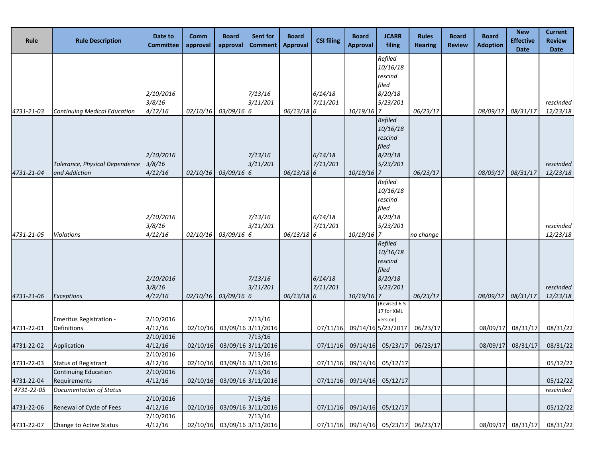| Rule                     | <b>Rule Description</b>                                                       | Date to<br><b>Committee</b>       | Comm<br>approval     | <b>Board</b><br>approval | Sent for<br><b>Comment</b>                          | <b>Board</b><br><b>Approval</b> | <b>CSI filing</b>    | <b>Board</b><br><b>Approval</b> | <b>JCARR</b><br>filing                                               | Rules<br><b>Hearing</b> | <b>Board</b><br><b>Review</b> | <b>Board</b><br><b>Adoption</b> | <b>New</b><br><b>Effective</b><br><b>Date</b> | <b>Current</b><br><b>Review</b><br><b>Date</b> |
|--------------------------|-------------------------------------------------------------------------------|-----------------------------------|----------------------|--------------------------|-----------------------------------------------------|---------------------------------|----------------------|---------------------------------|----------------------------------------------------------------------|-------------------------|-------------------------------|---------------------------------|-----------------------------------------------|------------------------------------------------|
| 4731-21-03               | <b>Continuing Medical Education</b>                                           | 2/10/2016<br>3/8/16<br>4/12/16    | 02/10/16             | 03/09/16 6               | 7/13/16<br>3/11/201                                 | 06/13/18 6                      | 6/14/18<br>7/11/201  | 10/19/16                        | Refiled<br>10/16/18<br>rescind<br>filed<br>8/20/18<br>5/23/201<br>17 | 06/23/17                |                               | 08/09/17                        | 08/31/17                                      | rescinded<br>12/23/18                          |
| 4731-21-04               | Tolerance, Physical Dependence<br>and Addiction                               | 2/10/2016<br>3/8/16<br>4/12/16    | 02/10/16             | $03/09/16$ 6             | 7/13/16<br>3/11/201                                 | $06/13/18$ 6                    | 6/14/18<br>7/11/201  | 10/19/16                        | Refiled<br>10/16/18<br>rescind<br>filed<br>8/20/18<br>5/23/201<br>7  | 06/23/17                |                               | 08/09/17                        | 08/31/17                                      | rescinded<br>12/23/18                          |
| 4731-21-05               | <b>Violations</b>                                                             | 2/10/2016<br>3/8/16<br>4/12/16    | 02/10/16             | 03/09/16 6               | 7/13/16<br>3/11/201                                 | $06/13/18$ 6                    | 6/14/18<br>7/11/201  | $10/19/16$ 7                    | Refiled<br>10/16/18<br>rescind<br>filed<br>8/20/18<br>5/23/201       | no change               |                               |                                 |                                               | rescinded<br>12/23/18                          |
| 4731-21-06               | <b>Exceptions</b>                                                             | 2/10/2016<br>3/8/16<br>4/12/16    | 02/10/16             | 03/09/16 6               | 7/13/16<br>3/11/201                                 | $06/13/18$ 6                    | 6/14/18<br>7/11/201  | 10/19/16                        | Refiled<br>10/16/18<br>rescind<br>filed<br>8/20/18<br>5/23/201       | 06/23/17                |                               | 08/09/17                        | 08/31/17                                      | rescinded<br>12/23/18                          |
| 4731-22-01               | <b>Emeritus Registration -</b><br>Definitions                                 | 2/10/2016<br>4/12/16<br>2/10/2016 | 02/10/16             |                          | 7/13/16<br>03/09/16 3/11/2016<br>7/13/16            |                                 | 07/11/16             |                                 | (Revised 6-5-<br>17 for XML<br>version)<br>09/14/16 5/23/2017        | 06/23/17                |                               | 08/09/17                        | 08/31/17                                      | 08/31/22                                       |
| 4731-22-02<br>4731-22-03 | Application<br><b>Status of Registrant</b>                                    | 4/12/16<br>2/10/2016<br>4/12/16   | 02/10/16<br>02/10/16 |                          | 03/09/16 3/11/2016<br>7/13/16<br>03/09/16 3/11/2016 |                                 | 07/11/16<br>07/11/16 | 09/14/16                        | 05/23/17<br>09/14/16 05/12/17                                        | 06/23/17                |                               | 08/09/17                        | 08/31/17                                      | 08/31/22<br>05/12/22                           |
| 4731-22-04<br>4731-22-05 | <b>Continuing Education</b><br>Requirements<br><b>Documentation of Status</b> | 2/10/2016<br>4/12/16              | 02/10/16             |                          | 7/13/16<br>03/09/16 3/11/2016                       |                                 | 07/11/16             |                                 | 09/14/16 05/12/17                                                    |                         |                               |                                 |                                               | 05/12/22<br>rescinded                          |
| 4731-22-06               | Renewal of Cycle of Fees                                                      | 2/10/2016<br>4/12/16<br>2/10/2016 | 02/10/16             |                          | 7/13/16<br>03/09/16 3/11/2016<br>7/13/16            |                                 | 07/11/16             |                                 | 09/14/16 05/12/17                                                    |                         |                               |                                 |                                               | 05/12/22                                       |
| 4731-22-07               | Change to Active Status                                                       | 4/12/16                           |                      |                          | 02/10/16 03/09/16 3/11/2016                         |                                 |                      |                                 | 07/11/16 09/14/16 05/23/17 06/23/17                                  |                         |                               | 08/09/17                        | 08/31/17                                      | 08/31/22                                       |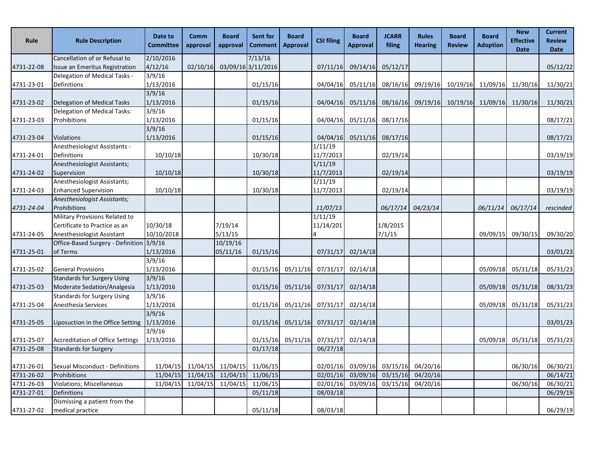| Rule       | <b>Rule Description</b>                  | Date to<br><b>Committee</b> | Comm<br>approval | <b>Board</b><br>approval                                          | Sent for<br><b>Comment</b> | <b>Board</b><br><b>Approval</b> | <b>CSI filing</b>                           | <b>Board</b><br><b>Approval</b> | <b>JCARR</b><br>filing     | <b>Rules</b><br><b>Hearing</b> | <b>Board</b><br><b>Review</b> | <b>Board</b><br><b>Adoption</b>     | <b>New</b><br><b>Effective</b><br><b>Date</b> | <b>Current</b><br><b>Review</b><br><b>Date</b> |
|------------|------------------------------------------|-----------------------------|------------------|-------------------------------------------------------------------|----------------------------|---------------------------------|---------------------------------------------|---------------------------------|----------------------------|--------------------------------|-------------------------------|-------------------------------------|-----------------------------------------------|------------------------------------------------|
|            | Cancellation of or Refusal to            | 2/10/2016                   |                  |                                                                   | 7/13/16                    |                                 |                                             |                                 |                            |                                |                               |                                     |                                               |                                                |
| 4731-22-08 | Issue an Emeritus Registration           | 4/12/16                     | 02/10/16         |                                                                   | 03/09/16 3/11/2016         |                                 | 07/11/16                                    | 09/14/16                        | 05/12/17                   |                                |                               |                                     |                                               | 05/12/22                                       |
|            | Delegation of Medical Tasks -            | 3/9/16                      |                  |                                                                   |                            |                                 |                                             |                                 |                            |                                |                               |                                     |                                               |                                                |
| 4731-23-01 | Definitions                              | 1/13/2016                   |                  |                                                                   | 01/15/16                   |                                 | 04/04/16                                    | 05/11/16                        | 08/16/16                   |                                |                               | 09/19/16 10/19/16 11/09/16 11/30/16 |                                               | 11/30/21                                       |
|            |                                          | 3/9/16                      |                  |                                                                   |                            |                                 |                                             |                                 |                            |                                |                               |                                     |                                               |                                                |
| 4731-23-02 | Delegation of Medical Tasks              | 1/13/2016                   |                  |                                                                   | 01/15/16                   |                                 | 04/04/16                                    | 05/11/16                        | 08/16/16                   |                                |                               | 09/19/16 10/19/16 11/09/16 11/30/16 |                                               | 11/30/21                                       |
|            | Delegation of Medical Tasks:             | 3/9/16                      |                  |                                                                   |                            |                                 |                                             |                                 |                            |                                |                               |                                     |                                               |                                                |
| 4731-23-03 | Prohibitions                             | 1/13/2016                   |                  |                                                                   | 01/15/16                   |                                 | 04/04/16                                    | 05/11/16                        | 08/17/16                   |                                |                               |                                     |                                               | 08/17/21                                       |
|            |                                          | 3/9/16                      |                  |                                                                   |                            |                                 |                                             |                                 |                            |                                |                               |                                     |                                               |                                                |
| 4731-23-04 | <b>Violations</b>                        | 1/13/2016                   |                  |                                                                   | 01/15/16                   |                                 | 04/04/16                                    | 05/11/16                        | 08/17/16                   |                                |                               |                                     |                                               | 08/17/21                                       |
|            | Anesthesiologist Assistants -            |                             |                  |                                                                   |                            |                                 | 1/11/19                                     |                                 |                            |                                |                               |                                     |                                               |                                                |
| 4731-24-01 | Definitions                              | 10/10/18                    |                  |                                                                   | 10/30/18                   |                                 | 11/7/2013                                   |                                 | 02/19/14                   |                                |                               |                                     |                                               | 03/19/19                                       |
|            | Anesthesiologist Assistants;             |                             |                  |                                                                   |                            |                                 | 1/11/19                                     |                                 |                            |                                |                               |                                     |                                               |                                                |
| 4731-24-02 | Supervision                              | 10/10/18                    |                  |                                                                   | 10/30/18                   |                                 | 11/7/2013                                   |                                 | 02/19/14                   |                                |                               |                                     |                                               | 03/19/19                                       |
|            | Anesthesiologist Assistants;             |                             |                  |                                                                   |                            |                                 | 1/11/19                                     |                                 |                            |                                |                               |                                     |                                               |                                                |
| 4731-24-03 | <b>Enhanced Supervision</b>              | 10/10/18                    |                  |                                                                   | 10/30/18                   |                                 | 11/7/2013                                   |                                 | 02/19/14                   |                                |                               |                                     |                                               | 03/19/19                                       |
|            | Anesthesiologist Assistants;             |                             |                  |                                                                   |                            |                                 |                                             |                                 |                            |                                |                               |                                     |                                               |                                                |
| 4731-24-04 | Prohibitions                             |                             |                  |                                                                   |                            |                                 | 11/07/13                                    |                                 | 06/17/14                   | 04/23/14                       |                               |                                     | 06/11/14 06/17/14                             | rescinded                                      |
|            | Military Provisions Related to           |                             |                  |                                                                   |                            |                                 | 1/11/19                                     |                                 |                            |                                |                               |                                     |                                               |                                                |
|            | Certificate to Practice as an            | 10/30/18                    |                  | 7/19/14                                                           |                            |                                 | 11/14/201                                   |                                 | 1/8/2015                   |                                |                               |                                     |                                               |                                                |
| 4731-24-05 | Anesthesiologist Assistant               | 10/10/2018                  |                  | 5/13/15                                                           |                            |                                 |                                             |                                 | 7/1/15                     |                                |                               | 09/09/15                            | 09/30/15                                      | 09/30/20                                       |
| 4731-25-01 | Office-Based Surgery - Definition 3/9/16 | 1/13/2016                   |                  | 10/19/16<br>05/11/16                                              | 01/15/16                   |                                 | 07/31/17                                    | 02/14/18                        |                            |                                |                               |                                     |                                               |                                                |
|            | of Terms                                 | 3/9/16                      |                  |                                                                   |                            |                                 |                                             |                                 |                            |                                |                               |                                     |                                               | 03/01/23                                       |
| 4731-25-02 | <b>General Provisions</b>                | 1/13/2016                   |                  |                                                                   | 01/15/16                   | 05/11/16                        | 07/31/17                                    | 02/14/18                        |                            |                                |                               | 05/09/18                            | 05/31/18                                      | 05/31/23                                       |
|            | <b>Standards for Surgery Using</b>       | 3/9/16                      |                  |                                                                   |                            |                                 |                                             |                                 |                            |                                |                               |                                     |                                               |                                                |
| 4731-25-03 | Moderate Sedation/Analgesia              | 1/13/2016                   |                  |                                                                   | 01/15/16                   | 05/11/16                        | 07/31/17                                    | 02/14/18                        |                            |                                |                               | 05/09/18                            | 05/31/18                                      | 08/31/23                                       |
|            | <b>Standards for Surgery Using</b>       | 3/9/16                      |                  |                                                                   |                            |                                 |                                             |                                 |                            |                                |                               |                                     |                                               |                                                |
| 4731-25-04 | Anesthesia Services                      | 1/13/2016                   |                  |                                                                   | 01/15/16                   | 05/11/16                        | 07/31/17                                    | 02/14/18                        |                            |                                |                               | 05/09/18                            | 05/31/18                                      | 05/31/23                                       |
|            |                                          | 3/9/16                      |                  |                                                                   |                            |                                 |                                             |                                 |                            |                                |                               |                                     |                                               |                                                |
| 4731-25-05 | Liposuction in the Office Setting        | 1/13/2016                   |                  |                                                                   | 01/15/16                   | 05/11/16                        | 07/31/17                                    | 02/14/18                        |                            |                                |                               |                                     |                                               | 03/01/23                                       |
|            |                                          | 3/9/16                      |                  |                                                                   |                            |                                 |                                             |                                 |                            |                                |                               |                                     |                                               |                                                |
| 4731-25-07 | Accreditation of Office Settings         | 1/13/2016                   |                  |                                                                   |                            |                                 | $01/15/16$ $05/11/16$ $07/31/17$ $02/14/18$ |                                 |                            |                                |                               |                                     | 05/09/18 05/31/18                             | 05/31/23                                       |
| 4731-25-08 | <b>Standards for Surgery</b>             |                             |                  |                                                                   | 01/17/18                   |                                 | 06/27/18                                    |                                 |                            |                                |                               |                                     |                                               |                                                |
|            |                                          |                             |                  |                                                                   |                            |                                 |                                             |                                 |                            |                                |                               |                                     |                                               |                                                |
| 4731-26-01 | Sexual Misconduct - Definitions          |                             |                  | 11/04/15 11/04/15 11/04/15 11/06/15                               |                            |                                 | 02/01/16                                    |                                 | 03/09/16 03/15/16 04/20/16 |                                |                               |                                     | 06/30/16                                      | 06/30/21                                       |
| 4731-26-02 | Prohibitions                             |                             |                  | 11/04/15 11/04/15 11/04/15                                        | 11/06/15                   |                                 | 02/01/16                                    | 03/09/16                        | 03/15/16                   | 04/20/16                       |                               |                                     |                                               | 06/14/21                                       |
| 4731-26-03 | Violations; Miscellaneous                |                             |                  | $\overline{11/04/15}$ $\overline{11/04/15}$ $\overline{11/04/15}$ | 11/06/15                   |                                 | 02/01/16                                    | 03/09/16                        | 03/15/16                   | 04/20/16                       |                               |                                     | 06/30/16                                      | 06/30/21                                       |
| 4731-27-01 | <b>Definitions</b>                       |                             |                  |                                                                   | 05/11/18                   |                                 | 08/03/18                                    |                                 |                            |                                |                               |                                     |                                               | 06/29/19                                       |
|            | Dismissing a patient from the            |                             |                  |                                                                   |                            |                                 |                                             |                                 |                            |                                |                               |                                     |                                               |                                                |
| 4731-27-02 | medical practice                         |                             |                  |                                                                   | 05/11/18                   |                                 | 08/03/18                                    |                                 |                            |                                |                               |                                     |                                               | 06/29/19                                       |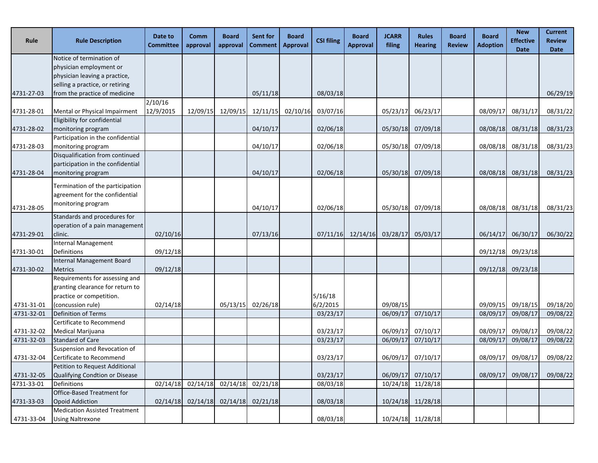| Rule       | <b>Rule Description</b>                                                                                             | Date to<br><b>Committee</b> | Comm<br>approval | <b>Board</b><br>approval | <b>Sent for</b><br><b>Comment</b> | <b>Board</b><br><b>Approval</b> | <b>CSI filing</b>   | <b>Board</b><br><b>Approval</b> | <b>JCARR</b><br>filing | Rules<br><b>Hearing</b> | <b>Board</b><br><b>Review</b> | <b>Board</b><br><b>Adoption</b> | <b>New</b><br><b>Effective</b><br><b>Date</b> | <b>Current</b><br><b>Review</b><br><b>Date</b> |
|------------|---------------------------------------------------------------------------------------------------------------------|-----------------------------|------------------|--------------------------|-----------------------------------|---------------------------------|---------------------|---------------------------------|------------------------|-------------------------|-------------------------------|---------------------------------|-----------------------------------------------|------------------------------------------------|
|            | Notice of termination of                                                                                            |                             |                  |                          |                                   |                                 |                     |                                 |                        |                         |                               |                                 |                                               |                                                |
|            | physician employment or                                                                                             |                             |                  |                          |                                   |                                 |                     |                                 |                        |                         |                               |                                 |                                               |                                                |
|            | physician leaving a practice,                                                                                       |                             |                  |                          |                                   |                                 |                     |                                 |                        |                         |                               |                                 |                                               |                                                |
|            | selling a practice, or retiring                                                                                     |                             |                  |                          |                                   |                                 |                     |                                 |                        |                         |                               |                                 |                                               |                                                |
| 4731-27-03 | from the practice of medicine                                                                                       |                             |                  |                          | 05/11/18                          |                                 | 08/03/18            |                                 |                        |                         |                               |                                 |                                               | 06/29/19                                       |
| 4731-28-01 | Mental or Physical Impairment                                                                                       | 2/10/16<br>12/9/2015        | 12/09/15         | 12/09/15                 |                                   | 12/11/15 02/10/16               | 03/07/16            |                                 | 05/23/17               | 06/23/17                |                               | 08/09/17                        | 08/31/17                                      | 08/31/22                                       |
|            | Eligibility for confidential                                                                                        |                             |                  |                          |                                   |                                 |                     |                                 |                        |                         |                               |                                 |                                               |                                                |
| 4731-28-02 | monitoring program                                                                                                  |                             |                  |                          | 04/10/17                          |                                 | 02/06/18            |                                 | 05/30/18               | 07/09/18                |                               | 08/08/18                        | 08/31/18                                      | 08/31/23                                       |
|            | Participation in the confidential                                                                                   |                             |                  |                          |                                   |                                 |                     |                                 |                        |                         |                               |                                 |                                               |                                                |
| 4731-28-03 | monitoring program                                                                                                  |                             |                  |                          | 04/10/17                          |                                 | 02/06/18            |                                 | 05/30/18               | 07/09/18                |                               | 08/08/18                        | 08/31/18                                      | 08/31/23                                       |
|            | Disqualification from continued                                                                                     |                             |                  |                          |                                   |                                 |                     |                                 |                        |                         |                               |                                 |                                               |                                                |
|            | participation in the confidential                                                                                   |                             |                  |                          |                                   |                                 |                     |                                 |                        |                         |                               |                                 |                                               |                                                |
| 4731-28-04 | monitoring program                                                                                                  |                             |                  |                          | 04/10/17                          |                                 | 02/06/18            |                                 | 05/30/18               | 07/09/18                |                               | 08/08/18                        | 08/31/18                                      | 08/31/23                                       |
| 4731-28-05 | Termination of the participation<br>agreement for the confidential<br>monitoring program                            |                             |                  |                          | 04/10/17                          |                                 | 02/06/18            |                                 | 05/30/18               | 07/09/18                |                               | 08/08/18                        | 08/31/18                                      | 08/31/23                                       |
|            | Standards and procedures for                                                                                        |                             |                  |                          |                                   |                                 |                     |                                 |                        |                         |                               |                                 |                                               |                                                |
|            | operation of a pain management                                                                                      |                             |                  |                          |                                   |                                 |                     |                                 |                        |                         |                               |                                 |                                               |                                                |
| 4731-29-01 | clinic.                                                                                                             | 02/10/16                    |                  |                          | 07/13/16                          |                                 | 07/11/16            | 12/14/16                        | 03/28/17               | 05/03/17                |                               | 06/14/17                        | 06/30/17                                      | 06/30/22                                       |
|            | Internal Management                                                                                                 |                             |                  |                          |                                   |                                 |                     |                                 |                        |                         |                               |                                 |                                               |                                                |
| 4731-30-01 | Definitions                                                                                                         | 09/12/18                    |                  |                          |                                   |                                 |                     |                                 |                        |                         |                               | 09/12/18                        | 09/23/18                                      |                                                |
|            | Internal Management Board                                                                                           |                             |                  |                          |                                   |                                 |                     |                                 |                        |                         |                               |                                 |                                               |                                                |
| 4731-30-02 | <b>Metrics</b>                                                                                                      | 09/12/18                    |                  |                          |                                   |                                 |                     |                                 |                        |                         |                               | 09/12/18                        | 09/23/18                                      |                                                |
| 4731-31-01 | Requirements for assessing and<br>granting clearance for return to<br>practice or competition.<br>(concussion rule) | 02/14/18                    |                  | 05/13/15                 | 02/26/18                          |                                 | 5/16/18<br>6/2/2015 |                                 | 09/08/15               |                         |                               | 09/09/15                        | 09/18/15                                      | 09/18/20                                       |
| 4731-32-01 | Definition of Terms                                                                                                 |                             |                  |                          |                                   |                                 | 03/23/17            |                                 | 06/09/17               | 07/10/17                |                               | 08/09/17                        | 09/08/17                                      | 09/08/22                                       |
|            | Certificate to Recommend                                                                                            |                             |                  |                          |                                   |                                 |                     |                                 |                        |                         |                               |                                 |                                               |                                                |
| 4731-32-02 | Medical Marijuana                                                                                                   |                             |                  |                          |                                   |                                 | 03/23/17            |                                 | 06/09/17               | 07/10/17                |                               | 08/09/17                        | 09/08/17                                      | 09/08/22                                       |
| 4731-32-03 | <b>Standard of Care</b>                                                                                             |                             |                  |                          |                                   |                                 | 03/23/17            |                                 |                        | 06/09/17 07/10/17       |                               | 08/09/17                        | 09/08/17                                      | 09/08/22                                       |
|            | Suspension and Revocation of                                                                                        |                             |                  |                          |                                   |                                 |                     |                                 |                        |                         |                               |                                 |                                               |                                                |
| 4731-32-04 | Certificate to Recommend                                                                                            |                             |                  |                          |                                   |                                 | 03/23/17            |                                 | 06/09/17               | 07/10/17                |                               | 08/09/17                        | 09/08/17                                      | 09/08/22                                       |
|            | Petition to Request Additional                                                                                      |                             |                  |                          |                                   |                                 |                     |                                 |                        |                         |                               |                                 |                                               |                                                |
| 4731-32-05 | Qualifying Condtion or Disease                                                                                      |                             |                  |                          |                                   |                                 | 03/23/17            |                                 | 06/09/17               | 07/10/17                |                               | 08/09/17                        | 09/08/17                                      | 09/08/22                                       |
| 4731-33-01 | Definitions                                                                                                         | 02/14/18                    | 02/14/18         | 02/14/18                 | 02/21/18                          |                                 | 08/03/18            |                                 | 10/24/18               | 11/28/18                |                               |                                 |                                               |                                                |
|            | Office-Based Treatment for                                                                                          |                             |                  |                          |                                   |                                 |                     |                                 |                        |                         |                               |                                 |                                               |                                                |
| 4731-33-03 | <b>Opoid Addiction</b>                                                                                              | 02/14/18                    | 02/14/18         | 02/14/18                 | 02/21/18                          |                                 | 08/03/18            |                                 |                        | 10/24/18 11/28/18       |                               |                                 |                                               |                                                |
|            | <b>Medication Assisted Treatment</b>                                                                                |                             |                  |                          |                                   |                                 |                     |                                 |                        |                         |                               |                                 |                                               |                                                |
| 4731-33-04 | <b>Using Naltrexone</b>                                                                                             |                             |                  |                          |                                   |                                 | 08/03/18            |                                 |                        | 10/24/18 11/28/18       |                               |                                 |                                               |                                                |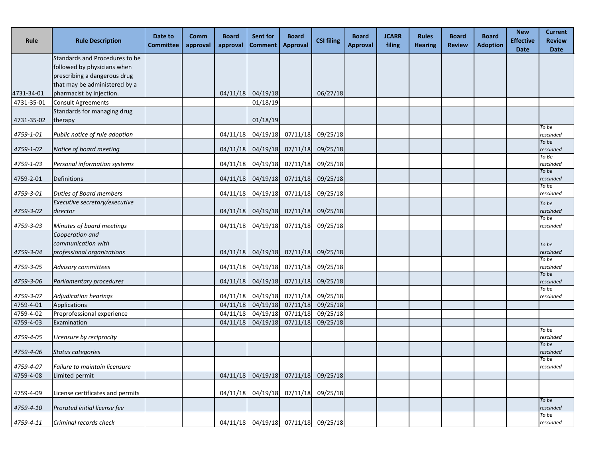| Rule       | <b>Rule Description</b>          | Date to<br><b>Committee</b> | Comm<br>approval | <b>Board</b><br>approval | Sent for<br><b>Comment</b>          | Board<br><b>Approval</b>   | <b>CSI filing</b> | <b>Board</b><br><b>Approval</b> | <b>JCARR</b><br>filing | <b>Rules</b><br><b>Hearing</b> | <b>Board</b><br><b>Review</b> | <b>Board</b><br><b>Adoption</b> | <b>New</b><br><b>Effective</b><br><b>Date</b> | <b>Current</b><br><b>Review</b><br><b>Date</b> |
|------------|----------------------------------|-----------------------------|------------------|--------------------------|-------------------------------------|----------------------------|-------------------|---------------------------------|------------------------|--------------------------------|-------------------------------|---------------------------------|-----------------------------------------------|------------------------------------------------|
|            | Standards and Procedures to be   |                             |                  |                          |                                     |                            |                   |                                 |                        |                                |                               |                                 |                                               |                                                |
|            | followed by physicians when      |                             |                  |                          |                                     |                            |                   |                                 |                        |                                |                               |                                 |                                               |                                                |
|            | prescribing a dangerous drug     |                             |                  |                          |                                     |                            |                   |                                 |                        |                                |                               |                                 |                                               |                                                |
|            | that may be administered by a    |                             |                  |                          |                                     |                            |                   |                                 |                        |                                |                               |                                 |                                               |                                                |
| 4731-34-01 | pharmacist by injection.         |                             |                  |                          | 04/11/18 04/19/18                   |                            | 06/27/18          |                                 |                        |                                |                               |                                 |                                               |                                                |
| 4731-35-01 | <b>Consult Agreements</b>        |                             |                  |                          | 01/18/19                            |                            |                   |                                 |                        |                                |                               |                                 |                                               |                                                |
|            | Standards for managing drug      |                             |                  |                          |                                     |                            |                   |                                 |                        |                                |                               |                                 |                                               |                                                |
| 4731-35-02 | therapy                          |                             |                  |                          | 01/18/19                            |                            |                   |                                 |                        |                                |                               |                                 |                                               |                                                |
| 4759-1-01  | Public notice of rule adoption   |                             |                  | 04/11/18                 |                                     | 04/19/18 07/11/18          | 09/25/18          |                                 |                        |                                |                               |                                 |                                               | To be<br>rescinded                             |
|            |                                  |                             |                  |                          |                                     |                            |                   |                                 |                        |                                |                               |                                 |                                               | To be                                          |
| 4759-1-02  | Notice of board meeting          |                             |                  | 04/11/18                 |                                     | 04/19/18 07/11/18          | 09/25/18          |                                 |                        |                                |                               |                                 |                                               | rescinded                                      |
|            |                                  |                             |                  |                          |                                     |                            |                   |                                 |                        |                                |                               |                                 |                                               | To Be                                          |
| 4759-1-03  | Personal information systems     |                             |                  | 04/11/18                 |                                     | 04/19/18 07/11/18          | 09/25/18          |                                 |                        |                                |                               |                                 |                                               | rescinded<br>To be                             |
| 4759-2-01  | Definitions                      |                             |                  | 04/11/18                 |                                     | $04/19/18$ $07/11/18$      | 09/25/18          |                                 |                        |                                |                               |                                 |                                               | rescinded                                      |
|            |                                  |                             |                  |                          |                                     |                            |                   |                                 |                        |                                |                               |                                 |                                               | To be                                          |
| 4759-3-01  | <b>Duties of Board members</b>   |                             |                  |                          | 04/11/18 04/19/18 07/11/18 09/25/18 |                            |                   |                                 |                        |                                |                               |                                 |                                               | rescinded                                      |
|            | Executive secretary/executive    |                             |                  |                          |                                     |                            |                   |                                 |                        |                                |                               |                                 |                                               | To be                                          |
| 4759-3-02  | director                         |                             |                  | 04/11/18                 |                                     | 04/19/18 07/11/18 09/25/18 |                   |                                 |                        |                                |                               |                                 |                                               | rescinded<br>To be                             |
| 4759-3-03  | Minutes of board meetings        |                             |                  |                          | 04/11/18 04/19/18 07/11/18 09/25/18 |                            |                   |                                 |                        |                                |                               |                                 |                                               | rescinded                                      |
|            | Cooperation and                  |                             |                  |                          |                                     |                            |                   |                                 |                        |                                |                               |                                 |                                               |                                                |
|            | communication with               |                             |                  |                          |                                     |                            |                   |                                 |                        |                                |                               |                                 |                                               | To be                                          |
| 4759-3-04  | professional organizations       |                             |                  |                          | 04/11/18 04/19/18 07/11/18 09/25/18 |                            |                   |                                 |                        |                                |                               |                                 |                                               | rescinded                                      |
|            |                                  |                             |                  |                          |                                     |                            |                   |                                 |                        |                                |                               |                                 |                                               | To be                                          |
| 4759-3-05  | <b>Advisory committees</b>       |                             |                  |                          | 04/11/18 04/19/18 07/11/18 09/25/18 |                            |                   |                                 |                        |                                |                               |                                 |                                               | rescinded<br>To be                             |
| 4759-3-06  | Parliamentary procedures         |                             |                  |                          | 04/11/18 04/19/18 07/11/18          |                            | 09/25/18          |                                 |                        |                                |                               |                                 |                                               | rescinded                                      |
|            |                                  |                             |                  |                          |                                     |                            |                   |                                 |                        |                                |                               |                                 |                                               | To be                                          |
| 4759-3-07  | <b>Adjudication hearings</b>     |                             |                  | 04/11/18                 |                                     | 04/19/18 07/11/18 09/25/18 |                   |                                 |                        |                                |                               |                                 |                                               | rescinded                                      |
| 4759-4-01  | Applications                     |                             |                  | 04/11/18                 |                                     | 04/19/18 07/11/18          | 09/25/18          |                                 |                        |                                |                               |                                 |                                               |                                                |
| 4759-4-02  | Preprofessional experience       |                             |                  | 04/11/18                 | 04/19/18                            | 07/11/18                   | 09/25/18          |                                 |                        |                                |                               |                                 |                                               |                                                |
| 4759-4-03  | Examination                      |                             |                  | 04/11/18                 | 04/19/18                            | 07/11/18                   | 09/25/18          |                                 |                        |                                |                               |                                 |                                               | To be                                          |
| 4759-4-05  | Licensure by reciprocity         |                             |                  |                          |                                     |                            |                   |                                 |                        |                                |                               |                                 |                                               | rescinded                                      |
|            |                                  |                             |                  |                          |                                     |                            |                   |                                 |                        |                                |                               |                                 |                                               | To be                                          |
| 4759-4-06  | Status categories                |                             |                  |                          |                                     |                            |                   |                                 |                        |                                |                               |                                 |                                               | rescinded                                      |
| 4759-4-07  | Failure to maintain licensure    |                             |                  |                          |                                     |                            |                   |                                 |                        |                                |                               |                                 |                                               | To be<br>rescinded                             |
| 4759-4-08  | Limited permit                   |                             |                  | 04/11/18                 |                                     | 04/19/18 07/11/18 09/25/18 |                   |                                 |                        |                                |                               |                                 |                                               |                                                |
|            |                                  |                             |                  |                          |                                     |                            |                   |                                 |                        |                                |                               |                                 |                                               |                                                |
| 4759-4-09  | License certificates and permits |                             |                  | 04/11/18                 |                                     | 04/19/18 07/11/18 09/25/18 |                   |                                 |                        |                                |                               |                                 |                                               |                                                |
|            |                                  |                             |                  |                          |                                     |                            |                   |                                 |                        |                                |                               |                                 |                                               | To be                                          |
| 4759-4-10  | Prorated initial license fee     |                             |                  |                          |                                     |                            |                   |                                 |                        |                                |                               |                                 |                                               | rescinded                                      |
| 4759-4-11  | Criminal records check           |                             |                  |                          | 04/11/18 04/19/18 07/11/18 09/25/18 |                            |                   |                                 |                        |                                |                               |                                 |                                               | To be<br>rescinded                             |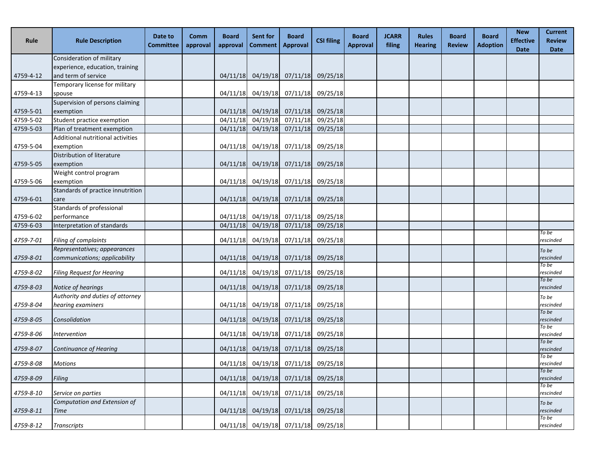| <b>Rule</b> | <b>Rule Description</b>           | Date to<br><b>Committee</b> | Comm<br>approval | <b>Board</b><br>approval | Sent for<br><b>Comment</b> | <b>Board</b><br><b>Approval</b>        | <b>CSI filing</b> | <b>Board</b><br><b>Approval</b> | <b>JCARR</b><br>filing | <b>Rules</b><br><b>Hearing</b> | <b>Board</b><br><b>Review</b> | <b>Board</b><br><b>Adoption</b> | <b>New</b><br><b>Effective</b><br><b>Date</b> | <b>Current</b><br><b>Review</b><br><b>Date</b> |
|-------------|-----------------------------------|-----------------------------|------------------|--------------------------|----------------------------|----------------------------------------|-------------------|---------------------------------|------------------------|--------------------------------|-------------------------------|---------------------------------|-----------------------------------------------|------------------------------------------------|
|             | Consideration of military         |                             |                  |                          |                            |                                        |                   |                                 |                        |                                |                               |                                 |                                               |                                                |
|             | experience, education, training   |                             |                  |                          |                            |                                        |                   |                                 |                        |                                |                               |                                 |                                               |                                                |
| 4759-4-12   | and term of service               |                             |                  | 04/11/18                 |                            | 04/19/18 07/11/18 09/25/18             |                   |                                 |                        |                                |                               |                                 |                                               |                                                |
|             | Temporary license for military    |                             |                  |                          |                            |                                        |                   |                                 |                        |                                |                               |                                 |                                               |                                                |
| 4759-4-13   | spouse                            |                             |                  |                          |                            | 04/11/18 04/19/18 07/11/18 09/25/18    |                   |                                 |                        |                                |                               |                                 |                                               |                                                |
|             | Supervision of persons claiming   |                             |                  |                          |                            |                                        |                   |                                 |                        |                                |                               |                                 |                                               |                                                |
| 4759-5-01   | exemption                         |                             |                  | 04/11/18                 |                            | 04/19/18 07/11/18 09/25/18             |                   |                                 |                        |                                |                               |                                 |                                               |                                                |
| 4759-5-02   | Student practice exemption        |                             |                  | 04/11/18                 |                            | 04/19/18 07/11/18                      | 09/25/18          |                                 |                        |                                |                               |                                 |                                               |                                                |
| 4759-5-03   | Plan of treatment exemption       |                             |                  | 04/11/18                 |                            | $04/19/18$ $07/11/18$                  | 09/25/18          |                                 |                        |                                |                               |                                 |                                               |                                                |
|             | Additional nutritional activities |                             |                  |                          |                            |                                        |                   |                                 |                        |                                |                               |                                 |                                               |                                                |
| 4759-5-04   | exemption                         |                             |                  | 04/11/18                 |                            | 04/19/18 07/11/18 09/25/18             |                   |                                 |                        |                                |                               |                                 |                                               |                                                |
|             | Distribution of literature        |                             |                  |                          |                            |                                        |                   |                                 |                        |                                |                               |                                 |                                               |                                                |
| 4759-5-05   | exemption                         |                             |                  | 04/11/18                 |                            | 04/19/18 07/11/18 09/25/18             |                   |                                 |                        |                                |                               |                                 |                                               |                                                |
|             | Weight control program            |                             |                  |                          |                            |                                        |                   |                                 |                        |                                |                               |                                 |                                               |                                                |
| 4759-5-06   | exemption                         |                             |                  | 04/11/18                 |                            | 04/19/18 07/11/18                      | 09/25/18          |                                 |                        |                                |                               |                                 |                                               |                                                |
|             | Standards of practice innutrition |                             |                  |                          |                            |                                        |                   |                                 |                        |                                |                               |                                 |                                               |                                                |
| 4759-6-01   | care                              |                             |                  |                          |                            | 04/11/18 04/19/18 07/11/18 09/25/18    |                   |                                 |                        |                                |                               |                                 |                                               |                                                |
|             | Standards of professional         |                             |                  |                          |                            |                                        |                   |                                 |                        |                                |                               |                                 |                                               |                                                |
| 4759-6-02   | performance                       |                             |                  | 04/11/18                 |                            | 04/19/18 07/11/18 09/25/18             |                   |                                 |                        |                                |                               |                                 |                                               |                                                |
| 4759-6-03   | Interpretation of standards       |                             |                  | 04/11/18                 |                            | $04/19/18$ $07/11/18$                  | 09/25/18          |                                 |                        |                                |                               |                                 |                                               | To be                                          |
| 4759-7-01   | Filing of complaints              |                             |                  | 04/11/18                 |                            | 04/19/18 07/11/18                      | 09/25/18          |                                 |                        |                                |                               |                                 |                                               | rescinded                                      |
|             | Representatives; appearances      |                             |                  |                          |                            |                                        |                   |                                 |                        |                                |                               |                                 |                                               | To be                                          |
| 4759-8-01   | communications; applicability     |                             |                  | 04/11/18                 |                            | 04/19/18 07/11/18 09/25/18             |                   |                                 |                        |                                |                               |                                 |                                               | rescinded                                      |
|             |                                   |                             |                  |                          |                            |                                        |                   |                                 |                        |                                |                               |                                 |                                               | To be                                          |
| 4759-8-02   | <b>Filing Request for Hearing</b> |                             |                  | 04/11/18                 |                            | 04/19/18 07/11/18 09/25/18             |                   |                                 |                        |                                |                               |                                 |                                               | rescinded                                      |
|             |                                   |                             |                  |                          |                            |                                        |                   |                                 |                        |                                |                               |                                 |                                               | To be                                          |
| 4759-8-03   | Notice of hearings                |                             |                  | 04/11/18                 |                            | 04/19/18 07/11/18 09/25/18             |                   |                                 |                        |                                |                               |                                 |                                               | rescinded                                      |
|             | Authority and duties of attorney  |                             |                  |                          |                            |                                        |                   |                                 |                        |                                |                               |                                 |                                               | To be                                          |
| 4759-8-04   | hearing examiners                 |                             |                  | 04/11/18                 |                            | 04/19/18 07/11/18 09/25/18             |                   |                                 |                        |                                |                               |                                 |                                               | rescinded<br>To be                             |
| 4759-8-05   | Consolidation                     |                             |                  |                          |                            | 04/11/18 04/19/18 07/11/18 09/25/18    |                   |                                 |                        |                                |                               |                                 |                                               | rescinded                                      |
|             |                                   |                             |                  |                          |                            |                                        |                   |                                 |                        |                                |                               |                                 |                                               | To be                                          |
| 4759-8-06   | <i>Intervention</i>               |                             |                  |                          |                            | 04/11/18  04/19/18  07/11/18  09/25/18 |                   |                                 |                        |                                |                               |                                 |                                               | rescinded                                      |
| 4759-8-07   | <b>Continuance of Hearing</b>     |                             |                  |                          |                            | 04/11/18 04/19/18 07/11/18 09/25/18    |                   |                                 |                        |                                |                               |                                 |                                               | To be<br>rescinded                             |
|             |                                   |                             |                  |                          |                            |                                        |                   |                                 |                        |                                |                               |                                 |                                               | To be                                          |
| 4759-8-08   | <b>Motions</b>                    |                             |                  |                          |                            | 04/11/18 04/19/18 07/11/18 09/25/18    |                   |                                 |                        |                                |                               |                                 |                                               | rescinded                                      |
|             |                                   |                             |                  |                          |                            |                                        |                   |                                 |                        |                                |                               |                                 |                                               | To be                                          |
| 4759-8-09   | Filing                            |                             |                  |                          |                            | 04/11/18 04/19/18 07/11/18 09/25/18    |                   |                                 |                        |                                |                               |                                 |                                               | rescinded<br>To be                             |
| 4759-8-10   | Service on parties                |                             |                  |                          |                            | 04/11/18 04/19/18 07/11/18 09/25/18    |                   |                                 |                        |                                |                               |                                 |                                               | rescinded                                      |
|             | Computation and Extension of      |                             |                  |                          |                            |                                        |                   |                                 |                        |                                |                               |                                 |                                               | To be                                          |
| 4759-8-11   | Time                              |                             |                  | 04/11/18                 |                            | 04/19/18 07/11/18 09/25/18             |                   |                                 |                        |                                |                               |                                 |                                               | rescinded                                      |
|             |                                   |                             |                  |                          |                            |                                        |                   |                                 |                        |                                |                               |                                 |                                               | To be                                          |
| 4759-8-12   | <b>Transcripts</b>                |                             |                  |                          |                            | 04/11/18 04/19/18 07/11/18 09/25/18    |                   |                                 |                        |                                |                               |                                 |                                               | rescinded                                      |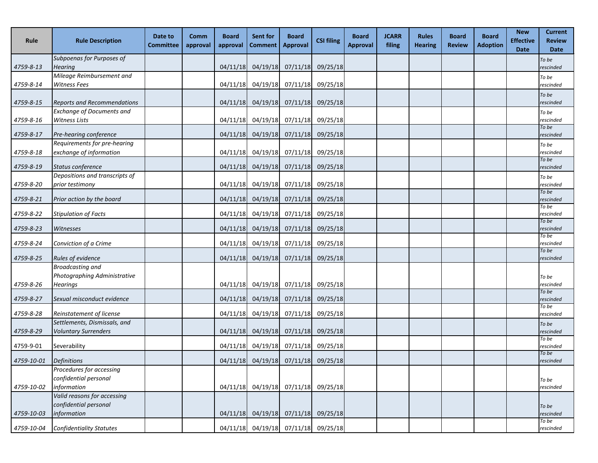| Rule                   | <b>Rule Description</b>                                                                 | Date to<br><b>Committee</b> | Comm<br>approval | <b>Board</b><br>approval | Sent for<br><b>Comment</b>                      | <b>Board</b><br><b>Approval</b> | <b>CSI filing</b> | <b>Board</b><br><b>Approval</b> | <b>JCARR</b><br>filing | <b>Rules</b><br><b>Hearing</b> | <b>Board</b><br><b>Review</b> | <b>Board</b><br><b>Adoption</b> | <b>New</b><br><b>Effective</b><br><b>Date</b> | <b>Current</b><br><b>Review</b><br><b>Date</b> |
|------------------------|-----------------------------------------------------------------------------------------|-----------------------------|------------------|--------------------------|-------------------------------------------------|---------------------------------|-------------------|---------------------------------|------------------------|--------------------------------|-------------------------------|---------------------------------|-----------------------------------------------|------------------------------------------------|
| 4759-8-13              | Subpoenas for Purposes of<br><b>Hearing</b>                                             |                             |                  | 04/11/18                 |                                                 | 04/19/18 07/11/18 09/25/18      |                   |                                 |                        |                                |                               |                                 |                                               | To be<br>rescinded                             |
| 4759-8-14              | Mileage Reimbursement and<br><b>Witness Fees</b>                                        |                             |                  | 04/11/18                 |                                                 | 04/19/18 07/11/18               | 09/25/18          |                                 |                        |                                |                               |                                 |                                               | To be<br>rescinded                             |
| 4759-8-15              | <b>Reports and Recommendations</b>                                                      |                             |                  | 04/11/18                 |                                                 | 04/19/18 07/11/18 09/25/18      |                   |                                 |                        |                                |                               |                                 |                                               | To be<br>rescinded                             |
| 4759-8-16              | <b>Exchange of Documents and</b><br><b>Witness Lists</b>                                |                             |                  |                          | 04/11/18 04/19/18 07/11/18 09/25/18             |                                 |                   |                                 |                        |                                |                               |                                 |                                               | To be<br>rescinded<br>To be                    |
| 4759-8-17              | Pre-hearing conference                                                                  |                             |                  | 04/11/18                 |                                                 | 04/19/18 07/11/18 09/25/18      |                   |                                 |                        |                                |                               |                                 |                                               | rescinded                                      |
| 4759-8-18              | Requirements for pre-hearing<br>exchange of information                                 |                             |                  |                          | 04/11/18 04/19/18 07/11/18 09/25/18             |                                 |                   |                                 |                        |                                |                               |                                 |                                               | To be<br>rescinded<br>To be                    |
| 4759-8-19              | Status conference                                                                       |                             |                  |                          | $04/11/18$ $04/19/18$ $07/11/18$                |                                 | 09/25/18          |                                 |                        |                                |                               |                                 |                                               | rescinded                                      |
| 4759-8-20              | Depositions and transcripts of<br>prior testimony                                       |                             |                  |                          | 04/11/18 04/19/18 07/11/18 09/25/18             |                                 |                   |                                 |                        |                                |                               |                                 |                                               | To be<br>rescinded<br>To be                    |
| 4759-8-21              | Prior action by the board                                                               |                             |                  |                          | $04/11/18$ 04/19/18 07/11/18                    |                                 | 09/25/18          |                                 |                        |                                |                               |                                 |                                               | rescinded<br>To be                             |
| 4759-8-22              | <b>Stipulation of Facts</b>                                                             |                             |                  | 04/11/18                 |                                                 | 04/19/18 07/11/18               | 09/25/18          |                                 |                        |                                |                               |                                 |                                               | rescinded<br>To be                             |
| 4759-8-23              | Witnesses                                                                               |                             |                  | 04/11/18                 |                                                 | $04/19/18$ $07/11/18$           | 09/25/18          |                                 |                        |                                |                               |                                 |                                               | rescinded<br>To be                             |
| 4759-8-24              | Conviction of a Crime                                                                   |                             |                  |                          | 04/11/18 04/19/18 07/11/18 09/25/18             |                                 |                   |                                 |                        |                                |                               |                                 |                                               | rescinded<br>To be                             |
| 4759-8-25              | <b>Rules of evidence</b><br><b>Broadcasting and</b><br>Photographing Administrative     |                             |                  | 04/11/18                 |                                                 | $04/19/18$ $07/11/18$           | 09/25/18          |                                 |                        |                                |                               |                                 |                                               | rescinded<br>To be                             |
| 4759-8-26              | <b>Hearings</b>                                                                         |                             |                  |                          | 04/11/18 04/19/18 07/11/18 09/25/18             |                                 |                   |                                 |                        |                                |                               |                                 |                                               | rescinded<br>To be                             |
| 4759-8-27              | Sexual misconduct evidence                                                              |                             |                  | 04/11/18                 |                                                 | 04/19/18 07/11/18               | 09/25/18          |                                 |                        |                                |                               |                                 |                                               | rescinded<br>To be                             |
| 4759-8-28<br>4759-8-29 | Reinstatement of license<br>Settlements, Dismissals, and<br><b>Voluntary Surrenders</b> |                             |                  | 04/11/18                 | 04/11/18 04/19/18 07/11/18 09/25/18<br>04/19/18 | 07/11/18                        | 09/25/18          |                                 |                        |                                |                               |                                 |                                               | rescinded<br>To be                             |
| 4759-9-01              | Severability                                                                            |                             |                  |                          | 04/11/18 04/19/18 07/11/18 09/25/18             |                                 |                   |                                 |                        |                                |                               |                                 |                                               | rescinded<br>To be<br>rescinded                |
| 4759-10-01             | <b>Definitions</b>                                                                      |                             |                  | 04/11/18                 |                                                 | 04/19/18 07/11/18 09/25/18      |                   |                                 |                        |                                |                               |                                 |                                               | To be<br>rescinded                             |
| 4759-10-02             | Procedures for accessing<br>confidential personal<br>information                        |                             |                  |                          | 04/11/18 04/19/18 07/11/18 09/25/18             |                                 |                   |                                 |                        |                                |                               |                                 |                                               | To be<br>rescinded                             |
| 4759-10-03             | Valid reasons for accessing<br>confidential personal<br>information                     |                             |                  |                          | 04/11/18 04/19/18 07/11/18 09/25/18             |                                 |                   |                                 |                        |                                |                               |                                 |                                               | To be<br>rescinded                             |
| 4759-10-04             | <b>Confidentiality Statutes</b>                                                         |                             |                  |                          | 04/11/18 04/19/18 07/11/18 09/25/18             |                                 |                   |                                 |                        |                                |                               |                                 |                                               | To be<br>rescinded                             |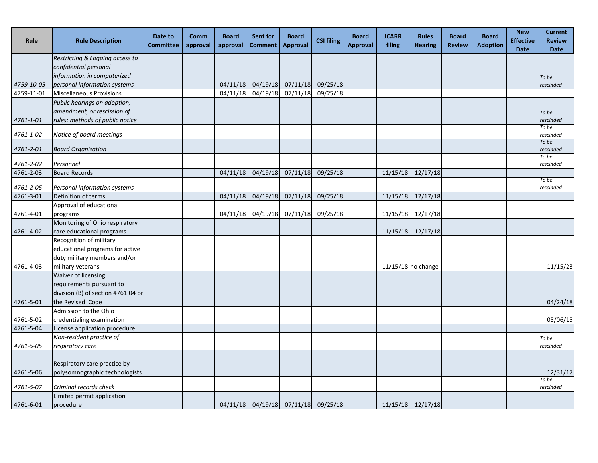| Rule                   | <b>Rule Description</b>            | Date to<br><b>Committee</b> | Comm<br>approval | <b>Board</b><br>approval | <b>Sent for</b><br><b>Comment</b> | <b>Board</b><br><b>Approval</b>     | <b>CSI filing</b> | <b>Board</b><br><b>Approval</b> | <b>JCARR</b><br>filing | <b>Rules</b><br><b>Hearing</b> | <b>Board</b><br><b>Review</b> | <b>Board</b><br><b>Adoption</b> | <b>New</b><br><b>Effective</b><br><b>Date</b> | <b>Current</b><br><b>Review</b><br><b>Date</b> |
|------------------------|------------------------------------|-----------------------------|------------------|--------------------------|-----------------------------------|-------------------------------------|-------------------|---------------------------------|------------------------|--------------------------------|-------------------------------|---------------------------------|-----------------------------------------------|------------------------------------------------|
|                        | Restricting & Logging access to    |                             |                  |                          |                                   |                                     |                   |                                 |                        |                                |                               |                                 |                                               |                                                |
|                        | confidential personal              |                             |                  |                          |                                   |                                     |                   |                                 |                        |                                |                               |                                 |                                               |                                                |
|                        | information in computerized        |                             |                  |                          |                                   |                                     |                   |                                 |                        |                                |                               |                                 |                                               | To be                                          |
| 4759-10-05             | personal information systems       |                             |                  |                          |                                   | 04/11/18 04/19/18 07/11/18 09/25/18 |                   |                                 |                        |                                |                               |                                 |                                               | rescinded                                      |
| 4759-11-01             | <b>Miscellaneous Provisions</b>    |                             |                  | 04/11/18                 |                                   | $04/19/18$ $07/11/18$               | 09/25/18          |                                 |                        |                                |                               |                                 |                                               |                                                |
|                        | Public hearings on adoption,       |                             |                  |                          |                                   |                                     |                   |                                 |                        |                                |                               |                                 |                                               |                                                |
|                        | amendment, or rescission of        |                             |                  |                          |                                   |                                     |                   |                                 |                        |                                |                               |                                 |                                               | To be                                          |
| 4761-1-01              | rules: methods of public notice    |                             |                  |                          |                                   |                                     |                   |                                 |                        |                                |                               |                                 |                                               | rescinded                                      |
| 4761-1-02              | Notice of board meetings           |                             |                  |                          |                                   |                                     |                   |                                 |                        |                                |                               |                                 |                                               | To be<br>rescinded                             |
| 4761-2-01              | <b>Board Organization</b>          |                             |                  |                          |                                   |                                     |                   |                                 |                        |                                |                               |                                 |                                               | To be<br>rescinded                             |
|                        |                                    |                             |                  |                          |                                   |                                     |                   |                                 |                        |                                |                               |                                 |                                               | To be                                          |
| 4761-2-02<br>4761-2-03 | Personnel<br><b>Board Records</b>  |                             |                  |                          | 04/19/18                          | 07/11/18                            | 09/25/18          |                                 |                        | $11/15/18$ 12/17/18            |                               |                                 |                                               | rescinded                                      |
|                        |                                    |                             |                  | 04/11/18                 |                                   |                                     |                   |                                 |                        |                                |                               |                                 |                                               | To be                                          |
| 4761-2-05              | Personal information systems       |                             |                  |                          |                                   |                                     |                   |                                 |                        |                                |                               |                                 |                                               | rescinded                                      |
| 4761-3-01              | Definition of terms                |                             |                  | 04/11/18                 | 04/19/18                          | 07/11/18                            | 09/25/18          |                                 |                        | $11/15/18$ $12/17/18$          |                               |                                 |                                               |                                                |
|                        | Approval of educational            |                             |                  |                          |                                   |                                     |                   |                                 |                        |                                |                               |                                 |                                               |                                                |
| 4761-4-01              | programs                           |                             |                  | 04/11/18                 |                                   | 04/19/18 07/11/18 09/25/18          |                   |                                 |                        | 11/15/18 12/17/18              |                               |                                 |                                               |                                                |
|                        | Monitoring of Ohio respiratory     |                             |                  |                          |                                   |                                     |                   |                                 |                        |                                |                               |                                 |                                               |                                                |
| 4761-4-02              | care educational programs          |                             |                  |                          |                                   |                                     |                   |                                 |                        | 11/15/18 12/17/18              |                               |                                 |                                               |                                                |
|                        | Recognition of military            |                             |                  |                          |                                   |                                     |                   |                                 |                        |                                |                               |                                 |                                               |                                                |
|                        | educational programs for active    |                             |                  |                          |                                   |                                     |                   |                                 |                        |                                |                               |                                 |                                               |                                                |
|                        | duty military members and/or       |                             |                  |                          |                                   |                                     |                   |                                 |                        |                                |                               |                                 |                                               |                                                |
| 4761-4-03              | military veterans                  |                             |                  |                          |                                   |                                     |                   |                                 |                        | $11/15/18$ no change           |                               |                                 |                                               | 11/15/23                                       |
|                        | Waiver of licensing                |                             |                  |                          |                                   |                                     |                   |                                 |                        |                                |                               |                                 |                                               |                                                |
|                        | requirements pursuant to           |                             |                  |                          |                                   |                                     |                   |                                 |                        |                                |                               |                                 |                                               |                                                |
|                        | division (B) of section 4761.04 or |                             |                  |                          |                                   |                                     |                   |                                 |                        |                                |                               |                                 |                                               |                                                |
| 4761-5-01              | the Revised Code                   |                             |                  |                          |                                   |                                     |                   |                                 |                        |                                |                               |                                 |                                               | 04/24/18                                       |
|                        | Admission to the Ohio              |                             |                  |                          |                                   |                                     |                   |                                 |                        |                                |                               |                                 |                                               |                                                |
| 4761-5-02              | credentialing examination          |                             |                  |                          |                                   |                                     |                   |                                 |                        |                                |                               |                                 |                                               | 05/06/15                                       |
| 4761-5-04              | License application procedure      |                             |                  |                          |                                   |                                     |                   |                                 |                        |                                |                               |                                 |                                               |                                                |
|                        | Non-resident practice of           |                             |                  |                          |                                   |                                     |                   |                                 |                        |                                |                               |                                 |                                               | To be                                          |
| 4761-5-05              | respiratory care                   |                             |                  |                          |                                   |                                     |                   |                                 |                        |                                |                               |                                 |                                               | rescinded                                      |
|                        | Respiratory care practice by       |                             |                  |                          |                                   |                                     |                   |                                 |                        |                                |                               |                                 |                                               |                                                |
| 4761-5-06              | polysomnographic technologists     |                             |                  |                          |                                   |                                     |                   |                                 |                        |                                |                               |                                 |                                               | 12/31/17                                       |
|                        |                                    |                             |                  |                          |                                   |                                     |                   |                                 |                        |                                |                               |                                 |                                               | To be                                          |
| 4761-5-07              | Criminal records check             |                             |                  |                          |                                   |                                     |                   |                                 |                        |                                |                               |                                 |                                               | rescinded                                      |
|                        | Limited permit application         |                             |                  |                          |                                   |                                     |                   |                                 |                        |                                |                               |                                 |                                               |                                                |
| 4761-6-01              | procedure                          |                             |                  |                          |                                   | 04/11/18 04/19/18 07/11/18 09/25/18 |                   |                                 |                        | 11/15/18 12/17/18              |                               |                                 |                                               |                                                |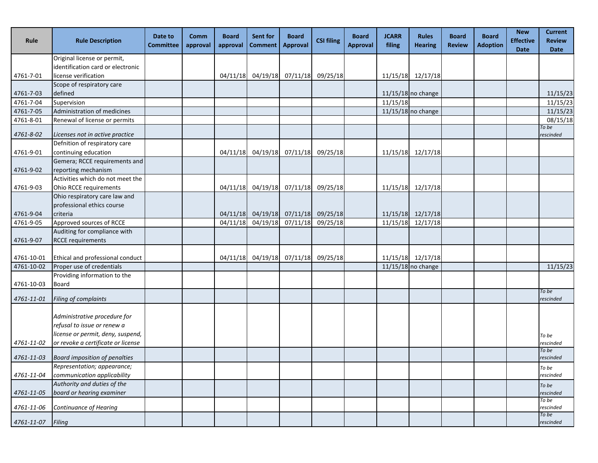| Rule       | <b>Rule Description</b>                                     | Date to<br><b>Committee</b> | <b>Comm</b><br>approval | <b>Board</b><br>approval | <b>Sent for</b><br><b>Comment</b> | <b>Board</b><br><b>Approval</b>                                   | <b>CSI filing</b> | <b>Board</b><br><b>Approval</b> | <b>JCARR</b><br>filing | <b>Rules</b><br><b>Hearing</b> | <b>Board</b><br><b>Review</b> | <b>Board</b><br><b>Adoption</b> | <b>New</b><br><b>Effective</b><br><b>Date</b> | <b>Current</b><br><b>Review</b><br><b>Date</b> |
|------------|-------------------------------------------------------------|-----------------------------|-------------------------|--------------------------|-----------------------------------|-------------------------------------------------------------------|-------------------|---------------------------------|------------------------|--------------------------------|-------------------------------|---------------------------------|-----------------------------------------------|------------------------------------------------|
|            | Original license or permit,                                 |                             |                         |                          |                                   |                                                                   |                   |                                 |                        |                                |                               |                                 |                                               |                                                |
|            | identification card or electronic                           |                             |                         |                          |                                   |                                                                   |                   |                                 |                        |                                |                               |                                 |                                               |                                                |
| 4761-7-01  | license verification                                        |                             |                         |                          |                                   | 04/11/18 04/19/18 07/11/18 09/25/18                               |                   |                                 |                        | 11/15/18 12/17/18              |                               |                                 |                                               |                                                |
|            | Scope of respiratory care                                   |                             |                         |                          |                                   |                                                                   |                   |                                 |                        |                                |                               |                                 |                                               |                                                |
| 4761-7-03  | defined                                                     |                             |                         |                          |                                   |                                                                   |                   |                                 |                        | 11/15/18 no change             |                               |                                 |                                               | 11/15/23                                       |
| 4761-7-04  | Supervision                                                 |                             |                         |                          |                                   |                                                                   |                   |                                 | 11/15/18               |                                |                               |                                 |                                               | 11/15/23                                       |
| 4761-7-05  | Administration of medicines                                 |                             |                         |                          |                                   |                                                                   |                   |                                 |                        | $11/15/18$ no change           |                               |                                 |                                               | 11/15/23                                       |
| 4761-8-01  | Renewal of license or permits                               |                             |                         |                          |                                   |                                                                   |                   |                                 |                        |                                |                               |                                 |                                               | 08/15/18                                       |
| 4761-8-02  | Licenses not in active practice                             |                             |                         |                          |                                   |                                                                   |                   |                                 |                        |                                |                               |                                 |                                               | To be<br>rescinded                             |
|            | Defnition of respiratory care                               |                             |                         |                          |                                   |                                                                   |                   |                                 |                        |                                |                               |                                 |                                               |                                                |
| 4761-9-01  | continuing education                                        |                             |                         | 04/11/18                 |                                   | 04/19/18 07/11/18 09/25/18                                        |                   |                                 |                        | 11/15/18 12/17/18              |                               |                                 |                                               |                                                |
|            | Gemera; RCCE requirements and                               |                             |                         |                          |                                   |                                                                   |                   |                                 |                        |                                |                               |                                 |                                               |                                                |
| 4761-9-02  | reporting mechanism                                         |                             |                         |                          |                                   |                                                                   |                   |                                 |                        |                                |                               |                                 |                                               |                                                |
|            | Activities which do not meet the                            |                             |                         |                          |                                   |                                                                   |                   |                                 |                        |                                |                               |                                 |                                               |                                                |
| 4761-9-03  | Ohio RCCE requirements                                      |                             |                         |                          |                                   | 04/11/18 04/19/18 07/11/18 09/25/18                               |                   |                                 |                        | 11/15/18 12/17/18              |                               |                                 |                                               |                                                |
|            | Ohio respiratory care law and                               |                             |                         |                          |                                   |                                                                   |                   |                                 |                        |                                |                               |                                 |                                               |                                                |
|            | professional ethics course                                  |                             |                         |                          |                                   |                                                                   |                   |                                 |                        |                                |                               |                                 |                                               |                                                |
| 4761-9-04  | criteria<br>Approved sources of RCCE                        |                             |                         | 04/11/18                 |                                   | 04/11/18 04/19/18 07/11/18 09/25/18<br>04/19/18 07/11/18 09/25/18 |                   |                                 |                        | 11/15/18 12/17/18              |                               |                                 |                                               |                                                |
| 4761-9-05  | Auditing for compliance with                                |                             |                         |                          |                                   |                                                                   |                   |                                 |                        | 11/15/18 12/17/18              |                               |                                 |                                               |                                                |
| 4761-9-07  | <b>RCCE requirements</b>                                    |                             |                         |                          |                                   |                                                                   |                   |                                 |                        |                                |                               |                                 |                                               |                                                |
|            |                                                             |                             |                         |                          |                                   |                                                                   |                   |                                 |                        |                                |                               |                                 |                                               |                                                |
| 4761-10-01 | Ethical and professional conduct                            |                             |                         |                          |                                   | 04/11/18 04/19/18 07/11/18 09/25/18                               |                   |                                 |                        | 11/15/18 12/17/18              |                               |                                 |                                               |                                                |
| 4761-10-02 | Proper use of credentials                                   |                             |                         |                          |                                   |                                                                   |                   |                                 |                        | $11/15/18$ no change           |                               |                                 |                                               | 11/15/23                                       |
| 4761-10-03 | Providing information to the<br>Board                       |                             |                         |                          |                                   |                                                                   |                   |                                 |                        |                                |                               |                                 |                                               |                                                |
|            |                                                             |                             |                         |                          |                                   |                                                                   |                   |                                 |                        |                                |                               |                                 |                                               | To be                                          |
| 4761-11-01 | Filing of complaints                                        |                             |                         |                          |                                   |                                                                   |                   |                                 |                        |                                |                               |                                 |                                               | rescinded                                      |
|            | Administrative procedure for<br>refusal to issue or renew a |                             |                         |                          |                                   |                                                                   |                   |                                 |                        |                                |                               |                                 |                                               |                                                |
|            | license or permit, deny, suspend,                           |                             |                         |                          |                                   |                                                                   |                   |                                 |                        |                                |                               |                                 |                                               | To be                                          |
| 4761-11-02 | or revoke a certificate or license                          |                             |                         |                          |                                   |                                                                   |                   |                                 |                        |                                |                               |                                 |                                               | rescinded<br>To be                             |
| 4761-11-03 | <b>Board imposition of penalties</b>                        |                             |                         |                          |                                   |                                                                   |                   |                                 |                        |                                |                               |                                 |                                               | rescinded                                      |
| 4761-11-04 | Representation; appearance;<br>communication applicability  |                             |                         |                          |                                   |                                                                   |                   |                                 |                        |                                |                               |                                 |                                               | To be<br>rescinded                             |
| 4761-11-05 | Authority and duties of the<br>board or hearing examiner    |                             |                         |                          |                                   |                                                                   |                   |                                 |                        |                                |                               |                                 |                                               | To be<br>rescinded                             |
| 4761-11-06 | Continuance of Hearing                                      |                             |                         |                          |                                   |                                                                   |                   |                                 |                        |                                |                               |                                 |                                               | To be<br>rescinded                             |
|            |                                                             |                             |                         |                          |                                   |                                                                   |                   |                                 |                        |                                |                               |                                 |                                               | To be                                          |
| 4761-11-07 | Filing                                                      |                             |                         |                          |                                   |                                                                   |                   |                                 |                        |                                |                               |                                 |                                               | rescinded                                      |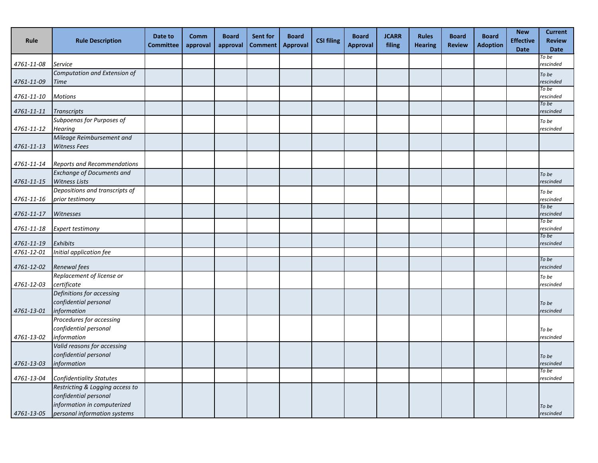| Rule             | <b>Rule Description</b>                                | Date to<br><b>Committee</b> | Comm<br>approval | <b>Board</b><br>approval | Sent for<br><b>Comment</b> | <b>Board</b><br><b>Approval</b> | <b>CSI filing</b> | <b>Board</b><br><b>Approval</b> | <b>JCARR</b><br>filing | <b>Rules</b><br><b>Hearing</b> | <b>Board</b><br><b>Review</b> | <b>Board</b><br><b>Adoption</b> | <b>New</b><br><b>Effective</b><br><b>Date</b> | <b>Current</b><br><b>Review</b><br><b>Date</b> |
|------------------|--------------------------------------------------------|-----------------------------|------------------|--------------------------|----------------------------|---------------------------------|-------------------|---------------------------------|------------------------|--------------------------------|-------------------------------|---------------------------------|-----------------------------------------------|------------------------------------------------|
| 4761-11-08       | <b>Service</b>                                         |                             |                  |                          |                            |                                 |                   |                                 |                        |                                |                               |                                 |                                               | To be<br>rescinded                             |
|                  | Computation and Extension of                           |                             |                  |                          |                            |                                 |                   |                                 |                        |                                |                               |                                 |                                               | To be                                          |
| 4761-11-09       | <b>Time</b>                                            |                             |                  |                          |                            |                                 |                   |                                 |                        |                                |                               |                                 |                                               | rescinded                                      |
| 4761-11-10       | <b>Motions</b>                                         |                             |                  |                          |                            |                                 |                   |                                 |                        |                                |                               |                                 |                                               | To be<br>rescinded                             |
|                  |                                                        |                             |                  |                          |                            |                                 |                   |                                 |                        |                                |                               |                                 |                                               | To be                                          |
| $4761 - 11 - 11$ | <b>Transcripts</b>                                     |                             |                  |                          |                            |                                 |                   |                                 |                        |                                |                               |                                 |                                               | rescinded                                      |
| 4761-11-12       | Subpoenas for Purposes of<br><b>Hearing</b>            |                             |                  |                          |                            |                                 |                   |                                 |                        |                                |                               |                                 |                                               | To be<br>rescinded                             |
|                  | Mileage Reimbursement and                              |                             |                  |                          |                            |                                 |                   |                                 |                        |                                |                               |                                 |                                               |                                                |
| 4761-11-13       | <b>Witness Fees</b>                                    |                             |                  |                          |                            |                                 |                   |                                 |                        |                                |                               |                                 |                                               |                                                |
|                  |                                                        |                             |                  |                          |                            |                                 |                   |                                 |                        |                                |                               |                                 |                                               |                                                |
| 4761-11-14       | <b>Reports and Recommendations</b>                     |                             |                  |                          |                            |                                 |                   |                                 |                        |                                |                               |                                 |                                               |                                                |
|                  | <b>Exchange of Documents and</b>                       |                             |                  |                          |                            |                                 |                   |                                 |                        |                                |                               |                                 |                                               | To be                                          |
| 4761-11-15       | <b>Witness Lists</b><br>Depositions and transcripts of |                             |                  |                          |                            |                                 |                   |                                 |                        |                                |                               |                                 |                                               | rescinded                                      |
| 4761-11-16       | prior testimony                                        |                             |                  |                          |                            |                                 |                   |                                 |                        |                                |                               |                                 |                                               | To be<br>rescinded                             |
|                  |                                                        |                             |                  |                          |                            |                                 |                   |                                 |                        |                                |                               |                                 |                                               | To be                                          |
| 4761-11-17       | Witnesses                                              |                             |                  |                          |                            |                                 |                   |                                 |                        |                                |                               |                                 |                                               | rescinded<br>To be                             |
| 4761-11-18       | Expert testimony                                       |                             |                  |                          |                            |                                 |                   |                                 |                        |                                |                               |                                 |                                               | rescinded                                      |
|                  |                                                        |                             |                  |                          |                            |                                 |                   |                                 |                        |                                |                               |                                 |                                               | To be                                          |
| 4761-11-19       | Exhibits                                               |                             |                  |                          |                            |                                 |                   |                                 |                        |                                |                               |                                 |                                               | rescinded                                      |
| 4761-12-01       | Initial application fee                                |                             |                  |                          |                            |                                 |                   |                                 |                        |                                |                               |                                 |                                               | To be                                          |
| 4761-12-02       | Renewal fees                                           |                             |                  |                          |                            |                                 |                   |                                 |                        |                                |                               |                                 |                                               | rescinded                                      |
|                  | Replacement of license or                              |                             |                  |                          |                            |                                 |                   |                                 |                        |                                |                               |                                 |                                               | To be                                          |
| 4761-12-03       | certificate                                            |                             |                  |                          |                            |                                 |                   |                                 |                        |                                |                               |                                 |                                               | rescinded                                      |
|                  | Definitions for accessing<br>confidential personal     |                             |                  |                          |                            |                                 |                   |                                 |                        |                                |                               |                                 |                                               |                                                |
| 4761-13-01       | information                                            |                             |                  |                          |                            |                                 |                   |                                 |                        |                                |                               |                                 |                                               | To be<br>rescinded                             |
|                  | Procedures for accessing                               |                             |                  |                          |                            |                                 |                   |                                 |                        |                                |                               |                                 |                                               |                                                |
|                  | confidential personal                                  |                             |                  |                          |                            |                                 |                   |                                 |                        |                                |                               |                                 |                                               | To be                                          |
| 4761-13-02       | information                                            |                             |                  |                          |                            |                                 |                   |                                 |                        |                                |                               |                                 |                                               | rescinded                                      |
|                  | Valid reasons for accessing                            |                             |                  |                          |                            |                                 |                   |                                 |                        |                                |                               |                                 |                                               |                                                |
|                  | confidential personal                                  |                             |                  |                          |                            |                                 |                   |                                 |                        |                                |                               |                                 |                                               | To be                                          |
| 4761-13-03       | information                                            |                             |                  |                          |                            |                                 |                   |                                 |                        |                                |                               |                                 |                                               | rescinded<br>To be                             |
| 4761-13-04       | <b>Confidentiality Statutes</b>                        |                             |                  |                          |                            |                                 |                   |                                 |                        |                                |                               |                                 |                                               | rescinded                                      |
|                  | Restricting & Logging access to                        |                             |                  |                          |                            |                                 |                   |                                 |                        |                                |                               |                                 |                                               |                                                |
|                  | confidential personal                                  |                             |                  |                          |                            |                                 |                   |                                 |                        |                                |                               |                                 |                                               |                                                |
|                  | information in computerized                            |                             |                  |                          |                            |                                 |                   |                                 |                        |                                |                               |                                 |                                               | To be                                          |
| 4761-13-05       | personal information systems                           |                             |                  |                          |                            |                                 |                   |                                 |                        |                                |                               |                                 |                                               | rescinded                                      |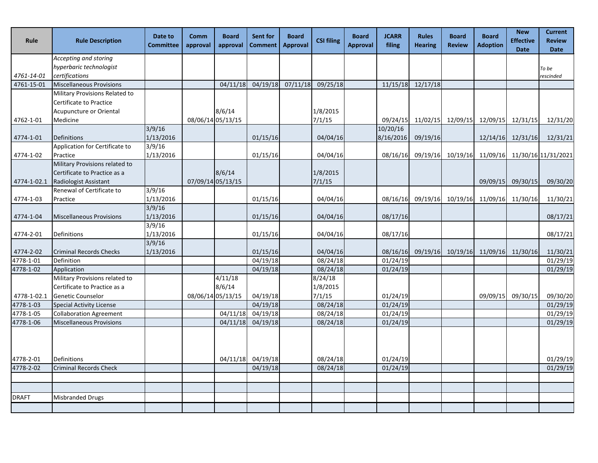| Rule         | <b>Rule Description</b>         | Date to<br><b>Committee</b> | Comm<br>approval  | <b>Board</b><br>approval | Sent for<br><b>Comment</b> | <b>Board</b><br><b>Approval</b> | <b>CSI filing</b> | <b>Board</b><br><b>Approval</b> | <b>JCARR</b><br>filing | <b>Rules</b><br><b>Hearing</b> | <b>Board</b><br><b>Review</b> | <b>Board</b><br><b>Adoption</b>              | <b>New</b><br><b>Effective</b><br><b>Date</b> | <b>Current</b><br><b>Review</b><br><b>Date</b> |
|--------------|---------------------------------|-----------------------------|-------------------|--------------------------|----------------------------|---------------------------------|-------------------|---------------------------------|------------------------|--------------------------------|-------------------------------|----------------------------------------------|-----------------------------------------------|------------------------------------------------|
|              | Accepting and storing           |                             |                   |                          |                            |                                 |                   |                                 |                        |                                |                               |                                              |                                               |                                                |
|              | hyperbaric technologist         |                             |                   |                          |                            |                                 |                   |                                 |                        |                                |                               |                                              |                                               | To be                                          |
| 4761-14-01   | certifications                  |                             |                   |                          |                            |                                 |                   |                                 |                        |                                |                               |                                              |                                               | rescinded                                      |
| 4761-15-01   | <b>Miscellaneous Provisions</b> |                             |                   | 04/11/18                 | 04/19/18                   | 07/11/18                        | 09/25/18          |                                 | 11/15/18               | 12/17/18                       |                               |                                              |                                               |                                                |
|              | Military Provisions Related to  |                             |                   |                          |                            |                                 |                   |                                 |                        |                                |                               |                                              |                                               |                                                |
|              | Certificate to Practice         |                             |                   |                          |                            |                                 |                   |                                 |                        |                                |                               |                                              |                                               |                                                |
|              | Acupuncture or Oriental         |                             |                   | 8/6/14                   |                            |                                 | 1/8/2015          |                                 |                        |                                |                               |                                              |                                               |                                                |
| 4762-1-01    | Medicine                        |                             | 08/06/14 05/13/15 |                          |                            |                                 | 7/1/15            |                                 |                        |                                |                               | 09/24/15 11/02/15 12/09/15 12/09/15          | 12/31/15                                      | 12/31/20                                       |
| 4774-1-01    | Definitions                     | 3/9/16<br>1/13/2016         |                   |                          | 01/15/16                   |                                 | 04/04/16          |                                 | 10/20/16<br>8/16/2016  | 09/19/16                       |                               | 12/14/16                                     | 12/31/16                                      | 12/31/21                                       |
|              | Application for Certificate to  | 3/9/16                      |                   |                          |                            |                                 |                   |                                 |                        |                                |                               |                                              |                                               |                                                |
| 4774-1-02    | Practice                        | 1/13/2016                   |                   |                          | 01/15/16                   |                                 | 04/04/16          |                                 | 08/16/16               |                                |                               |                                              |                                               | 09/19/16 10/19/16 11/09/16 11/30/16 11/31/2021 |
|              | Military Provisions related to  |                             |                   |                          |                            |                                 |                   |                                 |                        |                                |                               |                                              |                                               |                                                |
|              | Certificate to Practice as a    |                             |                   | 8/6/14                   |                            |                                 | 1/8/2015          |                                 |                        |                                |                               |                                              |                                               |                                                |
| 4774-1-02.1  | Radiologist Assistant           |                             | 07/09/14 05/13/15 |                          |                            |                                 | 7/1/15            |                                 |                        |                                |                               | 09/09/15                                     | 09/30/15                                      | 09/30/20                                       |
|              | Renewal of Certificate to       | 3/9/16                      |                   |                          |                            |                                 |                   |                                 |                        |                                |                               |                                              |                                               |                                                |
| 4774-1-03    | Practice                        | 1/13/2016                   |                   |                          | 01/15/16                   |                                 | 04/04/16          |                                 |                        |                                |                               | 08/16/16 09/19/16 10/19/16 11/09/16 11/30/16 |                                               | 11/30/21                                       |
|              |                                 | 3/9/16                      |                   |                          |                            |                                 |                   |                                 |                        |                                |                               |                                              |                                               |                                                |
| 4774-1-04    | <b>Miscellaneous Provisions</b> | 1/13/2016                   |                   |                          | 01/15/16                   |                                 | 04/04/16          |                                 | 08/17/16               |                                |                               |                                              |                                               | 08/17/21                                       |
|              |                                 | 3/9/16                      |                   |                          |                            |                                 |                   |                                 |                        |                                |                               |                                              |                                               |                                                |
| 4774-2-01    | Definitions                     | 1/13/2016                   |                   |                          | 01/15/16                   |                                 | 04/04/16          |                                 | 08/17/16               |                                |                               |                                              |                                               | 08/17/21                                       |
|              |                                 | 3/9/16                      |                   |                          |                            |                                 |                   |                                 |                        |                                |                               |                                              |                                               |                                                |
| 4774-2-02    | <b>Criminal Records Checks</b>  | 1/13/2016                   |                   |                          | 01/15/16                   |                                 | 04/04/16          |                                 | 08/16/16               |                                |                               | 09/19/16 10/19/16 11/09/16 11/30/16          |                                               | 11/30/21                                       |
| 4778-1-01    | Definition                      |                             |                   |                          | 04/19/18                   |                                 | 08/24/18          |                                 | 01/24/19               |                                |                               |                                              |                                               | 01/29/19                                       |
| 4778-1-02    | Application                     |                             |                   |                          | 04/19/18                   |                                 | 08/24/18          |                                 | 01/24/19               |                                |                               |                                              |                                               | 01/29/19                                       |
|              | Military Provisions related to  |                             |                   | 4/11/18                  |                            |                                 | 8/24/18           |                                 |                        |                                |                               |                                              |                                               |                                                |
|              | Certificate to Practice as a    |                             |                   | 8/6/14                   |                            |                                 | 1/8/2015          |                                 |                        |                                |                               |                                              |                                               |                                                |
| 4778-1-02.1  | Genetic Counselor               |                             | 08/06/14 05/13/15 |                          | 04/19/18                   |                                 | 7/1/15            |                                 | 01/24/19               |                                |                               | 09/09/15                                     | 09/30/15                                      | 09/30/20                                       |
| 4778-1-03    | <b>Special Activity License</b> |                             |                   |                          | 04/19/18                   |                                 | 08/24/18          |                                 | 01/24/19               |                                |                               |                                              |                                               | 01/29/19                                       |
| 4778-1-05    | <b>Collaboration Agreement</b>  |                             |                   | 04/11/18                 | 04/19/18                   |                                 | 08/24/18          |                                 | 01/24/19               |                                |                               |                                              |                                               | 01/29/19                                       |
| 4778-1-06    | <b>Miscellaneous Provisions</b> |                             |                   | 04/11/18                 | 04/19/18                   |                                 | 08/24/18          |                                 | 01/24/19               |                                |                               |                                              |                                               | 01/29/19                                       |
|              |                                 |                             |                   |                          |                            |                                 |                   |                                 |                        |                                |                               |                                              |                                               |                                                |
| 4778-2-01    | Definitions                     |                             |                   |                          | 04/11/18 04/19/18          |                                 | 08/24/18          |                                 | 01/24/19               |                                |                               |                                              |                                               | 01/29/19                                       |
| 4778-2-02    | <b>Criminal Records Check</b>   |                             |                   |                          | 04/19/18                   |                                 | 08/24/18          |                                 | 01/24/19               |                                |                               |                                              |                                               | 01/29/19                                       |
|              |                                 |                             |                   |                          |                            |                                 |                   |                                 |                        |                                |                               |                                              |                                               |                                                |
|              |                                 |                             |                   |                          |                            |                                 |                   |                                 |                        |                                |                               |                                              |                                               |                                                |
| <b>DRAFT</b> | <b>Misbranded Drugs</b>         |                             |                   |                          |                            |                                 |                   |                                 |                        |                                |                               |                                              |                                               |                                                |
|              |                                 |                             |                   |                          |                            |                                 |                   |                                 |                        |                                |                               |                                              |                                               |                                                |
|              |                                 |                             |                   |                          |                            |                                 |                   |                                 |                        |                                |                               |                                              |                                               |                                                |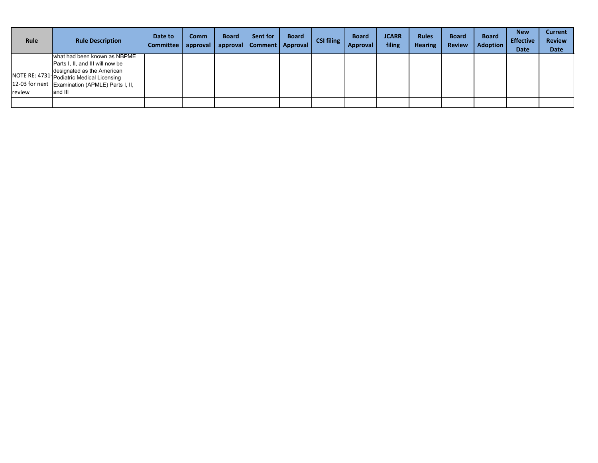| <b>Rule</b>   | <b>Rule Description</b>                                                                                                                      | Date to<br><b>Committee</b> | <b>Comm</b><br>$ $ approval $ $ | <b>Board</b> | Sent for<br>approval Comment Approval | <b>Board</b> | <b>CSI filing</b> | <b>Board</b><br><b>Approval</b> | <b>JCARR</b><br>filing | <b>Rules</b><br><b>Hearing</b> | <b>Board</b><br><b>Review</b> | <b>Board</b><br>Adoption | <b>New</b><br><b>Effective</b><br><b>Date</b> | <b>Current</b><br><b>Review</b><br><b>Date</b> |
|---------------|----------------------------------------------------------------------------------------------------------------------------------------------|-----------------------------|---------------------------------|--------------|---------------------------------------|--------------|-------------------|---------------------------------|------------------------|--------------------------------|-------------------------------|--------------------------|-----------------------------------------------|------------------------------------------------|
|               | what had been known as NBPME<br>Parts I, II, and III will now be                                                                             |                             |                                 |              |                                       |              |                   |                                 |                        |                                |                               |                          |                                               |                                                |
| <b>review</b> | designated as the American<br><b>NOTE RE: 4731 Podiatric Medical Licensing</b><br>12-03 for next Examination (APMLE) Parts I, II,<br>and III |                             |                                 |              |                                       |              |                   |                                 |                        |                                |                               |                          |                                               |                                                |
|               |                                                                                                                                              |                             |                                 |              |                                       |              |                   |                                 |                        |                                |                               |                          |                                               |                                                |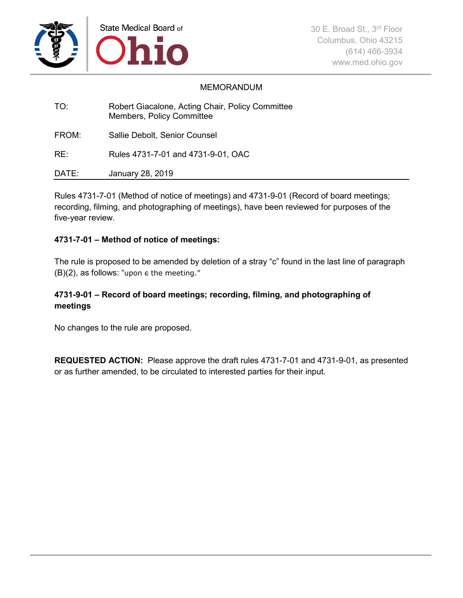

### MEMORANDUM

| TO:   | Robert Giacalone, Acting Chair, Policy Committee<br>Members, Policy Committee |
|-------|-------------------------------------------------------------------------------|
| FROM: | Sallie Debolt, Senior Counsel                                                 |
| RE:   | Rules 4731-7-01 and 4731-9-01, OAC                                            |
| DATE: | January 28, 2019                                                              |

Rules 4731-7-01 (Method of notice of meetings) and 4731-9-01 (Record of board meetings; recording, filming, and photographing of meetings), have been reviewed for purposes of the five-year review.

### **4731-7-01 – Method of notice of meetings:**

The rule is proposed to be amended by deletion of a stray "c" found in the last line of paragraph  $(B)(2)$ , as follows: "upon  $\epsilon$  the meeting."

### **4731-9-01 – Record of board meetings; recording, filming, and photographing of meetings**

No changes to the rule are proposed.

**REQUESTED ACTION:** Please approve the draft rules 4731-7-01 and 4731-9-01, as presented or as further amended, to be circulated to interested parties for their input.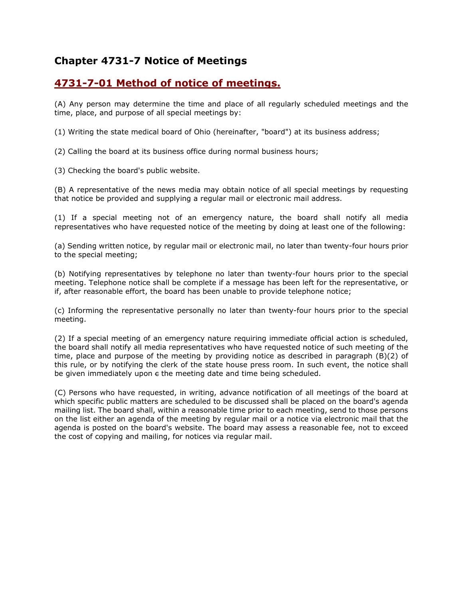## **Chapter 4731-7 Notice of Meetings**

## **[4731-7-01 Method of notice of meetings.](http://codes.ohio.gov/oac/4731-7-01v1)**

(A) Any person may determine the time and place of all regularly scheduled meetings and the time, place, and purpose of all special meetings by:

(1) Writing the state medical board of Ohio (hereinafter, "board") at its business address;

(2) Calling the board at its business office during normal business hours;

(3) Checking the board's public website.

(B) A representative of the news media may obtain notice of all special meetings by requesting that notice be provided and supplying a regular mail or electronic mail address.

(1) If a special meeting not of an emergency nature, the board shall notify all media representatives who have requested notice of the meeting by doing at least one of the following:

(a) Sending written notice, by regular mail or electronic mail, no later than twenty-four hours prior to the special meeting;

(b) Notifying representatives by telephone no later than twenty-four hours prior to the special meeting. Telephone notice shall be complete if a message has been left for the representative, or if, after reasonable effort, the board has been unable to provide telephone notice;

(c) Informing the representative personally no later than twenty-four hours prior to the special meeting.

(2) If a special meeting of an emergency nature requiring immediate official action is scheduled, the board shall notify all media representatives who have requested notice of such meeting of the time, place and purpose of the meeting by providing notice as described in paragraph (B)(2) of this rule, or by notifying the clerk of the state house press room. In such event, the notice shall be given immediately upon  $\epsilon$  the meeting date and time being scheduled.

(C) Persons who have requested, in writing, advance notification of all meetings of the board at which specific public matters are scheduled to be discussed shall be placed on the board's agenda mailing list. The board shall, within a reasonable time prior to each meeting, send to those persons on the list either an agenda of the meeting by regular mail or a notice via electronic mail that the agenda is posted on the board's website. The board may assess a reasonable fee, not to exceed the cost of copying and mailing, for notices via regular mail.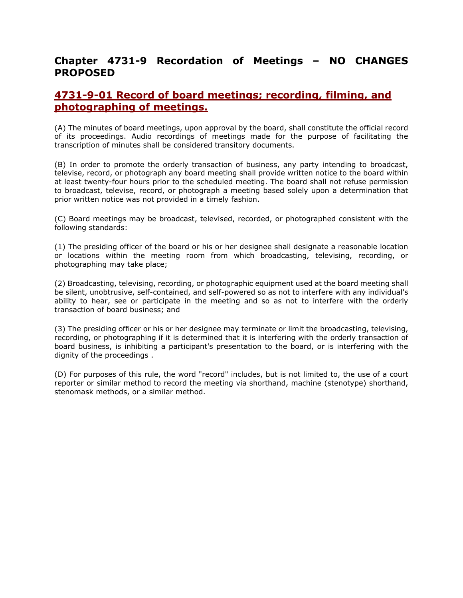## **Chapter 4731-9 Recordation of Meetings – NO CHANGES PROPOSED**

## **[4731-9-01 Record of board meetings; recording, filming, and](http://codes.ohio.gov/oac/4731-9-01v1)  [photographing of meetings.](http://codes.ohio.gov/oac/4731-9-01v1)**

(A) The minutes of board meetings, upon approval by the board, shall constitute the official record of its proceedings. Audio recordings of meetings made for the purpose of facilitating the transcription of minutes shall be considered transitory documents.

(B) In order to promote the orderly transaction of business, any party intending to broadcast, televise, record, or photograph any board meeting shall provide written notice to the board within at least twenty-four hours prior to the scheduled meeting. The board shall not refuse permission to broadcast, televise, record, or photograph a meeting based solely upon a determination that prior written notice was not provided in a timely fashion.

(C) Board meetings may be broadcast, televised, recorded, or photographed consistent with the following standards:

(1) The presiding officer of the board or his or her designee shall designate a reasonable location or locations within the meeting room from which broadcasting, televising, recording, or photographing may take place;

(2) Broadcasting, televising, recording, or photographic equipment used at the board meeting shall be silent, unobtrusive, self-contained, and self-powered so as not to interfere with any individual's ability to hear, see or participate in the meeting and so as not to interfere with the orderly transaction of board business; and

(3) The presiding officer or his or her designee may terminate or limit the broadcasting, televising, recording, or photographing if it is determined that it is interfering with the orderly transaction of board business, is inhibiting a participant's presentation to the board, or is interfering with the dignity of the proceedings .

(D) For purposes of this rule, the word "record" includes, but is not limited to, the use of a court reporter or similar method to record the meeting via shorthand, machine (stenotype) shorthand, stenomask methods, or a similar method.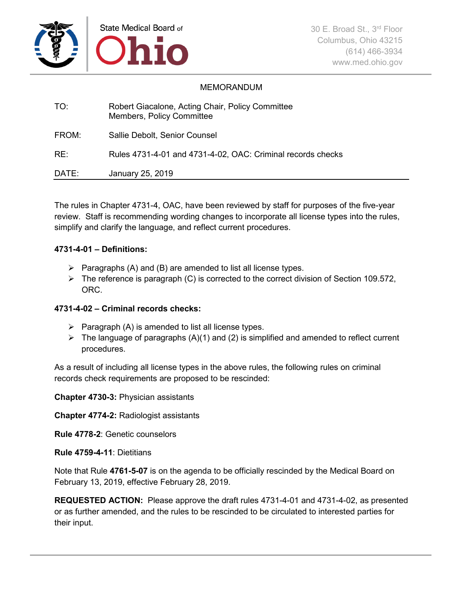

### MEMORANDUM

| TO:   | Robert Giacalone, Acting Chair, Policy Committee<br><b>Members, Policy Committee</b> |
|-------|--------------------------------------------------------------------------------------|
| FROM: | Sallie Debolt, Senior Counsel                                                        |
| RE:   | Rules 4731-4-01 and 4731-4-02, OAC: Criminal records checks                          |
| DATE: | January 25, 2019                                                                     |

The rules in Chapter 4731-4, OAC, have been reviewed by staff for purposes of the five-year review. Staff is recommending wording changes to incorporate all license types into the rules, simplify and clarify the language, and reflect current procedures.

### **4731-4-01 – Definitions:**

- $\triangleright$  Paragraphs (A) and (B) are amended to list all license types.
- $\triangleright$  The reference is paragraph (C) is corrected to the correct division of Section 109.572, ORC.

### **4731-4-02 – Criminal records checks:**

- $\triangleright$  Paragraph (A) is amended to list all license types.
- $\triangleright$  The language of paragraphs (A)(1) and (2) is simplified and amended to reflect current procedures.

As a result of including all license types in the above rules, the following rules on criminal records check requirements are proposed to be rescinded:

**Chapter 4730-3:** Physician assistants

**Chapter 4774-2:** Radiologist assistants

**Rule 4778-2**: Genetic counselors

**Rule 4759-4-11**: Dietitians

Note that Rule **4761-5-07** is on the agenda to be officially rescinded by the Medical Board on February 13, 2019, effective February 28, 2019.

**REQUESTED ACTION:** Please approve the draft rules 4731-4-01 and 4731-4-02, as presented or as further amended, and the rules to be rescinded to be circulated to interested parties for their input.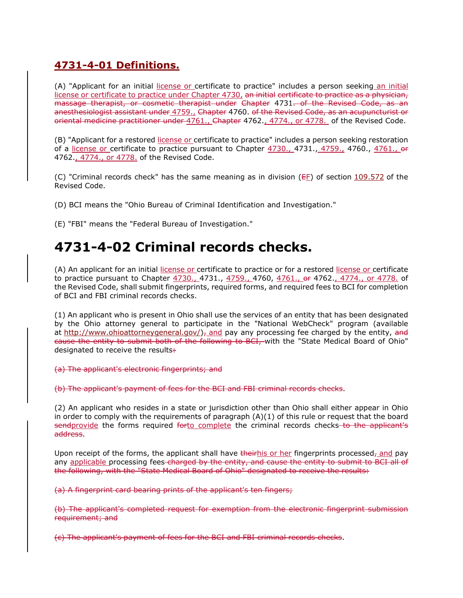## **[4731-4-01 Definitions.](http://codes.ohio.gov/oac/4731-4-01v1)**

(A) "Applicant for an initial license or certificate to practice" includes a person seeking an initial license or certificate to practice under Chapter 4730, an initial certificate to practice as a physician, massage therapist, or cosmetic therapist under Chapter 4731. of the Revised Code, as an anesthesiologist assistant under  $4759.$ , Chapter 4760. of the Revised Code, as an acupuncturist or oriental medicine practitioner under 4761., Chapter 4762., 4774., or 4778. of the Revised Code.

(B) "Applicant for a restored license or certificate to practice" includes a person seeking restoration of a license or certificate to practice pursuant to Chapter 4730., 4731., 4759., 4760., 4761., or 4762., 4774., or 4778. of the Revised Code.

(C) "Criminal records check" has the same meaning as in division (EF) of section [109.572](http://codes.ohio.gov/orc/109.572) of the Revised Code.

(D) BCI means the "Ohio Bureau of Criminal Identification and Investigation."

(E) "FBI" means the "Federal Bureau of Investigation."

# **4731-4-02 Criminal records checks.**

(A) An applicant for an initial license or certificate to practice or for a restored license or certificate to practice pursuant to Chapter 4730., 4731., 4759., 4760, 4761., or 4762., 4774., or 4778. of the Revised Code, shall submit fingerprints, required forms, and required fees to BCI for completion of BCI and FBI criminal records checks.

(1) An applicant who is present in Ohio shall use the services of an entity that has been designated by the Ohio attorney general to participate in the "National WebCheck" program (available at http://www.ohioattorneygeneral.gov/ $)$ , and pay any processing fee charged by the entity, and cause the entity to submit both of the following to BCI, with the "State Medical Board of Ohio" designated to receive the results.

(a) The applicant's electronic fingerprints; and

(b) The applicant's payment of fees for the BCI and FBI criminal records checks.

(2) An applicant who resides in a state or jurisdiction other than Ohio shall either appear in Ohio in order to comply with the requirements of paragraph (A)(1) of this rule or request that the board sendprovide the forms required forto complete the criminal records checks to the applicant's address.

Upon receipt of the forms, the applicant shall have theirhis or her fingerprints processed<sub>7</sub> and pay any applicable processing fees-charged by the entity, and cause the entity to submit to BCI all of the following, with the "State Medical Board of Ohio" designated to receive the results:

(a) A fingerprint card bearing prints of the applicant's ten fingers;

(b) The applicant's completed request for exemption from the electronic fingerprint submission requirement; and

(c) The applicant's payment of fees for the BCI and FBI criminal records checks.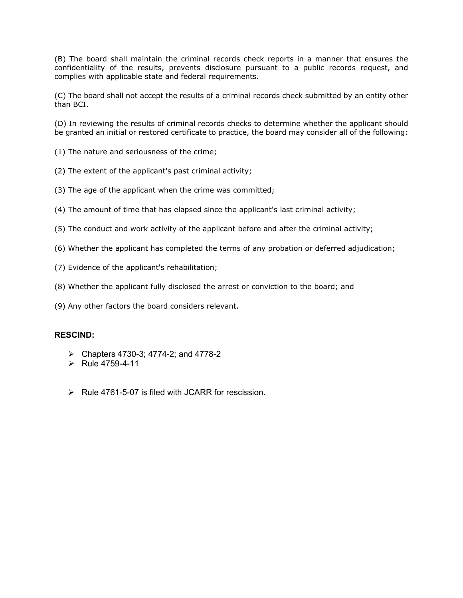(B) The board shall maintain the criminal records check reports in a manner that ensures the confidentiality of the results, prevents disclosure pursuant to a public records request, and complies with applicable state and federal requirements.

(C) The board shall not accept the results of a criminal records check submitted by an entity other than BCI.

(D) In reviewing the results of criminal records checks to determine whether the applicant should be granted an initial or restored certificate to practice, the board may consider all of the following:

- (1) The nature and seriousness of the crime;
- (2) The extent of the applicant's past criminal activity;
- (3) The age of the applicant when the crime was committed;
- (4) The amount of time that has elapsed since the applicant's last criminal activity;
- (5) The conduct and work activity of the applicant before and after the criminal activity;
- (6) Whether the applicant has completed the terms of any probation or deferred adjudication;
- (7) Evidence of the applicant's rehabilitation;
- (8) Whether the applicant fully disclosed the arrest or conviction to the board; and
- (9) Any other factors the board considers relevant.

#### **RESCIND:**

- $\triangleright$  Chapters 4730-3; 4774-2; and 4778-2
- $\triangleright$  Rule 4759-4-11
- $\triangleright$  Rule 4761-5-07 is filed with JCARR for rescission.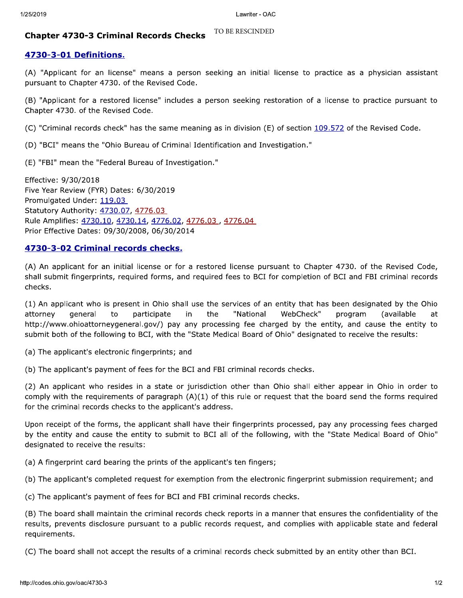### TO BE RESCINDED

Lawriter - OAC<br> **Chapter 4730-3 Criminal Records Checks** <sup>TO BE RESCINDED<br> **4730-3-01 Definitions.**<br>
(A) "Applicant for an license" means a person seeking an initial license to practice as a physician assistant<br>
pursuant t</sup>

(D) "BCI" means the "Ohio Bureau of Criminal Identification and Investigation."

(E) "FBI" mean the "Federal Bureau of Investigation."

Effective:  $9/30/2018$ Five Year Review (FYR) Dates: 6/30/2019 Promulgated Under: 119.03 Statutory Authority: 4730.07, 4776.03 Rule Amplifies: 4730.10, 4730.14, 4776.02, 4776.03, 4776.04 Prior Effective Dates: 09/30/2008, 06/30/2014 Effective: 9/30/2018<br>
Five Year Review (FYR) Dates: 6/30/2019<br>
Promulgated Under: 119.03<br>
Statutory Authority: <u>4730.07</u>, 4776.03<br>
Rule Amplifies: <u>4730.10</u>, 4<u>730.14, 4776.02, 4776.03</u>, 4776.04<br>
Prior Effective Dates: 09

http://www.ohioattorneygeneral.gov/) pay any processing fee charged by the entity, and cause the entity to submit both of the following to BCI, with the "State Medical Board of Ohio" designated to receive the results:

(a) The applicant's electronic fingerprints; and

(b) The applicant's payment of fees for the BCI and FBI criminal records checks.

(2) An applicant who resides in a state or jurisdiction other than Ohio shall either appear in Ohio in order to comply with the requirements of paragraph  $(A)(1)$  of this rule or request that the board send the forms required for the criminal records checks to the applicant's address.

Upon receipt of the forms, the applicant shall have their fingerprints processed, pay any processing fees charged by the entity and cause the entity to submit to BCI all of the following, with the "State Medical Board of Ohio" designated to receive the results:

(a) A fingerprint card bearing the prints of the applicant's ten fingers;

(b) The applicant's completed request for exemption from the electronic fingerprint submission requirement; and

(c) The applicant's payment of fees for BCI and FBI criminal records checks.

(B) The board shall maintain the criminal records check reports in a manner that ensures the confidentiality of the results, prevents disclosure pursuant to a public records request, and complies with applicable state and federal requirements.

(C) The board shall not accept the results of a criminal records check submitted by an entity other than BCI.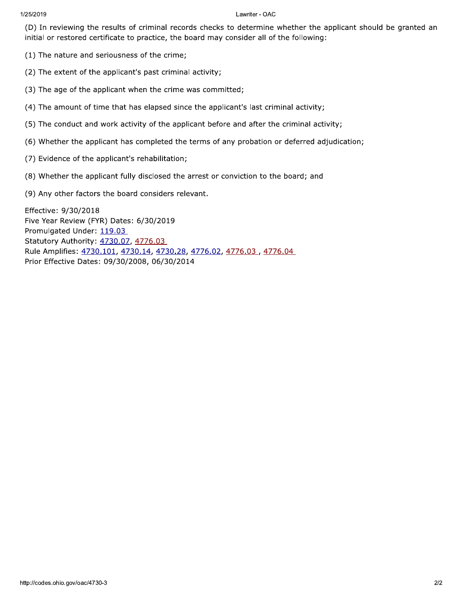2019 Lawriti  $\overline{\text{iter}}$  -  $\overline{\text{OAC}}$ 

Lawriter - OAC<br>
(D) In reviewing the results of criminal records checks to determine whether the applicant should be granted an<br>
initial or restored certificate to practice, the board may consider all of the following:<br>
(1 initial or restored certificate to practice, the board may consider all of the following: Lawriter - OAC<br>
(D) In reviewing the results of criminal records checks to determine<br>
initial or restored certificate to practice, the board may consider all of<br>
(1) The nature and seriousness of the crime;<br>
(2) The extent

- $(1)$  The nature and seriousness of the crime;
- 
- $(3)$  The age of the applicant when the crime was committed;
- 
- 
- The mature and seriousness of the crime;<br>
(2) The extent of the applicant's past criminal activity;<br>
(3) The age of the applicant when the crime was committed;<br>
(4) The amount of time that has elapsed since the applicant's (2) The nature and seriousitiess of the critine,<br>
(2) The extent of the applicant's past criminal activity;<br>
(3) The age of the applicant when the crime was committed;<br>
(4) The amount of time that has elapsed since the app (6) Whether the applicant has completed the terms of any probation or deferred adjudication;
- 
- 
- 

(3) The age of the applicant when the crime w<br>
(4) The amount of time that has elapsed since<br>
(5) The conduct and work activity of the applic<br>
(6) Whether the applicant has completed the t<br>
(7) Evidence of the applicant's (4) The amount of time that has elapsed since the applicant is last chiminal activity,<br>
(5) The conduct and work activity of the applicant before and after the criminal activity<br>
(6) Whether the applicant has completed th (5) The conduct and work activity of the applicant before and are<br>
(6) Whether the applicant has completed the terms of any probat<br>
(7) Evidence of the applicant fully disclosed the arrest or conviction t<br>
(9) Any other f (7) Evidence of the applicant<br>
(8) Whether the applicant<br>
(9) Any other factors the  $\frac{1}{2}$ <br>
Effective: 9/30/2018<br>
Five Year Review (FYR) Da<br>
Promulgated Under: <u>119.0</u><br>
Statutory Authority: <u>4730</u><br>
Rule Amplifies: <u>473</u> (7) Evidence of the applicant's rehabilitation<br>
(8) Whether the applicant fully disclosed the (9) Any other factors the board considers<br>
Effective:  $9/30/2018$ <br>
Five Year Review (FYR) Dates:  $6/30/2019$ <br>
Promulgated Under Promulgated Under: 119.03 Statutory Authority: 4730.07, 4776.03 Rule Amplifies: 4730.101, 4730.14, 4730.28, 4776.02, 4776.03, 4776.04<br>Prior Effective Dates: 09/30/2008, 06/30/2014 (9) Any other ractors the board considers relevant.<br>
Effective:  $9/30/2018$ <br>
Five Year Review (FYR) Dates:  $6/30/2019$ <br>
Promulgated Under:  $119.03$ <br>
Statutory Authority:  $4730.07$ ,  $4776.03$ <br>
Rule Amplifies:  $4730.101$ ,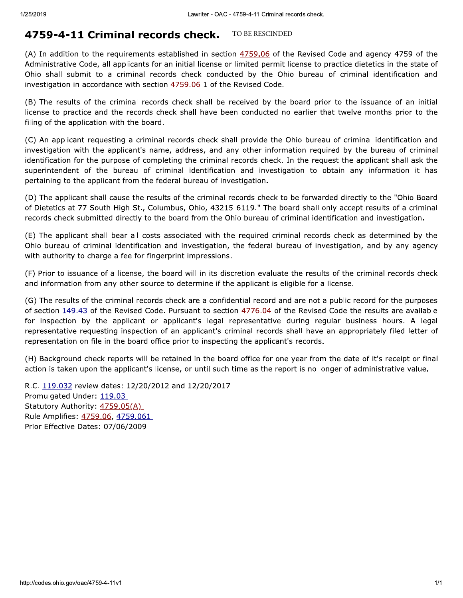## TO BE RESCINDED

Lawriter - OAC - 4759-4-11 Criminal records check.<br> **4759-4-11 Criminal records check.** TO BE RESCINDED<br>
(A) In addition to the requirements established in section  $\frac{4759.06}{100}$  of the Revised Code and agency 4759 of

(C) An applicant requesting a criminal records check shall provide the Ohio bureau of criminal identification and investigation with the applicant's name, address, and any other information required by the bureau of criminal identification for the purpose of completing the criminal records check. In the request the applicant shall ask the superintendent of the bureau of criminal identification and investigation to obtain any information it has pertaining to the applicant from the federal bureau of investigation.

(D) The applicant shall cause the results of the criminal records check to be forwarded directly to the "Ohio Board of Dietetics at 77 South High St., Columbus, Ohio, 43215-6119." The board shall only accept results of a criminal records check submitted directly to the board from the Ohio bureau of criminal identification and investigation.

(E) The applicant shall bear all costs associated with the required criminal records check as determined by the Ohio bureau of criminal identification and investigation, the federal bureau of investigation, and by any agency with authority to charge a fee for fingerprint impressions.

(F) Prior to issuance of a license, the board will in its discretion evaluate the results of the criminal records check and information from any other source to determine if the applicant is eligible for a license.

(G) The results of the criminal records check are a confidential record and are not a public record for the purposes of section 149.43 of the Revised Code. Pursuant to section 4776.04 of the Revised Code the results are available for inspection by the applicant or applicant's legal representative during regular business hours. A legal representative requesting inspection of an applicant's criminal records shall have an appropriately filed letter of representation on file in the board office prior to inspecting the applicant's records.

(H) Background check reports will be retained in the board office for one year from the date of it's receipt or final action is taken upon the applicant's license, or until such time as the report is no longer of administrative value.

R.C. 119.032 review dates: 12/20/2012 and 12/20/2017 Promulgated Under: 119.03 Statutory Authority:  $4759.05(A)$ Rule Amplifies: 4759.06, 4759.061 Prior Effective Dates: 07/06/2009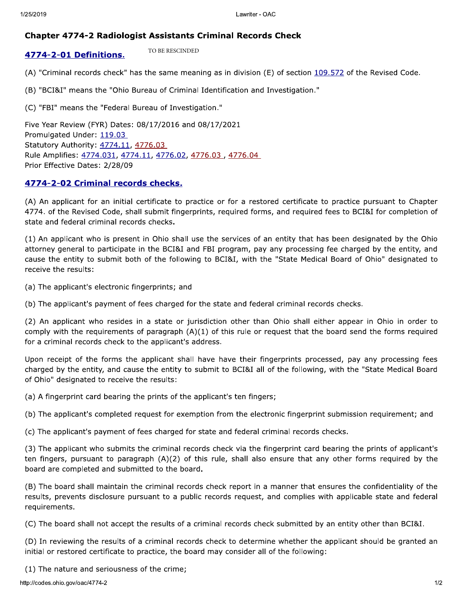TO BE RESCINDED

Lawriter - OAC<br> **Chapter 4774-2 Radiologist Assistants Criminal Records Check**<br> **4774-2-01 Definitions.** TO BE RESCINDED<br>
(A) "Criminal records check" has the same meaning as in division (E) of section <u>109.572</u> of the Rev Statutory Authority: 4774.11, 4776.03 Rule Amplifies: 4774.031, 4774.11, 4776.02, 4776.03, 4776.04 Prior Effective Dates: 2/28/09

(c) For means the Federal buleau of investigation.<br>
Five Year Review (FYR) Dates: 08/17/2016 and 08/17/2021<br>
Promulgated Under: 119.03.<br>
Statutory Authority:  $4774.11$ ,  $4776.02$ ,  $4776.03$ ,  $4776.04$ <br>
Prior Effective Dat receive the results:

(a) The applicant's electronic fingerprints; and

(b) The applicant's payment of fees charged for the state and federal criminal records checks.

(2) An applicant who resides in a state or jurisdiction other than Ohio shall either appear in Ohio in order to comply with the requirements of paragraph  $(A)(1)$  of this rule or request that the board send the forms required for a criminal records check to the applicant's address.

Upon receipt of the forms the applicant shall have have their fingerprints processed, pay any processing fees charged by the entity, and cause the entity to submit to BCI&I all of the following, with the "State Medical Board of Ohio" designated to receive the results:

(a) A fingerprint card bearing the prints of the applicant's ten fingers;

(b) The applicant's completed request for exemption from the electronic fingerprint submission requirement; and

(c) The applicant's payment of fees charged for state and federal criminal records checks.

(3) The applicant who submits the criminal records check via the fingerprint card bearing the prints of applicant's ten fingers, pursuant to paragraph (A)(2) of this rule, shall also ensure that any other forms required by the board are completed and submitted to the board.

(B) The board shall maintain the criminal records check report in a manner that ensures the confidentiality of the results, prevents disclosure pursuant to a public records request, and complies with applicable state and federal requirements.

(C) The board shall not accept the results of a criminal records check submitted by an entity other than BCI&I.

(D) In reviewing the results of a criminal records check to determine whether the applicant should be granted an initial or restored certificate to practice, the board may consider all of the following:

 $(1)$  The nature and seriousness of the crime;